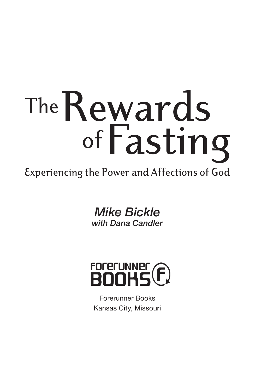# The Rewards<br>of Fasting Experiencing the Power and Affections of God

*Mike Bickle with Dana Candler*



Forerunner Books Kansas City, Missouri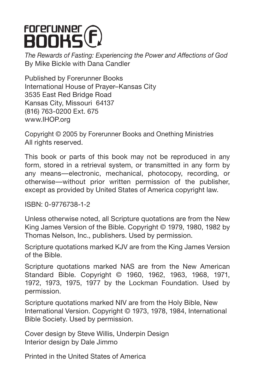# **FOTETUNNET**<br>**BOOKS**

*The Rewards of Fasting: Experiencing the Power and Affections of God* By Mike Bickle with Dana Candler

Published by Forerunner Books International House of Prayer–Kansas City 3535 East Red Bridge Road Kansas City, Missouri 64137 (816) 763-0200 Ext. 675 www.IHOP.org

Copyright © 2005 by Forerunner Books and Onething Ministries All rights reserved.

This book or parts of this book may not be reproduced in any form, stored in a retrieval system, or transmitted in any form by any means—electronic, mechanical, photocopy, recording, or otherwise—without prior written permission of the publisher, except as provided by United States of America copyright law.

ISBN: 0-9776738-1-2

Unless otherwise noted, all Scripture quotations are from the New King James Version of the Bible. Copyright © 1979, 1980, 1982 by Thomas Nelson, Inc., publishers. Used by permission.

Scripture quotations marked KJV are from the King James Version of the Bible.

Scripture quotations marked NAS are from the New American Standard Bible. Copyright © 1960, 1962, 1963, 1968, 1971, 1972, 1973, 1975, 1977 by the Lockman Foundation. Used by permission.

Scripture quotations marked NIV are from the Holy Bible, New International Version. Copyright © 1973, 1978, 1984, International Bible Society. Used by permission.

Cover design by Steve Willis, Underpin Design Interior design by Dale Jimmo

Printed in the United States of America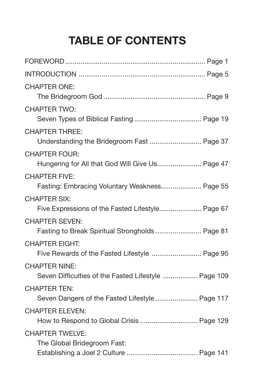# **Table of Contents**

| <b>CHAPTER ONE:</b>                                                          |
|------------------------------------------------------------------------------|
| <b>CHAPTER TWO:</b>                                                          |
| <b>CHAPTER THREE:</b><br>Understanding the Bridegroom Fast  Page 37          |
| <b>CHAPTER FOUR:</b><br>Hungering for All that God Will Give Us Page 47      |
| <b>CHAPTER FIVE:</b><br>Fasting: Embracing Voluntary Weakness Page 55        |
| <b>CHAPTER SIX:</b><br>Five Expressions of the Fasted Lifestyle Page 67      |
| <b>CHAPTER SEVEN:</b><br>Fasting to Break Spiritual Strongholds  Page 81     |
| <b>CHAPTER EIGHT:</b><br>Five Rewards of the Fasted Lifestyle  Page 95       |
| <b>CHAPTER NINE:</b><br>Seven Difficulties of the Fasted Lifestyle  Page 109 |
| CHAPTER TEN:<br>Seven Dangers of the Fasted Lifestyle  Page 117              |
| <b>CHAPTER ELEVEN:</b><br>How to Respond to Global Crisis  Page 129          |
| <b>CHAPTER TWELVE:</b><br>The Global Bridegroom Fast:                        |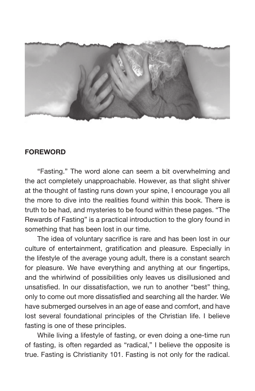

## **FOREWORD**

"Fasting." The word alone can seem a bit overwhelming and the act completely unapproachable. However, as that slight shiver at the thought of fasting runs down your spine, I encourage you all the more to dive into the realities found within this book. There is truth to be had, and mysteries to be found within these pages. "The Rewards of Fasting" is a practical introduction to the glory found in something that has been lost in our time.

The idea of voluntary sacrifice is rare and has been lost in our culture of entertainment, gratification and pleasure. Especially in the lifestyle of the average young adult, there is a constant search for pleasure. We have everything and anything at our fingertips, and the whirlwind of possibilities only leaves us disillusioned and unsatisfied. In our dissatisfaction, we run to another "best" thing, only to come out more dissatisfied and searching all the harder. We have submerged ourselves in an age of ease and comfort, and have lost several foundational principles of the Christian life. I believe fasting is one of these principles.

While living a lifestyle of fasting, or even doing a one-time run of fasting, is often regarded as "radical," I believe the opposite is true. Fasting is Christianity 101. Fasting is not only for the radical.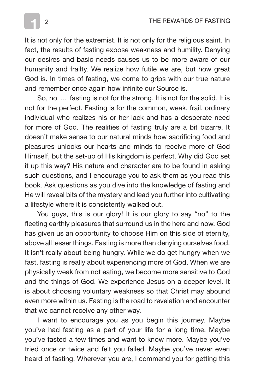

So, no ... fasting is not for the strong. It is not for the solid. It is not for the perfect. Fasting is for the common, weak, frail, ordinary individual who realizes his or her lack and has a desperate need for more of God. The realities of fasting truly are a bit bizarre. It doesn't make sense to our natural minds how sacrificing food and pleasures unlocks our hearts and minds to receive more of God Himself, but the set-up of His kingdom is perfect. Why did God set it up this way? His nature and character are to be found in asking such questions, and I encourage you to ask them as you read this book. Ask questions as you dive into the knowledge of fasting and He will reveal bits of the mystery and lead you further into cultivating a lifestyle where it is consistently walked out.

You guys, this is our glory! It is our glory to say "no" to the fleeting earthly pleasures that surround us in the here and now. God has given us an opportunity to choose Him on this side of eternity, above all lesser things. Fasting is more than denying ourselves food. It isn't really about being hungry. While we do get hungry when we fast, fasting is really about experiencing more of God. When we are physically weak from not eating, we become more sensitive to God and the things of God. We experience Jesus on a deeper level. It is about choosing voluntary weakness so that Christ may abound even more within us. Fasting is the road to revelation and encounter that we cannot receive any other way.

I want to encourage you as you begin this journey. Maybe you've had fasting as a part of your life for a long time. Maybe you've fasted a few times and want to know more. Maybe you've tried once or twice and felt you failed. Maybe you've never even heard of fasting. Wherever you are, I commend you for getting this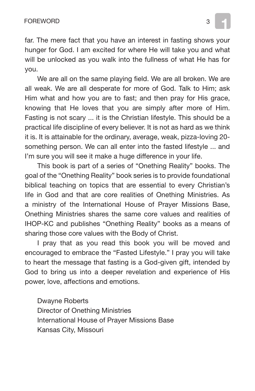far. The mere fact that you have an interest in fasting shows your hunger for God. I am excited for where He will take you and what will be unlocked as you walk into the fullness of what He has for you.

We are all on the same playing field. We are all broken. We are all weak. We are all desperate for more of God. Talk to Him; ask Him what and how you are to fast; and then pray for His grace, knowing that He loves that you are simply after more of Him. Fasting is not scary ... it is the Christian lifestyle. This should be a practical life discipline of every believer. It is not as hard as we think it is. It is attainable for the ordinary, average, weak, pizza-loving 20 something person. We can all enter into the fasted lifestyle ... and I'm sure you will see it make a huge difference in your life.

This book is part of a series of "Onething Reality" books. The goal of the "Onething Reality" book series is to provide foundational biblical teaching on topics that are essential to every Christian's life in God and that are core realities of Onething Ministries. As a ministry of the International House of Prayer Missions Base, Onething Ministries shares the same core values and realities of IHOP-KC and publishes "Onething Reality" books as a means of sharing those core values with the Body of Christ.

I pray that as you read this book you will be moved and encouraged to embrace the "Fasted Lifestyle." I pray you will take to heart the message that fasting is a God-given gift, intended by God to bring us into a deeper revelation and experience of His power, love, affections and emotions.

Dwayne Roberts Director of Onething Ministries International House of Prayer Missions Base Kansas City, Missouri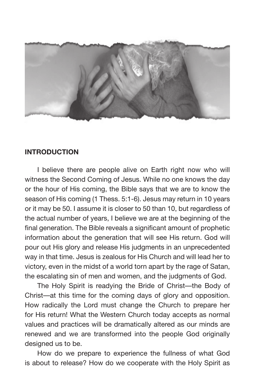

# **Introduction**

I believe there are people alive on Earth right now who will witness the Second Coming of Jesus. While no one knows the day or the hour of His coming, the Bible says that we are to know the season of His coming (1 Thess. 5:1-6). Jesus may return in 10 years or it may be 50. I assume it is closer to 50 than 10, but regardless of the actual number of years, I believe we are at the beginning of the final generation. The Bible reveals a significant amount of prophetic information about the generation that will see His return. God will pour out His glory and release His judgments in an unprecedented way in that time. Jesus is zealous for His Church and will lead her to victory, even in the midst of a world torn apart by the rage of Satan, the escalating sin of men and women, and the judgments of God.

The Holy Spirit is readying the Bride of Christ—the Body of Christ—at this time for the coming days of glory and opposition. How radically the Lord must change the Church to prepare her for His return! What the Western Church today accepts as normal values and practices will be dramatically altered as our minds are renewed and we are transformed into the people God originally designed us to be.

How do we prepare to experience the fullness of what God is about to release? How do we cooperate with the Holy Spirit as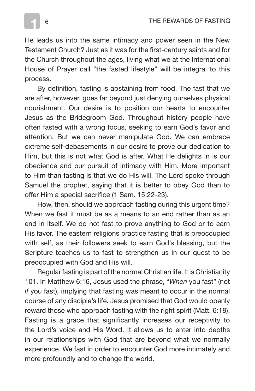

By definition, fasting is abstaining from food. The fast that we are after, however, goes far beyond just denying ourselves physical nourishment. Our desire is to position our hearts to encounter Jesus as the Bridegroom God. Throughout history people have often fasted with a wrong focus, seeking to earn God's favor and attention. But we can never manipulate God. We can embrace extreme self-debasements in our desire to prove our dedication to Him, but this is not what God is after. What He delights in is our obedience and our pursuit of intimacy with Him. More important to Him than fasting is that we do His will. The Lord spoke through Samuel the prophet, saying that it is better to obey God than to offer Him a special sacrifice (1 Sam. 15:22-23).

How, then, should we approach fasting during this urgent time? When we fast it must be as a means to an end rather than as an end in itself. We do not fast to prove anything to God or to earn His favor. The eastern religions practice fasting that is preoccupied with self, as their followers seek to earn God's blessing, but the Scripture teaches us to fast to strengthen us in our quest to be preoccupied with God and His will.

Regular fasting is part of the normal Christian life. It is Christianity 101. In Matthew 6:16, Jesus used the phrase, "*When* you fast" (not *if* you fast), implying that fasting was meant to occur in the normal course of any disciple's life. Jesus promised that God would openly reward those who approach fasting with the right spirit (Matt. 6:18). Fasting is a grace that significantly increases our receptivity to the Lord's voice and His Word. It allows us to enter into depths in our relationships with God that are beyond what we normally experience. We fast in order to encounter God more intimately and more profoundly and to change the world.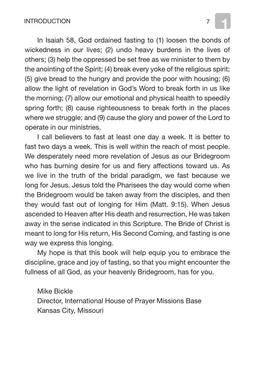### INTRODUCTION



In Isaiah 58, God ordained fasting to (1) loosen the bonds of wickedness in our lives; (2) undo heavy burdens in the lives of others; (3) help the oppressed be set free as we minister to them by the anointing of the Spirit; (4) break every yoke of the religious spirit; (5) give bread to the hungry and provide the poor with housing; (6) allow the light of revelation in God's Word to break forth in us like the morning; (7) allow our emotional and physical health to speedily spring forth; (8) cause righteousness to break forth in the places where we struggle; and (9) cause the glory and power of the Lord to operate in our ministries.

I call believers to fast at least one day a week. It is better to fast two days a week. This is well within the reach of most people. We desperately need more revelation of Jesus as our Bridegroom who has burning desire for us and fiery affections toward us. As we live in the truth of the bridal paradigm, we fast because we long for Jesus. Jesus told the Pharisees the day would come when the Bridegroom would be taken away from the disciples, and then they would fast out of longing for Him (Matt. 9:15). When Jesus ascended to Heaven after His death and resurrection, He was taken away in the sense indicated in this Scripture. The Bride of Christ is meant to long for His return, His Second Coming, and fasting is one way we express this longing.

My hope is that this book will help equip you to embrace the discipline, grace and joy of fasting, so that you might encounter the fullness of all God, as your heavenly Bridegroom, has for you.

Mike Bickle Director, International House of Prayer Missions Base Kansas City, Missouri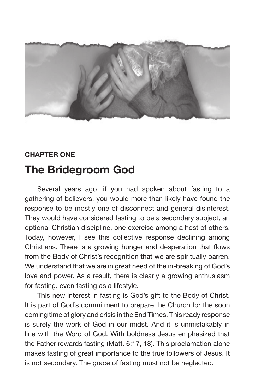

# **Chapter One The Bridegroom God**

Several years ago, if you had spoken about fasting to a gathering of believers, you would more than likely have found the response to be mostly one of disconnect and general disinterest. They would have considered fasting to be a secondary subject, an optional Christian discipline, one exercise among a host of others. Today, however, I see this collective response declining among Christians. There is a growing hunger and desperation that flows from the Body of Christ's recognition that we are spiritually barren. We understand that we are in great need of the in-breaking of God's love and power. As a result, there is clearly a growing enthusiasm for fasting, even fasting as a lifestyle.

This new interest in fasting is God's gift to the Body of Christ. It is part of God's commitment to prepare the Church for the soon coming time of glory and crisis in the End Times. This ready response is surely the work of God in our midst. And it is unmistakably in line with the Word of God. With boldness Jesus emphasized that the Father rewards fasting (Matt. 6:17, 18). This proclamation alone makes fasting of great importance to the true followers of Jesus. It is not secondary. The grace of fasting must not be neglected.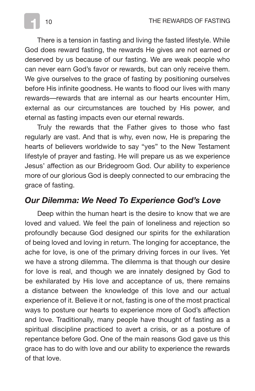There is a tension in fasting and living the fasted lifestyle. While God does reward fasting, the rewards He gives are not earned or deserved by us because of our fasting. We are weak people who can never earn God's favor or rewards, but can only receive them. We give ourselves to the grace of fasting by positioning ourselves before His infinite goodness. He wants to flood our lives with many rewards—rewards that are internal as our hearts encounter Him, external as our circumstances are touched by His power, and eternal as fasting impacts even our eternal rewards.

Truly the rewards that the Father gives to those who fast regularly are vast. And that is why, even now, He is preparing the hearts of believers worldwide to say "yes" to the New Testament lifestyle of prayer and fasting. He will prepare us as we experience Jesus' affection as our Bridegroom God. Our ability to experience more of our glorious God is deeply connected to our embracing the grace of fasting.

# *Our Dilemma: We Need To Experience God's Love*

Deep within the human heart is the desire to know that we are loved and valued. We feel the pain of loneliness and rejection so profoundly because God designed our spirits for the exhilaration of being loved and loving in return. The longing for acceptance, the ache for love, is one of the primary driving forces in our lives. Yet we have a strong dilemma. The dilemma is that though our desire for love is real, and though we are innately designed by God to be exhilarated by His love and acceptance of us, there remains a distance between the knowledge of this love and our actual experience of it. Believe it or not, fasting is one of the most practical ways to posture our hearts to experience more of God's affection and love. Traditionally, many people have thought of fasting as a spiritual discipline practiced to avert a crisis, or as a posture of repentance before God. One of the main reasons God gave us this grace has to do with love and our ability to experience the rewards of that love.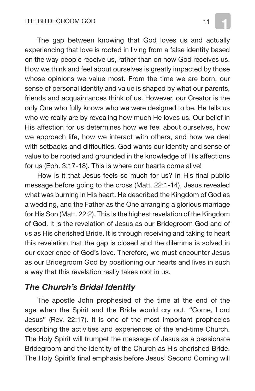

The gap between knowing that God loves us and actually experiencing that love is rooted in living from a false identity based on the way people receive us, rather than on how God receives us. How we think and feel about ourselves is greatly impacted by those whose opinions we value most. From the time we are born, our sense of personal identity and value is shaped by what our parents, friends and acquaintances think of us. However, our Creator is the only One who fully knows who we were designed to be. He tells us who we really are by revealing how much He loves us. Our belief in His affection for us determines how we feel about ourselves, how we approach life, how we interact with others, and how we deal with setbacks and difficulties. God wants our identity and sense of value to be rooted and grounded in the knowledge of His affections for us (Eph. 3:17-18). This is where our hearts come alive!

How is it that Jesus feels so much for us? In His final public message before going to the cross (Matt. 22:1-14), Jesus revealed what was burning in His heart. He described the Kingdom of God as a wedding, and the Father as the One arranging a glorious marriage for His Son (Matt. 22:2). This is the highest revelation of the Kingdom of God. It is the revelation of Jesus as our Bridegroom God and of us as His cherished Bride. It is through receiving and taking to heart this revelation that the gap is closed and the dilemma is solved in our experience of God's love. Therefore, we must encounter Jesus as our Bridegroom God by positioning our hearts and lives in such a way that this revelation really takes root in us.

# *The Church's Bridal Identity*

The apostle John prophesied of the time at the end of the age when the Spirit and the Bride would cry out, "Come, Lord Jesus" (Rev. 22:17). It is one of the most important prophecies describing the activities and experiences of the end-time Church. The Holy Spirit will trumpet the message of Jesus as a passionate Bridegroom and the identity of the Church as His cherished Bride. The Holy Spirit's final emphasis before Jesus' Second Coming will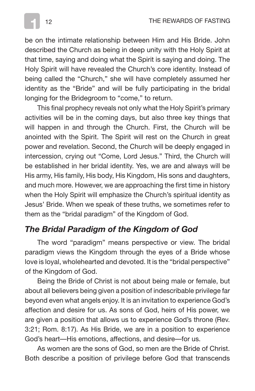

This final prophecy reveals not only what the Holy Spirit's primary activities will be in the coming days, but also three key things that will happen in and through the Church. First, the Church will be anointed with the Spirit. The Spirit will rest on the Church in great power and revelation. Second, the Church will be deeply engaged in intercession, crying out "Come, Lord Jesus." Third, the Church will be established in her bridal identity. Yes, we are and always will be His army, His family, His body, His Kingdom, His sons and daughters, and much more. However, we are approaching the first time in history when the Holy Spirit will emphasize the Church's spiritual identity as Jesus' Bride. When we speak of these truths, we sometimes refer to them as the "bridal paradigm" of the Kingdom of God.

# *The Bridal Paradigm of the Kingdom of God*

The word "paradigm" means perspective or view. The bridal paradigm views the Kingdom through the eyes of a Bride whose love is loyal, wholehearted and devoted. It is the "bridal perspective" of the Kingdom of God.

Being the Bride of Christ is not about being male or female, but about all believers being given a position of indescribable privilege far beyond even what angels enjoy. It is an invitation to experience God's affection and desire for us. As sons of God, heirs of His power, we are given a position that allows us to experience God's throne (Rev. 3:21; Rom. 8:17). As His Bride, we are in a position to experience God's heart—His emotions, affections, and desire—for us.

As women are the sons of God, so men are the Bride of Christ. Both describe a position of privilege before God that transcends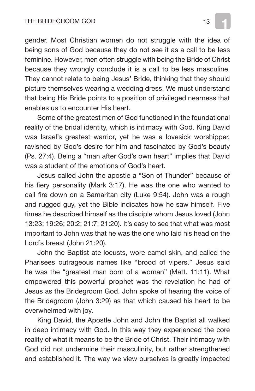

gender. Most Christian women do not struggle with the idea of being sons of God because they do not see it as a call to be less feminine. However, men often struggle with being the Bride of Christ because they wrongly conclude it is a call to be less masculine. They cannot relate to being Jesus' Bride, thinking that they should picture themselves wearing a wedding dress. We must understand that being His Bride points to a position of privileged nearness that enables us to encounter His heart.

Some of the greatest men of God functioned in the foundational reality of the bridal identity, which is intimacy with God. King David was Israel's greatest warrior, yet he was a lovesick worshipper, ravished by God's desire for him and fascinated by God's beauty (Ps. 27:4). Being a "man after God's own heart" implies that David was a student of the emotions of God's heart.

Jesus called John the apostle a "Son of Thunder" because of his fiery personality (Mark 3:17). He was the one who wanted to call fire down on a Samaritan city (Luke 9:54). John was a rough and rugged guy, yet the Bible indicates how he saw himself. Five times he described himself as the disciple whom Jesus loved (John 13:23; 19:26; 20:2; 21:7; 21:20). It's easy to see that what was most important to John was that he was the one who laid his head on the Lord's breast (John 21:20).

John the Baptist ate locusts, wore camel skin, and called the Pharisees outrageous names like "brood of vipers." Jesus said he was the "greatest man born of a woman" (Matt. 11:11). What empowered this powerful prophet was the revelation he had of Jesus as the Bridegroom God. John spoke of hearing the voice of the Bridegroom (John 3:29) as that which caused his heart to be overwhelmed with joy.

King David, the Apostle John and John the Baptist all walked in deep intimacy with God. In this way they experienced the core reality of what it means to be the Bride of Christ. Their intimacy with God did not undermine their masculinity, but rather strengthened and established it. The way we view ourselves is greatly impacted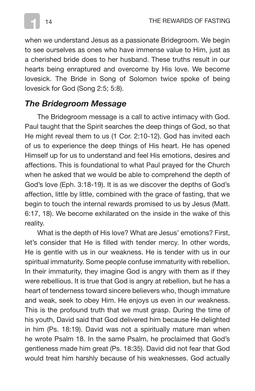when we understand Jesus as a passionate Bridegroom. We begin to see ourselves as ones who have immense value to Him, just as a cherished bride does to her husband. These truths result in our hearts being enraptured and overcome by His love. We become lovesick. The Bride in Song of Solomon twice spoke of being lovesick for God (Song 2:5; 5:8).

# *The Bridegroom Message*

The Bridegroom message is a call to active intimacy with God. Paul taught that the Spirit searches the deep things of God, so that He might reveal them to us (1 Cor. 2:10-12). God has invited each of us to experience the deep things of His heart. He has opened Himself up for us to understand and feel His emotions, desires and affections. This is foundational to what Paul prayed for the Church when he asked that we would be able to comprehend the depth of God's love (Eph. 3:18-19). It is as we discover the depths of God's affection, little by little, combined with the grace of fasting, that we begin to touch the internal rewards promised to us by Jesus (Matt. 6:17, 18). We become exhilarated on the inside in the wake of this reality.

What is the depth of His love? What are Jesus' emotions? First, let's consider that He is filled with tender mercy. In other words, He is gentle with us in our weakness. He is tender with us in our spiritual immaturity. Some people confuse immaturity with rebellion. In their immaturity, they imagine God is angry with them as if they were rebellious. It is true that God is angry at rebellion, but he has a heart of tenderness toward sincere believers who, though immature and weak, seek to obey Him. He enjoys us even in our weakness. This is the profound truth that we must grasp. During the time of his youth, David said that God delivered him because He delighted in him (Ps. 18:19). David was not a spiritually mature man when he wrote Psalm 18. In the same Psalm, he proclaimed that God's gentleness made him great (Ps. 18:35). David did not fear that God would treat him harshly because of his weaknesses. God actually

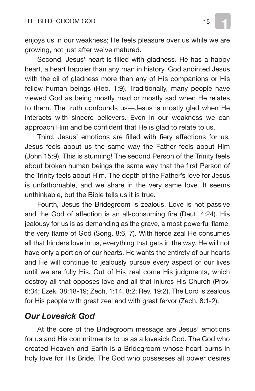

enjoys us in our weakness; He feels pleasure over us while we are growing, not just after we've matured.

Second, Jesus' heart is filled with gladness. He has a happy heart, a heart happier than any man in history. God anointed Jesus with the oil of gladness more than any of His companions or His fellow human beings (Heb. 1:9). Traditionally, many people have viewed God as being mostly mad or mostly sad when He relates to them. The truth confounds us—Jesus is mostly glad when He interacts with sincere believers. Even in our weakness we can approach Him and be confident that He is glad to relate to us.

Third, Jesus' emotions are filled with fiery affections for us. Jesus feels about us the same way the Father feels about Him (John 15:9). This is stunning! The second Person of the Trinity feels about broken human beings the same way that the first Person of the Trinity feels about Him. The depth of the Father's love for Jesus is unfathomable, and we share in the very same love. It seems unthinkable, but the Bible tells us it is true.

Fourth, Jesus the Bridegroom is zealous. Love is not passive and the God of affection is an all-consuming fire (Deut. 4:24). His jealousy for us is as demanding as the grave, a most powerful flame, the very flame of God (Song. 8:6, 7). With fierce zeal He consumes all that hinders love in us, everything that gets in the way. He will not have only a portion of our hearts. He wants the entirety of our hearts and He will continue to jealously pursue every aspect of our lives until we are fully His. Out of His zeal come His judgments, which destroy all that opposes love and all that injures His Church (Prov. 6:34; Ezek. 38:18-19; Zech. 1:14, 8:2; Rev. 19:2). The Lord is zealous for His people with great zeal and with great fervor (Zech. 8:1-2).

# *Our Lovesick God*

At the core of the Bridegroom message are Jesus' emotions for us and His commitments to us as a lovesick God. The God who created Heaven and Earth is a Bridegroom whose heart burns in holy love for His Bride. The God who possesses all power desires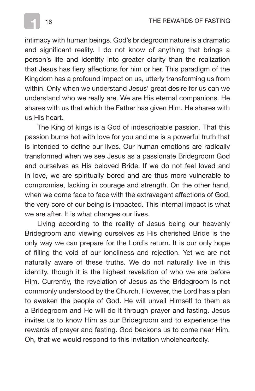intimacy with human beings. God's bridegroom nature is a dramatic and significant reality. I do not know of anything that brings a person's life and identity into greater clarity than the realization that Jesus has fiery affections for him or her. This paradigm of the Kingdom has a profound impact on us, utterly transforming us from within. Only when we understand Jesus' great desire for us can we understand who we really are. We are His eternal companions. He shares with us that which the Father has given Him. He shares with us His heart.

The King of kings is a God of indescribable passion. That this passion burns hot with love for you and me is a powerful truth that is intended to define our lives. Our human emotions are radically transformed when we see Jesus as a passionate Bridegroom God and ourselves as His beloved Bride. If we do not feel loved and in love, we are spiritually bored and are thus more vulnerable to compromise, lacking in courage and strength. On the other hand, when we come face to face with the extravagant affections of God, the very core of our being is impacted. This internal impact is what we are after. It is what changes our lives.

Living according to the reality of Jesus being our heavenly Bridegroom and viewing ourselves as His cherished Bride is the only way we can prepare for the Lord's return. It is our only hope of filling the void of our loneliness and rejection. Yet we are not naturally aware of these truths. We do not naturally live in this identity, though it is the highest revelation of who we are before Him. Currently, the revelation of Jesus as the Bridegroom is not commonly understood by the Church. However, the Lord has a plan to awaken the people of God. He will unveil Himself to them as a Bridegroom and He will do it through prayer and fasting. Jesus invites us to know Him as our Bridegroom and to experience the rewards of prayer and fasting. God beckons us to come near Him. Oh, that we would respond to this invitation wholeheartedly.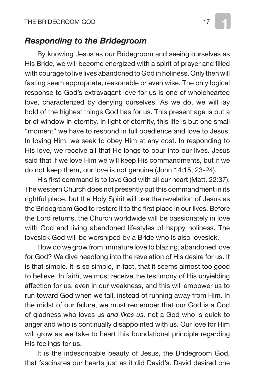

# *Responding to the Bridegroom*

By knowing Jesus as our Bridegroom and seeing ourselves as His Bride, we will become energized with a spirit of prayer and filled with courage to live lives abandoned to God in holiness. Only then will fasting seem appropriate, reasonable or even wise. The only logical response to God's extravagant love for us is one of wholehearted love, characterized by denying ourselves. As we do, we will lay hold of the highest things God has for us. This present age is but a brief window in eternity. In light of eternity, this life is but one small "moment" we have to respond in full obedience and love to Jesus. In loving Him, we seek to obey Him at any cost. In responding to His love, we receive all that He longs to pour into our lives. Jesus said that if we love Him we will keep His commandments, but if we do not keep them, our love is not genuine (John 14:15, 23-24).

His first command is to love God with all our heart (Matt. 22:37). The western Church does not presently put this commandment in its rightful place, but the Holy Spirit will use the revelation of Jesus as the Bridegroom God to restore it to the first place in our lives. Before the Lord returns, the Church worldwide will be passionately in love with God and living abandoned lifestyles of happy holiness. The lovesick God will be worshiped by a Bride who is also lovesick.

How do we grow from immature love to blazing, abandoned love for God? We dive headlong into the revelation of His desire for us. It is that simple. It is so simple, in fact, that it seems almost too good to believe. In faith, we must receive the testimony of His unyielding affection for us, even in our weakness, and this will empower us to run toward God when we fail, instead of running away from Him. In the midst of our failure, we must remember that our God is a God of gladness who loves us *and likes us,* not a God who is quick to anger and who is continually disappointed with us. Our love for Him will grow as we take to heart this foundational principle regarding His feelings for us.

It is the indescribable beauty of Jesus, the Bridegroom God, that fascinates our hearts just as it did David's. David desired one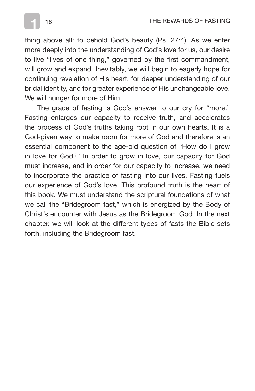thing above all: to behold God's beauty (Ps. 27:4). As we enter more deeply into the understanding of God's love for us, our desire to live "lives of one thing," governed by the first commandment, will grow and expand. Inevitably, we will begin to eagerly hope for continuing revelation of His heart, for deeper understanding of our bridal identity, and for greater experience of His unchangeable love. We will hunger for more of Him.

The grace of fasting is God's answer to our cry for "more." Fasting enlarges our capacity to receive truth, and accelerates the process of God's truths taking root in our own hearts. It is a God-given way to make room for more of God and therefore is an essential component to the age-old question of "How do I grow in love for God?" In order to grow in love, our capacity for God must increase, and in order for our capacity to increase, we need to incorporate the practice of fasting into our lives. Fasting fuels our experience of God's love. This profound truth is the heart of this book. We must understand the scriptural foundations of what we call the "Bridegroom fast," which is energized by the Body of Christ's encounter with Jesus as the Bridegroom God. In the next chapter, we will look at the different types of fasts the Bible sets forth, including the Bridegroom fast.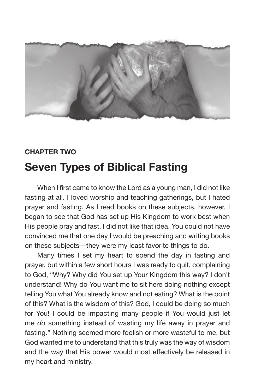

# **Chapter Two Seven Types of Biblical Fasting**

When I first came to know the Lord as a young man, I did not like fasting at all. I loved worship and teaching gatherings, but I hated prayer and fasting. As I read books on these subjects, however, I began to see that God has set up His Kingdom to work best when His people pray and fast. I did not like that idea. You could not have convinced me that one day I would be preaching and writing books on these subjects—they were my least favorite things to do.

Many times I set my heart to spend the day in fasting and prayer, but within a few short hours I was ready to quit, complaining to God, "Why? Why did You set up Your Kingdom this way? I don't understand! Why do You want me to sit here doing nothing except telling You what You already know and not eating? What is the point of this? What is the wisdom of this? God, I could be doing so much for You! I could be impacting many people if You would just let me *do* something instead of wasting my life away in prayer and fasting." Nothing seemed more foolish or more wasteful to me, but God wanted me to understand that this truly was the way of wisdom and the way that His power would most effectively be released in my heart and ministry.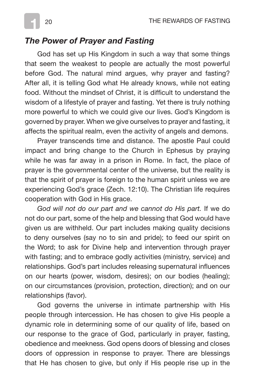# *The Power of Prayer and Fasting*

God has set up His Kingdom in such a way that some things that seem the weakest to people are actually the most powerful before God. The natural mind argues, why prayer and fasting? After all, it is telling God what He already knows, while not eating food. Without the mindset of Christ, it is difficult to understand the wisdom of a lifestyle of prayer and fasting. Yet there is truly nothing more powerful to which we could give our lives. God's Kingdom is governed by prayer. When we give ourselves to prayer and fasting, it affects the spiritual realm, even the activity of angels and demons.

Prayer transcends time and distance. The apostle Paul could impact and bring change to the Church in Ephesus by praying while he was far away in a prison in Rome. In fact, the place of prayer is the governmental center of the universe, but the reality is that the spirit of prayer is foreign to the human spirit unless we are experiencing God's grace (Zech. 12:10). The Christian life requires cooperation with God in His grace.

*God will not do our part and we cannot do His part.* If we do not do our part, some of the help and blessing that God would have given us are withheld. Our part includes making quality decisions to deny ourselves (say no to sin and pride); to feed our spirit on the Word; to ask for Divine help and intervention through prayer with fasting; and to embrace godly activities (ministry, service) and relationships. God's part includes releasing supernatural influences on our hearts (power, wisdom, desires); on our bodies (healing); on our circumstances (provision, protection, direction); and on our relationships (favor).

God governs the universe in intimate partnership with His people through intercession. He has chosen to give His people a dynamic role in determining some of our quality of life, based on our response to the grace of God, particularly in prayer, fasting, obedience and meekness. God opens doors of blessing and closes doors of oppression in response to prayer. There are blessings that He has chosen to give, but only if His people rise up in the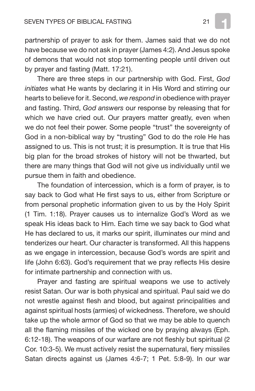partnership of prayer to ask for them. James said that we do not have because we do not ask in prayer (James 4:2). And Jesus spoke of demons that would not stop tormenting people until driven out by prayer and fasting (Matt. 17:21).

There are three steps in our partnership with God. First, *God initiates* what He wants by declaring it in His Word and stirring our hearts to believe for it. Second, *we respond* in obedience with prayer and fasting. Third, *God answers* our response by releasing that for which we have cried out. Our prayers matter greatly, even when we do not feel their power. Some people "trust" the sovereignty of God in a non-biblical way by "trusting" God to do the role He has assigned to us. This is not trust; it is presumption. It is true that His big plan for the broad strokes of history will not be thwarted, but there are many things that God will not give us individually until we pursue them in faith and obedience.

The foundation of intercession, which is a form of prayer, is to say back to God what He first says to us, either from Scripture or from personal prophetic information given to us by the Holy Spirit (1 Tim. 1:18). Prayer causes us to internalize God's Word as we speak His ideas back to Him. Each time we say back to God what He has declared to us, it marks our spirit, illuminates our mind and tenderizes our heart. Our character is transformed. All this happens as we engage in intercession, because God's words are spirit and life (John 6:63). God's requirement that we pray reflects His desire for intimate partnership and connection with us.

Prayer and fasting are spiritual weapons we use to actively resist Satan. Our war is both physical and spiritual. Paul said we do not wrestle against flesh and blood, but against principalities and against spiritual hosts (armies) of wickedness. Therefore, we should take up the whole armor of God so that we may be able to quench all the flaming missiles of the wicked one by praying always (Eph. 6:12-18). The weapons of our warfare are not fleshly but spiritual (2 Cor. 10:3-5). We must actively resist the supernatural, fiery missiles Satan directs against us (James 4:6-7; 1 Pet. 5:8-9). In our war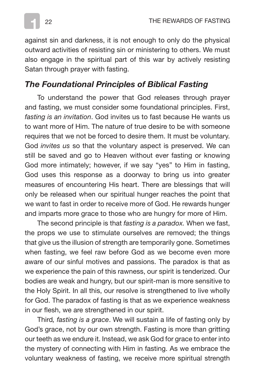against sin and darkness, it is not enough to only do the physical outward activities of resisting sin or ministering to others. We must also engage in the spiritual part of this war by actively resisting Satan through prayer with fasting.

# *The Foundational Principles of Biblical Fasting*

To understand the power that God releases through prayer and fasting, we must consider some foundational principles. First, *fasting is an invitation*. God invites us to fast because He wants us to want more of Him. The nature of true desire to be with someone requires that we not be forced to desire them. It must be voluntary. God *invites us* so that the voluntary aspect is preserved. We can still be saved and go to Heaven without ever fasting or knowing God more intimately; however, if we say "yes" to Him in fasting, God uses this response as a doorway to bring us into greater measures of encountering His heart. There are blessings that will only be released when our spiritual hunger reaches the point that we want to fast in order to receive more of God. He rewards hunger and imparts more grace to those who are hungry for more of Him.

The second principle is that *fasting is a paradox.* When we fast, the props we use to stimulate ourselves are removed; the things that give us the illusion of strength are temporarily gone. Sometimes when fasting, we feel raw before God as we become even more aware of our sinful motives and passions. The paradox is that as we experience the pain of this rawness, our spirit is tenderized. Our bodies are weak and hungry, but our spirit-man is more sensitive to the Holy Spirit. In all this, our resolve is strengthened to live wholly for God. The paradox of fasting is that as we experience weakness in our flesh, we are strengthened in our spirit.

Third*, fasting is a grace*. We will sustain a life of fasting only by God's grace, not by our own strength. Fasting is more than gritting our teeth as we endure it. Instead, we ask God for grace to enter into the mystery of connecting with Him in fasting. As we embrace the voluntary weakness of fasting, we receive more spiritual strength

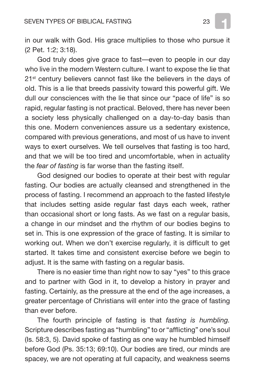in our walk with God. His grace multiplies to those who pursue it (2 Pet. 1:2; 3:18).

God truly does give grace to fast—even to people in our day who live in the modern Western culture. I want to expose the lie that 21<sup>st</sup> century believers cannot fast like the believers in the days of old. This is a lie that breeds passivity toward this powerful gift. We dull our consciences with the lie that since our "pace of life" is so rapid, regular fasting is not practical. Beloved, there has never been a society less physically challenged on a day-to-day basis than this one. Modern conveniences assure us a sedentary existence, compared with previous generations, and most of us have to invent ways to exert ourselves. We tell ourselves that fasting is too hard, and that we will be too tired and uncomfortable, when in actuality the *fear of fasting* is far worse than the fasting itself.

God designed our bodies to operate at their best with regular fasting. Our bodies are actually cleansed and strengthened in the process of fasting. I recommend an approach to the fasted lifestyle that includes setting aside regular fast days each week, rather than occasional short or long fasts. As we fast on a regular basis, a change in our mindset and the rhythm of our bodies begins to set in. This is one expression of the grace of fasting. It is similar to working out. When we don't exercise regularly, it is difficult to get started. It takes time and consistent exercise before we begin to adjust. It is the same with fasting on a regular basis.

There is no easier time than right now to say "yes" to this grace and to partner with God in it, to develop a history in prayer and fasting. Certainly, as the pressure at the end of the age increases, a greater percentage of Christians will enter into the grace of fasting than ever before.

The fourth principle of fasting is that *fasting is humbling.* Scripture describes fasting as "humbling" to or "afflicting" one's soul (Is. 58:3, 5). David spoke of fasting as one way he humbled himself before God (Ps. 35:13; 69:10). Our bodies are tired, our minds are spacey, we are not operating at full capacity, and weakness seems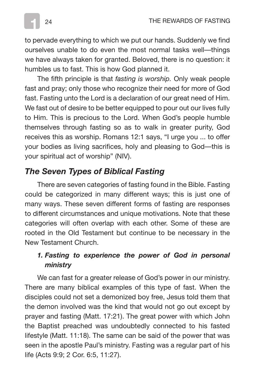to pervade everything to which we put our hands. Suddenly we find ourselves unable to do even the most normal tasks well—things we have always taken for granted. Beloved, there is no question: it humbles us to fast. This is how God planned it.

The fifth principle is that *fasting is worship.* Only weak people fast and pray; only those who recognize their need for more of God fast. Fasting unto the Lord is a declaration of our great need of Him. We fast out of desire to be better equipped to pour out our lives fully to Him. This is precious to the Lord. When God's people humble themselves through fasting so as to walk in greater purity, God receives this as worship. Romans 12:1 says, "I urge you ... to offer your bodies as living sacrifices, holy and pleasing to God—this is your spiritual act of worship" (NIV).

# *The Seven Types of Biblical Fasting*

There are seven categories of fasting found in the Bible. Fasting could be categorized in many different ways; this is just one of many ways. These seven different forms of fasting are responses to different circumstances and unique motivations. Note that these categories will often overlap with each other. Some of these are rooted in the Old Testament but continue to be necessary in the New Testament Church.

# *1. Fasting to experience the power of God in personal ministry*

We can fast for a greater release of God's power in our ministry. There are many biblical examples of this type of fast. When the disciples could not set a demonized boy free, Jesus told them that the demon involved was the kind that would not go out except by prayer and fasting (Matt. 17:21). The great power with which John the Baptist preached was undoubtedly connected to his fasted lifestyle (Matt. 11:18). The same can be said of the power that was seen in the apostle Paul's ministry. Fasting was a regular part of his life (Acts 9:9; 2 Cor. 6:5, 11:27).

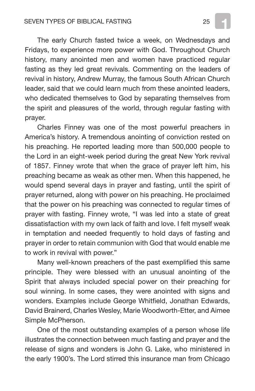The early Church fasted twice a week, on Wednesdays and Fridays, to experience more power with God. Throughout Church history, many anointed men and women have practiced regular fasting as they led great revivals. Commenting on the leaders of revival in history, Andrew Murray, the famous South African Church leader, said that we could learn much from these anointed leaders, who dedicated themselves to God by separating themselves from the spirit and pleasures of the world, through regular fasting with prayer.

Charles Finney was one of the most powerful preachers in America's history. A tremendous anointing of conviction rested on his preaching. He reported leading more than 500,000 people to the Lord in an eight-week period during the great New York revival of 1857. Finney wrote that when the grace of prayer left him, his preaching became as weak as other men. When this happened, he would spend several days in prayer and fasting, until the spirit of prayer returned, along with power on his preaching. He proclaimed that the power on his preaching was connected to regular times of prayer with fasting. Finney wrote, "I was led into a state of great dissatisfaction with my own lack of faith and love. I felt myself weak in temptation and needed frequently to hold days of fasting and prayer in order to retain communion with God that would enable me to work in revival with power."

Many well-known preachers of the past exemplified this same principle. They were blessed with an unusual anointing of the Spirit that always included special power on their preaching for soul winning. In some cases, they were anointed with signs and wonders. Examples include George Whitfield, Jonathan Edwards, David Brainerd, Charles Wesley, Marie Woodworth-Etter, and Aimee Simple McPherson.

One of the most outstanding examples of a person whose life illustrates the connection between much fasting and prayer and the release of signs and wonders is John G. Lake, who ministered in the early 1900's. The Lord stirred this insurance man from Chicago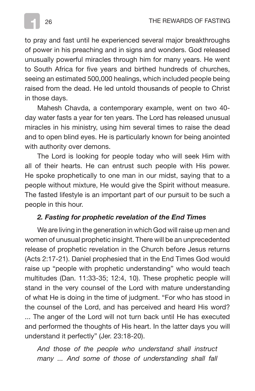

to pray and fast until he experienced several major breakthroughs of power in his preaching and in signs and wonders. God released unusually powerful miracles through him for many years. He went to South Africa for five years and birthed hundreds of churches, seeing an estimated 500,000 healings, which included people being raised from the dead. He led untold thousands of people to Christ in those days.

Mahesh Chavda, a contemporary example, went on two 40 day water fasts a year for ten years. The Lord has released unusual miracles in his ministry, using him several times to raise the dead and to open blind eyes. He is particularly known for being anointed with authority over demons.

The Lord is looking for people today who will seek Him with all of their hearts. He can entrust such people with His power. He spoke prophetically to one man in our midst, saying that to a people without mixture, He would give the Spirit without measure. The fasted lifestyle is an important part of our pursuit to be such a people in this hour.

# *2. Fasting for prophetic revelation of the End Times*

We are living in the generation in which God will raise up men and women of unusual prophetic insight. There will be an unprecedented release of prophetic revelation in the Church before Jesus returns (Acts 2:17-21). Daniel prophesied that in the End Times God would raise up "people with prophetic understanding" who would teach multitudes (Dan. 11:33-35; 12:4, 10). These prophetic people will stand in the very counsel of the Lord with mature understanding of what He is doing in the time of judgment. "For who has stood in the counsel of the Lord, and has perceived and heard His word? ... The anger of the Lord will not turn back until He has executed and performed the thoughts of His heart. In the latter days you will understand it perfectly" (Jer. 23:18-20).

*And those of the people who understand shall instruct many ... And some of those of understanding shall fall*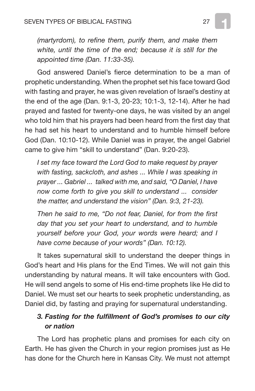*(martyrdom), to refine them, purify them, and make them white, until the time of the end; because it is still for the appointed time (Dan. 11:33-35).*

God answered Daniel's fierce determination to be a man of prophetic understanding. When the prophet set his face toward God with fasting and prayer, he was given revelation of Israel's destiny at the end of the age (Dan. 9:1-3, 20-23; 10:1-3, 12-14). After he had prayed and fasted for twenty-one days, he was visited by an angel who told him that his prayers had been heard from the first day that he had set his heart to understand and to humble himself before God (Dan. 10:10-12). While Daniel was in prayer, the angel Gabriel came to give him "skill to understand" (Dan. 9:20-23).

*I set my face toward the Lord God to make request by prayer with fasting, sackcloth, and ashes ... While I was speaking in prayer ... Gabriel ... talked with me, and said, "O Daniel, I have now come forth to give you skill to understand ... consider the matter, and understand the vision" (Dan. 9:3, 21-23).*

*Then he said to me, "Do not fear, Daniel, for from the first day that you set your heart to understand, and to humble yourself before your God, your words were heard; and I have come because of your words" (Dan. 10:12).*

It takes supernatural skill to understand the deeper things in God's heart and His plans for the End Times. We will not gain this understanding by natural means. It will take encounters with God. He will send angels to some of His end-time prophets like He did to Daniel. We must set our hearts to seek prophetic understanding, as Daniel did, by fasting and praying for supernatural understanding.

# *3. Fasting for the fulfillment of God's promises to our city or nation*

The Lord has prophetic plans and promises for each city on Earth. He has given the Church in your region promises just as He has done for the Church here in Kansas City. We must not attempt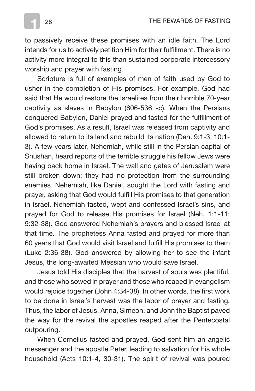

Scripture is full of examples of men of faith used by God to usher in the completion of His promises. For example, God had said that He would restore the Israelites from their horrible 70-year captivity as slaves in Babylon (606-536 bc). When the Persians conquered Babylon, Daniel prayed and fasted for the fulfillment of God's promises. As a result, Israel was released from captivity and allowed to return to its land and rebuild its nation (Dan. 9:1-3; 10:1- 3). A few years later, Nehemiah, while still in the Persian capital of Shushan, heard reports of the terrible struggle his fellow Jews were having back home in Israel. The wall and gates of Jerusalem were still broken down; they had no protection from the surrounding enemies. Nehemiah, like Daniel, sought the Lord with fasting and prayer, asking that God would fulfill His promises to that generation in Israel. Nehemiah fasted, wept and confessed Israel's sins, and prayed for God to release His promises for Israel (Neh. 1:1-11; 9:32-38). God answered Nehemiah's prayers and blessed Israel at that time. The prophetess Anna fasted and prayed for more than 60 years that God would visit Israel and fulfill His promises to them (Luke 2:36-38). God answered by allowing her to see the infant Jesus, the long-awaited Messiah who would save Israel.

Jesus told His disciples that the harvest of souls was plentiful, and those who sowed in prayer and those who reaped in evangelism would rejoice together (John 4:34-38). In other words, the first work to be done in Israel's harvest was the labor of prayer and fasting. Thus, the labor of Jesus, Anna, Simeon, and John the Baptist paved the way for the revival the apostles reaped after the Pentecostal outpouring.

When Cornelius fasted and prayed, God sent him an angelic messenger and the apostle Peter, leading to salvation for his whole household (Acts 10:1-4, 30-31). The spirit of revival was poured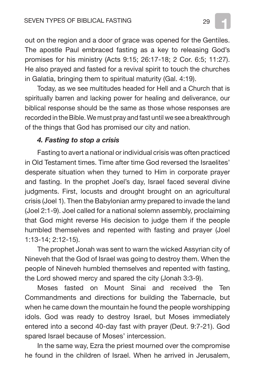out on the region and a door of grace was opened for the Gentiles. The apostle Paul embraced fasting as a key to releasing God's promises for his ministry (Acts 9:15; 26:17-18; 2 Cor. 6:5; 11:27). He also prayed and fasted for a revival spirit to touch the churches in Galatia, bringing them to spiritual maturity (Gal. 4:19).

Today, as we see multitudes headed for Hell and a Church that is spiritually barren and lacking power for healing and deliverance, our biblical response should be the same as those whose responses are recorded in the Bible. We must pray and fast until we see a breakthrough of the things that God has promised our city and nation.

## *4. Fasting to stop a crisis*

Fasting to avert a national or individual crisis was often practiced in Old Testament times. Time after time God reversed the Israelites' desperate situation when they turned to Him in corporate prayer and fasting. In the prophet Joel's day, Israel faced several divine judgments. First, locusts and drought brought on an agricultural crisis (Joel 1). Then the Babylonian army prepared to invade the land (Joel 2:1-9). Joel called for a national solemn assembly, proclaiming that God might reverse His decision to judge them if the people humbled themselves and repented with fasting and prayer (Joel 1:13-14; 2:12-15).

The prophet Jonah was sent to warn the wicked Assyrian city of Nineveh that the God of Israel was going to destroy them. When the people of Nineveh humbled themselves and repented with fasting, the Lord showed mercy and spared the city (Jonah 3:3-9).

Moses fasted on Mount Sinai and received the Ten Commandments and directions for building the Tabernacle, but when he came down the mountain he found the people worshipping idols. God was ready to destroy Israel, but Moses immediately entered into a second 40-day fast with prayer (Deut. 9:7-21). God spared Israel because of Moses' intercession.

In the same way, Ezra the priest mourned over the compromise he found in the children of Israel. When he arrived in Jerusalem,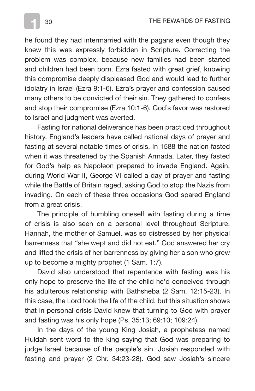he found they had intermarried with the pagans even though they knew this was expressly forbidden in Scripture. Correcting the problem was complex, because new families had been started and children had been born. Ezra fasted with great grief, knowing this compromise deeply displeased God and would lead to further idolatry in Israel (Ezra 9:1-6). Ezra's prayer and confession caused many others to be convicted of their sin. They gathered to confess and stop their compromise (Ezra 10:1-6). God's favor was restored to Israel and judgment was averted.

Fasting for national deliverance has been practiced throughout history. England's leaders have called national days of prayer and fasting at several notable times of crisis. In 1588 the nation fasted when it was threatened by the Spanish Armada. Later, they fasted for God's help as Napoleon prepared to invade England. Again, during World War II, George VI called a day of prayer and fasting while the Battle of Britain raged, asking God to stop the Nazis from invading. On each of these three occasions God spared England from a great crisis.

The principle of humbling oneself with fasting during a time of crisis is also seen on a personal level throughout Scripture. Hannah, the mother of Samuel, was so distressed by her physical barrenness that "she wept and did not eat." God answered her cry and lifted the crisis of her barrenness by giving her a son who grew up to become a mighty prophet (1 Sam. 1:7).

David also understood that repentance with fasting was his only hope to preserve the life of the child he'd conceived through his adulterous relationship with Bathsheba (2 Sam. 12:15-23). In this case, the Lord took the life of the child, but this situation shows that in personal crisis David knew that turning to God with prayer and fasting was his only hope (Ps. 35:13; 69:10; 109:24).

In the days of the young King Josiah, a prophetess named Huldah sent word to the king saying that God was preparing to judge Israel because of the people's sin. Josiah responded with fasting and prayer (2 Chr. 34:23-28). God saw Josiah's sincere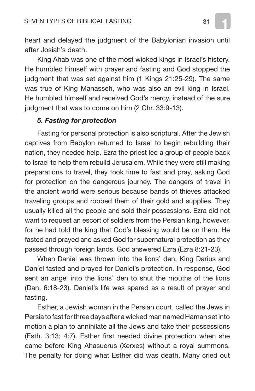

heart and delayed the judgment of the Babylonian invasion until after Josiah's death.

King Ahab was one of the most wicked kings in Israel's history. He humbled himself with prayer and fasting and God stopped the judgment that was set against him (1 Kings 21:25-29). The same was true of King Manasseh, who was also an evil king in Israel. He humbled himself and received God's mercy, instead of the sure judgment that was to come on him (2 Chr. 33:9-13).

### *5. Fasting for protection*

Fasting for personal protection is also scriptural. After the Jewish captives from Babylon returned to Israel to begin rebuilding their nation, they needed help. Ezra the priest led a group of people back to Israel to help them rebuild Jerusalem. While they were still making preparations to travel, they took time to fast and pray, asking God for protection on the dangerous journey. The dangers of travel in the ancient world were serious because bands of thieves attacked traveling groups and robbed them of their gold and supplies. They usually killed all the people and sold their possessions. Ezra did not want to request an escort of soldiers from the Persian king, however, for he had told the king that God's blessing would be on them. He fasted and prayed and asked God for supernatural protection as they passed through foreign lands. God answered Ezra (Ezra 8:21-23).

When Daniel was thrown into the lions' den, King Darius and Daniel fasted and prayed for Daniel's protection. In response, God sent an angel into the lions' den to shut the mouths of the lions (Dan. 6:18-23). Daniel's life was spared as a result of prayer and fasting.

Esther, a Jewish woman in the Persian court, called the Jews in Persia to fast for three days after a wicked man named Haman set into motion a plan to annihilate all the Jews and take their possessions (Esth. 3:13; 4:7). Esther first needed divine protection when she came before King Ahasuerus (Xerxes) without a royal summons. The penalty for doing what Esther did was death. Many cried out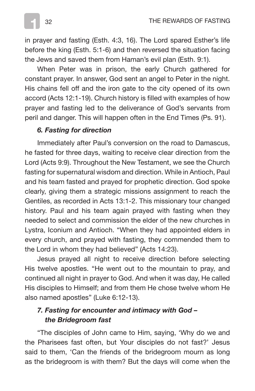

in prayer and fasting (Esth. 4:3, 16). The Lord spared Esther's life before the king (Esth. 5:1-6) and then reversed the situation facing the Jews and saved them from Haman's evil plan (Esth. 9:1).

When Peter was in prison, the early Church gathered for constant prayer. In answer, God sent an angel to Peter in the night. His chains fell off and the iron gate to the city opened of its own accord (Acts 12:1-19). Church history is filled with examples of how prayer and fasting led to the deliverance of God's servants from peril and danger. This will happen often in the End Times (Ps. 91).

# *6. Fasting for direction*

Immediately after Paul's conversion on the road to Damascus, he fasted for three days, waiting to receive clear direction from the Lord (Acts 9:9). Throughout the New Testament, we see the Church fasting for supernatural wisdom and direction. While in Antioch, Paul and his team fasted and prayed for prophetic direction. God spoke clearly, giving them a strategic missions assignment to reach the Gentiles, as recorded in Acts 13:1-2. This missionary tour changed history. Paul and his team again prayed with fasting when they needed to select and commission the elder of the new churches in Lystra, Iconium and Antioch. "When they had appointed elders in every church, and prayed with fasting, they commended them to the Lord in whom they had believed" (Acts 14:23).

Jesus prayed all night to receive direction before selecting His twelve apostles. "He went out to the mountain to pray, and continued all night in prayer to God. And when it was day, He called His disciples to Himself; and from them He chose twelve whom He also named apostles" (Luke 6:12-13).

# *7. Fasting for encounter and intimacy with God – the Bridegroom fast*

"The disciples of John came to Him, saying, 'Why do we and the Pharisees fast often, but Your disciples do not fast?' Jesus said to them, 'Can the friends of the bridegroom mourn as long as the bridegroom is with them? But the days will come when the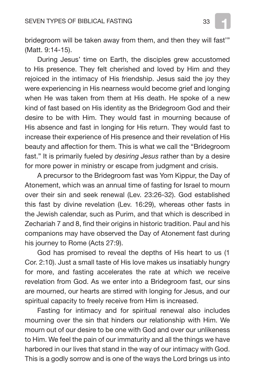

bridegroom will be taken away from them, and then they will fast'" (Matt. 9:14-15).

During Jesus' time on Earth, the disciples grew accustomed to His presence. They felt cherished and loved by Him and they rejoiced in the intimacy of His friendship. Jesus said the joy they were experiencing in His nearness would become grief and longing when He was taken from them at His death. He spoke of a new kind of fast based on His identity as the Bridegroom God and their desire to be with Him. They would fast in mourning because of His absence and fast in longing for His return. They would fast to increase their experience of His presence and their revelation of His beauty and affection for them. This is what we call the "Bridegroom fast." It is primarily fueled by *desiring Jesus* rather than by a desire for more power in ministry or escape from judgment and crisis.

A precursor to the Bridegroom fast was Yom Kippur, the Day of Atonement, which was an annual time of fasting for Israel to mourn over their sin and seek renewal (Lev. 23:26-32). God established this fast by divine revelation (Lev. 16:29), whereas other fasts in the Jewish calendar, such as Purim, and that which is described in Zechariah 7 and 8, find their origins in historic tradition. Paul and his companions may have observed the Day of Atonement fast during his journey to Rome (Acts 27:9).

God has promised to reveal the depths of His heart to us (1 Cor. 2:10). Just a small taste of His love makes us insatiably hungry for more, and fasting accelerates the rate at which we receive revelation from God. As we enter into a Bridegroom fast, our sins are mourned, our hearts are stirred with longing for Jesus, and our spiritual capacity to freely receive from Him is increased.

Fasting for intimacy and for spiritual renewal also includes mourning over the sin that hinders our relationship with Him. We mourn out of our desire to be one with God and over our unlikeness to Him. We feel the pain of our immaturity and all the things we have harbored in our lives that stand in the way of our intimacy with God. This is a godly sorrow and is one of the ways the Lord brings us into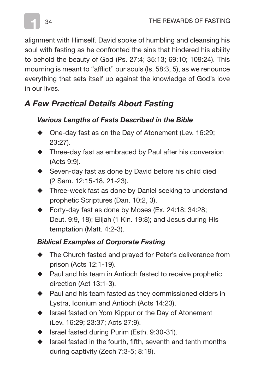

### *A Few Practical Details About Fasting*

#### *Various Lengths of Fasts Described in the Bible*

- ◆ One-day fast as on the Day of Atonement (Lev. 16:29; 23:27).
- ◆ Three-day fast as embraced by Paul after his conversion (Acts 9:9).
- ◆ Seven-day fast as done by David before his child died (2 Sam. 12:15-18, 21-23).
- ◆ Three-week fast as done by Daniel seeking to understand prophetic Scriptures (Dan. 10:2, 3).
- ◆ Forty-day fast as done by Moses (Ex. 24:18; 34:28; Deut. 9:9, 18); Elijah (1 Kin. 19:8); and Jesus during His temptation (Matt. 4:2-3).

#### *Biblical Examples of Corporate Fasting*

- ◆ The Church fasted and prayed for Peter's deliverance from prison (Acts 12:1-19).
- ◆ Paul and his team in Antioch fasted to receive prophetic direction (Act 13:1-3).
- ◆ Paul and his team fasted as they commissioned elders in Lystra, Iconium and Antioch (Acts 14:23).
- ◆ Israel fasted on Yom Kippur or the Day of Atonement (Lev. 16:29; 23:37; Acts 27:9).
- ◆ Israel fasted during Purim (Esth. 9:30-31).
- ◆ Israel fasted in the fourth, fifth, seventh and tenth months during captivity (Zech 7:3-5; 8:19).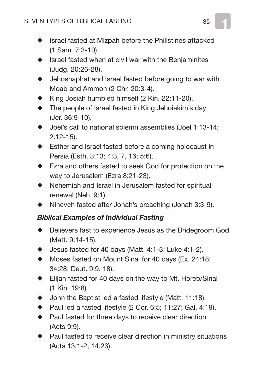- ◆ Israel fasted at Mizpah before the Philistines attacked (1 Sam. 7:3-10).
- $\blacklozenge$  Israel fasted when at civil war with the Benjaminites (Judg. 20:26-28).
- ◆ Jehoshaphat and Israel fasted before going to war with Moab and Ammon (2 Chr. 20:3-4).
- ◆ King Josiah humbled himself (2 Kin. 22:11-20).
- ◆ The people of Israel fasted in King Jehoiakim's day (Jer. 36:9-10).
- ◆ Joel's call to national solemn assemblies (Joel 1:13-14; 2:12-15).
- ◆ Esther and Israel fasted before a coming holocaust in Persia (Esth. 3:13; 4:3, 7, 16; 5:6).
- ◆ Ezra and others fasted to seek God for protection on the way to Jerusalem (Ezra 8:21-23).
- ◆ Nehemiah and Israel in Jerusalem fasted for spiritual renewal (Neh. 9:1).
- ◆ Nineveh fasted after Jonah's preaching (Jonah 3:3-9).

#### *Biblical Examples of Individual Fasting*

- ◆ Believers fast to experience Jesus as the Bridegroom God (Matt. 9:14-15).
- ◆ Jesus fasted for 40 days (Matt. 4:1-3; Luke 4:1-2).
- ◆ Moses fasted on Mount Sinai for 40 days (Ex. 24:18; 34:28; Deut. 9:9, 18).
- ◆ Elijah fasted for 40 days on the way to Mt. Horeb/Sinai (1 Kin. 19:8).
- ◆ John the Baptist led a fasted lifestyle (Matt. 11:18).
- $\blacklozenge$  Paul led a fasted lifestyle (2 Cor. 6:5; 11:27; Gal. 4:19).
- ◆ Paul fasted for three days to receive clear direction (Acts 9:9).
- ◆ Paul fasted to receive clear direction in ministry situations (Acts 13:1-2; 14:23).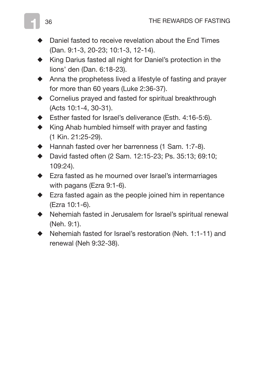- - Daniel fasted to receive revelation about the End Times (Dan. 9:1-3, 20-23; 10:1-3, 12-14).
	- ◆ King Darius fasted all night for Daniel's protection in the lions' den (Dan. 6:18-23).
	- ◆ Anna the prophetess lived a lifestyle of fasting and prayer for more than 60 years (Luke 2:36-37).
	- ◆ Cornelius prayed and fasted for spiritual breakthrough (Acts 10:1-4, 30-31).
	- ◆ Esther fasted for Israel's deliverance (Esth. 4:16-5:6).
	- ◆ King Ahab humbled himself with prayer and fasting (1 Kin. 21:25-29).
	- ◆ Hannah fasted over her barrenness (1 Sam. 1:7-8).
	- ◆ David fasted often (2 Sam. 12:15-23; Ps. 35:13; 69:10; 109:24).
	- ◆ Ezra fasted as he mourned over Israel's intermarriages with pagans (Ezra 9:1-6).
	- ◆ Ezra fasted again as the people joined him in repentance (Ezra 10:1-6).
	- ◆ Nehemiah fasted in Jerusalem for Israel's spiritual renewal (Neh. 9:1).
	- ◆ Nehemiah fasted for Israel's restoration (Neh. 1:1-11) and renewal (Neh 9:32-38).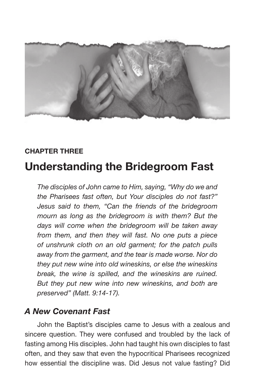

# **Chapter Three Understanding the Bridegroom Fast**

*The disciples of John came to Him, saying, "Why do we and the Pharisees fast often, but Your disciples do not fast?" Jesus said to them, "Can the friends of the bridegroom mourn as long as the bridegroom is with them? But the days will come when the bridegroom will be taken away from them, and then they will fast. No one puts a piece of unshrunk cloth on an old garment; for the patch pulls away from the garment, and the tear is made worse. Nor do they put new wine into old wineskins, or else the wineskins break, the wine is spilled, and the wineskins are ruined. But they put new wine into new wineskins, and both are preserved" (Matt. 9:14-17).*

### *A New Covenant Fast*

John the Baptist's disciples came to Jesus with a zealous and sincere question. They were confused and troubled by the lack of fasting among His disciples. John had taught his own disciples to fast often, and they saw that even the hypocritical Pharisees recognized how essential the discipline was. Did Jesus not value fasting? Did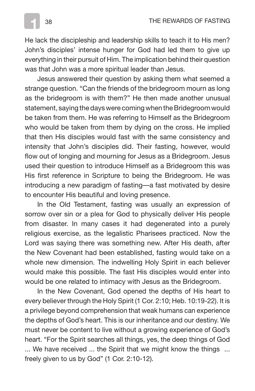

Jesus answered their question by asking them what seemed a strange question. "Can the friends of the bridegroom mourn as long as the bridegroom is with them?" He then made another unusual statement, saying the days were coming when the Bridegroom would be taken from them. He was referring to Himself as the Bridegroom who would be taken from them by dying on the cross. He implied that then His disciples would fast with the same consistency and intensity that John's disciples did. Their fasting, however, would flow out of longing and mourning for Jesus as a Bridegroom. Jesus used their question to introduce Himself as a Bridegroom this was His first reference in Scripture to being the Bridegroom. He was introducing a new paradigm of fasting—a fast motivated by desire to encounter His beautiful and loving presence.

In the Old Testament, fasting was usually an expression of sorrow over sin or a plea for God to physically deliver His people from disaster. In many cases it had degenerated into a purely religious exercise, as the legalistic Pharisees practiced. Now the Lord was saying there was something new. After His death, after the New Covenant had been established, fasting would take on a whole new dimension. The indwelling Holy Spirit in each believer would make this possible. The fast His disciples would enter into would be one related to intimacy with Jesus as the Bridegroom.

In the New Covenant, God opened the depths of His heart to every believer through the Holy Spirit (1 Cor. 2:10; Heb. 10:19-22). It is a privilege beyond comprehension that weak humans can experience the depths of God's heart. This is our inheritance and our destiny. We must never be content to live without a growing experience of God's heart. "For the Spirit searches all things, yes, the deep things of God ... We have received ... the Spirit that we might know the things ... freely given to us by God" (1 Cor. 2:10-12).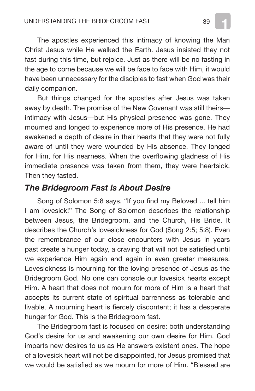The apostles experienced this intimacy of knowing the Man Christ Jesus while He walked the Earth. Jesus insisted they not fast during this time, but rejoice. Just as there will be no fasting in the age to come because we will be face to face with Him, it would have been unnecessary for the disciples to fast when God was their daily companion.

But things changed for the apostles after Jesus was taken away by death. The promise of the New Covenant was still theirs intimacy with Jesus—but His physical presence was gone. They mourned and longed to experience more of His presence. He had awakened a depth of desire in their hearts that they were not fully aware of until they were wounded by His absence. They longed for Him, for His nearness. When the overflowing gladness of His immediate presence was taken from them, they were heartsick. Then they fasted.

#### *The Bridegroom Fast is About Desire*

Song of Solomon 5:8 says, "If you find my Beloved ... tell him I am lovesick!" The Song of Solomon describes the relationship between Jesus, the Bridegroom, and the Church, His Bride. It describes the Church's lovesickness for God (Song 2:5; 5:8). Even the remembrance of our close encounters with Jesus in years past create a hunger today, a craving that will not be satisfied until we experience Him again and again in even greater measures. Lovesickness is mourning for the loving presence of Jesus as the Bridegroom God. No one can console our lovesick hearts except Him. A heart that does not mourn for more of Him is a heart that accepts its current state of spiritual barrenness as tolerable and livable. A mourning heart is fiercely discontent; it has a desperate hunger for God. This is the Bridegroom fast.

The Bridegroom fast is focused on desire: both understanding God's desire for us and awakening our own desire for Him. God imparts new desires to us as He answers existent ones. The hope of a lovesick heart will not be disappointed, for Jesus promised that we would be satisfied as we mourn for more of Him. "Blessed are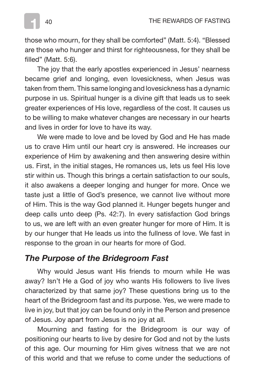

The joy that the early apostles experienced in Jesus' nearness became grief and longing, even lovesickness, when Jesus was taken from them. This same longing and lovesickness has a dynamic purpose in us. Spiritual hunger is a divine gift that leads us to seek greater experiences of His love, regardless of the cost. It causes us to be willing to make whatever changes are necessary in our hearts and lives in order for love to have its way.

We were made to love and be loved by God and He has made us to crave Him until our heart cry is answered. He increases our experience of Him by awakening and then answering desire within us. First, in the initial stages, He romances us, lets us feel His love stir within us. Though this brings a certain satisfaction to our souls, it also awakens a deeper longing and hunger for more. Once we taste just a little of God's presence, we cannot live without more of Him. This is the way God planned it. Hunger begets hunger and deep calls unto deep (Ps. 42:7). In every satisfaction God brings to us, we are left with an even greater hunger for more of Him. It is by our hunger that He leads us into the fullness of love. We fast in response to the groan in our hearts for more of God.

#### *The Purpose of the Bridegroom Fast*

Why would Jesus want His friends to mourn while He was away? Isn't He a God of joy who wants His followers to live lives characterized by that same joy? These questions bring us to the heart of the Bridegroom fast and its purpose. Yes, we were made to live in joy, but that joy can be found only in the Person and presence of Jesus. Joy apart from Jesus is no joy at all.

Mourning and fasting for the Bridegroom is our way of positioning our hearts to live by desire for God and not by the lusts of this age. Our mourning for Him gives witness that we are not of this world and that we refuse to come under the seductions of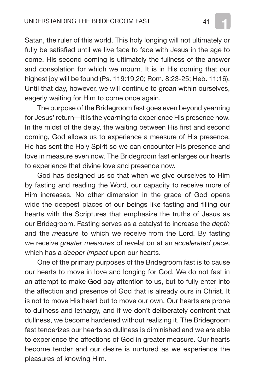Satan, the ruler of this world. This holy longing will not ultimately or fully be satisfied until we live face to face with Jesus in the age to come. His second coming is ultimately the fullness of the answer and consolation for which we mourn. It is in His coming that our highest joy will be found (Ps. 119:19,20; Rom. 8:23-25; Heb. 11:16). Until that day, however, we will continue to groan within ourselves, eagerly waiting for Him to come once again.

The purpose of the Bridegroom fast goes even beyond yearning for Jesus' return—it is the yearning to experience His presence now. In the midst of the delay, the waiting between His first and second coming, God allows us to experience a measure of His presence. He has sent the Holy Spirit so we can encounter His presence and love in measure even now. The Bridegroom fast enlarges our hearts to experience that divine love and presence now.

God has designed us so that when we give ourselves to Him by fasting and reading the Word, our capacity to receive more of Him increases. No other dimension in the grace of God opens wide the deepest places of our beings like fasting and filling our hearts with the Scriptures that emphasize the truths of Jesus as our Bridegroom. Fasting serves as a catalyst to increase the *depth* and the *measure* to which we receive from the Lord. By fasting we receive *greater measures* of revelation at an *accelerated pace*, which has a *deeper impact* upon our hearts.

One of the primary purposes of the Bridegroom fast is to cause our hearts to move in love and longing for God. We do not fast in an attempt to make God pay attention to us, but to fully enter into the affection and presence of God that is already ours in Christ. It is not to move His heart but to move our own. Our hearts are prone to dullness and lethargy, and if we don't deliberately confront that dullness, we become hardened without realizing it. The Bridegroom fast tenderizes our hearts so dullness is diminished and we are able to experience the affections of God in greater measure. Our hearts become tender and our desire is nurtured as we experience the pleasures of knowing Him.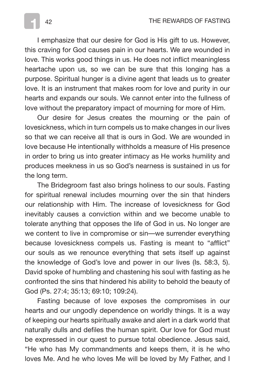I emphasize that our desire for God is His gift to us. However, this craving for God causes pain in our hearts. We are wounded in love. This works good things in us. He does not inflict meaningless heartache upon us, so we can be sure that this longing has a purpose. Spiritual hunger is a divine agent that leads us to greater love. It is an instrument that makes room for love and purity in our hearts and expands our souls. We cannot enter into the fullness of love without the preparatory impact of mourning for more of Him.

Our desire for Jesus creates the mourning or the pain of lovesickness, which in turn compels us to make changes in our lives so that we can receive all that is ours in God. We are wounded in love because He intentionally withholds a measure of His presence in order to bring us into greater intimacy as He works humility and produces meekness in us so God's nearness is sustained in us for the long term.

The Bridegroom fast also brings holiness to our souls. Fasting for spiritual renewal includes mourning over the sin that hinders our relationship with Him. The increase of lovesickness for God inevitably causes a conviction within and we become unable to tolerate anything that opposes the life of God in us. No longer are we content to live in compromise or sin—we surrender everything because lovesickness compels us. Fasting is meant to "afflict" our souls as we renounce everything that sets itself up against the knowledge of God's love and power in our lives (Is. 58:3, 5). David spoke of humbling and chastening his soul with fasting as he confronted the sins that hindered his ability to behold the beauty of God (Ps. 27:4; 35:13; 69:10; 109:24).

Fasting because of love exposes the compromises in our hearts and our ungodly dependence on worldly things. It is a way of keeping our hearts spiritually awake and alert in a dark world that naturally dulls and defiles the human spirit. Our love for God must be expressed in our quest to pursue total obedience. Jesus said, "He who has My commandments and keeps them, it is he who loves Me. And he who loves Me will be loved by My Father, and I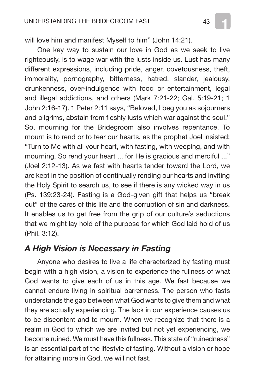will love him and manifest Myself to him" (John 14:21).

One key way to sustain our love in God as we seek to live righteously, is to wage war with the lusts inside us. Lust has many different expressions, including pride, anger, covetousness, theft, immorality, pornography, bitterness, hatred, slander, jealousy, drunkenness, over-indulgence with food or entertainment, legal and illegal addictions, and others (Mark 7:21-22; Gal. 5:19-21; 1 John 2:16-17). 1 Peter 2:11 says, "Beloved, I beg you as sojourners and pilgrims, abstain from fleshly lusts which war against the soul." So, mourning for the Bridegroom also involves repentance. To mourn is to rend or to tear our hearts, as the prophet Joel insisted: "Turn to Me with all your heart, with fasting, with weeping, and with mourning. So rend your heart ... for He is gracious and merciful ..." (Joel 2:12-13). As we fast with hearts tender toward the Lord, we are kept in the position of continually rending our hearts and inviting the Holy Spirit to search us, to see if there is any wicked way in us (Ps. 139:23-24). Fasting is a God-given gift that helps us "break out" of the cares of this life and the corruption of sin and darkness. It enables us to get free from the grip of our culture's seductions that we might lay hold of the purpose for which God laid hold of us (Phil. 3:12).

#### *A High Vision is Necessary in Fasting*

Anyone who desires to live a life characterized by fasting must begin with a high vision, a vision to experience the fullness of what God wants to give each of us in this age. We fast because we cannot endure living in spiritual barrenness. The person who fasts understands the gap between what God wants to give them and what they are actually experiencing. The lack in our experience causes us to be discontent and to mourn. When we recognize that there is a realm in God to which we are invited but not yet experiencing, we become ruined. We must have this fullness. This state of "ruinedness" is an essential part of the lifestyle of fasting. Without a vision or hope for attaining more in God, we will not fast.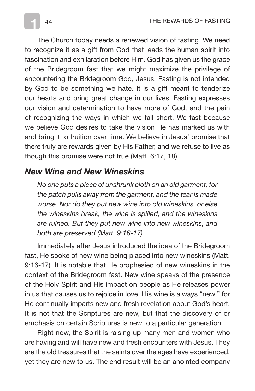The Church today needs a renewed vision of fasting. We need to recognize it as a gift from God that leads the human spirit into fascination and exhilaration before Him. God has given us the grace of the Bridegroom fast that we might maximize the privilege of encountering the Bridegroom God, Jesus. Fasting is not intended by God to be something we hate. It is a gift meant to tenderize our hearts and bring great change in our lives. Fasting expresses our vision and determination to have more of God, and the pain of recognizing the ways in which we fall short. We fast because we believe God desires to take the vision He has marked us with and bring it to fruition over time. We believe in Jesus' promise that there truly are rewards given by His Father, and we refuse to live as though this promise were not true (Matt. 6:17, 18).

#### *New Wine and New Wineskins*

*No one puts a piece of unshrunk cloth on an old garment; for the patch pulls away from the garment, and the tear is made worse. Nor do they put new wine into old wineskins, or else the wineskins break, the wine is spilled, and the wineskins are ruined. But they put new wine into new wineskins, and both are preserved (Matt. 9:16-17).*

Immediately after Jesus introduced the idea of the Bridegroom fast, He spoke of new wine being placed into new wineskins (Matt. 9:16-17). It is notable that He prophesied of new wineskins in the context of the Bridegroom fast. New wine speaks of the presence of the Holy Spirit and His impact on people as He releases power in us that causes us to rejoice in love. His wine is always "new," for He continually imparts new and fresh revelation about God's heart. It is not that the Scriptures are new, but that the discovery of or emphasis on certain Scriptures is new to a particular generation.

Right now, the Spirit is raising up many men and women who are having and will have new and fresh encounters with Jesus. They are the old treasures that the saints over the ages have experienced, yet they are new to us. The end result will be an anointed company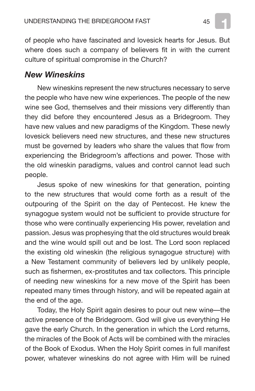of people who have fascinated and lovesick hearts for Jesus. But where does such a company of believers fit in with the current culture of spiritual compromise in the Church?

#### *New Wineskins*

New wineskins represent the new structures necessary to serve the people who have new wine experiences. The people of the new wine see God, themselves and their missions very differently than they did before they encountered Jesus as a Bridegroom. They have new values and new paradigms of the Kingdom. These newly lovesick believers need new structures, and these new structures must be governed by leaders who share the values that flow from experiencing the Bridegroom's affections and power. Those with the old wineskin paradigms, values and control cannot lead such people.

Jesus spoke of new wineskins for that generation, pointing to the new structures that would come forth as a result of the outpouring of the Spirit on the day of Pentecost. He knew the synagogue system would not be sufficient to provide structure for those who were continually experiencing His power, revelation and passion. Jesus was prophesying that the old structures would break and the wine would spill out and be lost. The Lord soon replaced the existing old wineskin (the religious synagogue structure) with a New Testament community of believers led by unlikely people, such as fishermen, ex-prostitutes and tax collectors. This principle of needing new wineskins for a new move of the Spirit has been repeated many times through history, and will be repeated again at the end of the age.

Today, the Holy Spirit again desires to pour out new wine—the active presence of the Bridegroom. God will give us everything He gave the early Church. In the generation in which the Lord returns, the miracles of the Book of Acts will be combined with the miracles of the Book of Exodus. When the Holy Spirit comes in full manifest power, whatever wineskins do not agree with Him will be ruined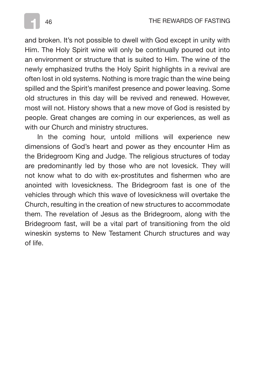and broken. It's not possible to dwell with God except in unity with Him. The Holy Spirit wine will only be continually poured out into an environment or structure that is suited to Him. The wine of the newly emphasized truths the Holy Spirit highlights in a revival are often lost in old systems. Nothing is more tragic than the wine being spilled and the Spirit's manifest presence and power leaving. Some old structures in this day will be revived and renewed. However, most will not. History shows that a new move of God is resisted by people. Great changes are coming in our experiences, as well as with our Church and ministry structures.

In the coming hour, untold millions will experience new dimensions of God's heart and power as they encounter Him as the Bridegroom King and Judge. The religious structures of today are predominantly led by those who are not lovesick. They will not know what to do with ex-prostitutes and fishermen who are anointed with lovesickness. The Bridegroom fast is one of the vehicles through which this wave of lovesickness will overtake the Church, resulting in the creation of new structures to accommodate them. The revelation of Jesus as the Bridegroom, along with the Bridegroom fast, will be a vital part of transitioning from the old wineskin systems to New Testament Church structures and way of life.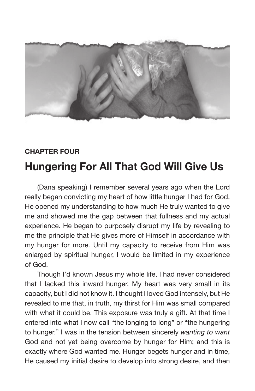

# **Chapter Four Hungering For All That God Will Give Us**

(Dana speaking) I remember several years ago when the Lord really began convicting my heart of how little hunger I had for God. He opened my understanding to how much He truly wanted to give me and showed me the gap between that fullness and my actual experience. He began to purposely disrupt my life by revealing to me the principle that He gives more of Himself in accordance with my hunger for more. Until my capacity to receive from Him was enlarged by spiritual hunger, I would be limited in my experience of God.

Though I'd known Jesus my whole life, I had never considered that I lacked this inward hunger. My heart was very small in its capacity, but I did not know it. I thought I loved God intensely, but He revealed to me that, in truth, my thirst for Him was small compared with what it could be. This exposure was truly a gift. At that time I entered into what I now call "the longing to long" or "the hungering to hunger." I was in the tension between sincerely *wanting to want*  God and not yet being overcome by hunger for Him; and this is exactly where God wanted me. Hunger begets hunger and in time, He caused my initial desire to develop into strong desire, and then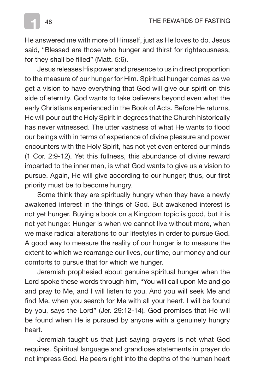

Jesus releases His power and presence to us in direct proportion to the measure of our hunger for Him. Spiritual hunger comes as we get a vision to have everything that God will give our spirit on this side of eternity. God wants to take believers beyond even what the early Christians experienced in the Book of Acts. Before He returns, He will pour out the Holy Spirit in degrees that the Church historically has never witnessed. The utter vastness of what He wants to flood our beings with in terms of experience of divine pleasure and power encounters with the Holy Spirit, has not yet even entered our minds (1 Cor. 2:9-12). Yet this fullness, this abundance of divine reward imparted to the inner man, is what God wants to give us a vision to pursue. Again, He will give according to our hunger; thus, our first priority must be to become hungry.

Some think they are spiritually hungry when they have a newly awakened interest in the things of God. But awakened interest is not yet hunger. Buying a book on a Kingdom topic is good, but it is not yet hunger. Hunger is when we cannot live without more, when we make radical alterations to our lifestyles in order to pursue God. A good way to measure the reality of our hunger is to measure the extent to which we rearrange our lives, our time, our money and our comforts to pursue that for which we hunger.

Jeremiah prophesied about genuine spiritual hunger when the Lord spoke these words through him, "You will call upon Me and go and pray to Me, and I will listen to you. And you will seek Me and find Me, when you search for Me with all your heart. I will be found by you, says the Lord" (Jer. 29:12-14)*.* God promises that He will be found when He is pursued by anyone with a genuinely hungry heart.

Jeremiah taught us that just saying prayers is not what God requires. Spiritual language and grandiose statements in prayer do not impress God. He peers right into the depths of the human heart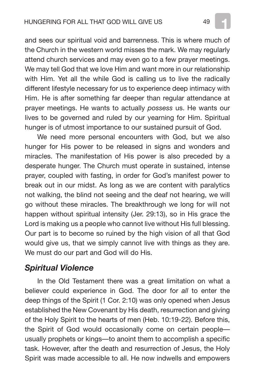and sees our spiritual void and barrenness. This is where much of the Church in the western world misses the mark. We may regularly attend church services and may even go to a few prayer meetings. We may tell God that we love Him and want more in our relationship with Him. Yet all the while God is calling us to live the radically different lifestyle necessary for us to experience deep intimacy with Him. He is after something far deeper than regular attendance at prayer meetings. He wants to actually *possess* us. He wants our lives to be governed and ruled by our yearning for Him. Spiritual hunger is of utmost importance to our sustained pursuit of God.

We need more personal encounters with God, but we also hunger for His power to be released in signs and wonders and miracles. The manifestation of His power is also preceded by a desperate hunger. The Church must operate in sustained, intense prayer, coupled with fasting, in order for God's manifest power to break out in our midst. As long as we are content with paralytics not walking, the blind not seeing and the deaf not hearing, we will go without these miracles. The breakthrough we long for will not happen without spiritual intensity (Jer. 29:13), so in His grace the Lord is making us a people who cannot live without His full blessing. Our part is to become so ruined by the high vision of all that God would give us, that we simply cannot live with things as they are. We must do our part and God will do His.

#### *Spiritual Violence*

In the Old Testament there was a great limitation on what a believer could experience in God. The door for *all* to enter the deep things of the Spirit (1 Cor. 2:10) was only opened when Jesus established the New Covenant by His death, resurrection and giving of the Holy Spirit to the hearts of men (Heb. 10:19-22). Before this, the Spirit of God would occasionally come on certain people usually prophets or kings—to anoint them to accomplish a specific task. However, after the death and resurrection of Jesus, the Holy Spirit was made accessible to all. He now indwells and empowers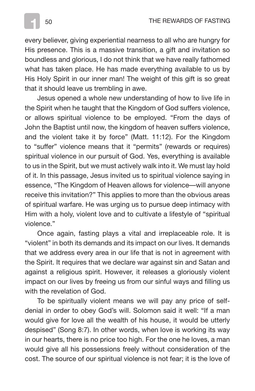

every believer, giving experiential nearness to all who are hungry for His presence. This is a massive transition, a gift and invitation so boundless and glorious, I do not think that we have really fathomed what has taken place. He has made everything available to us by His Holy Spirit in our inner man! The weight of this gift is so great that it should leave us trembling in awe.

Jesus opened a whole new understanding of how to live life in the Spirit when he taught that the Kingdom of God suffers violence, or allows spiritual violence to be employed. "From the days of John the Baptist until now, the kingdom of heaven suffers violence, and the violent take it by force" (Matt. 11:12). For the Kingdom to "suffer" violence means that it "permits" (rewards or requires) spiritual violence in our pursuit of God. Yes, everything is available to us in the Spirit, but we must actively walk into it. We must lay hold of it. In this passage, Jesus invited us to spiritual violence saying in essence, "The Kingdom of Heaven allows for violence—will anyone receive this invitation?" This applies to more than the obvious areas of spiritual warfare. He was urging us to pursue deep intimacy with Him with a holy, violent love and to cultivate a lifestyle of "spiritual violence."

Once again, fasting plays a vital and irreplaceable role. It is "violent" in both its demands and its impact on our lives. It demands that we address every area in our life that is not in agreement with the Spirit. It requires that we declare war against sin and Satan and against a religious spirit. However, it releases a gloriously violent impact on our lives by freeing us from our sinful ways and filling us with the revelation of God.

To be spiritually violent means we will pay any price of selfdenial in order to obey God's will. Solomon said it well: "If a man would give for love all the wealth of his house, it would be utterly despised" (Song 8:7). In other words, when love is working its way in our hearts, there is no price too high. For the one he loves, a man would give all his possessions freely without consideration of the cost. The source of our spiritual violence is not fear; it is the love of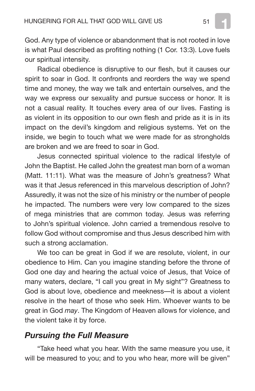God. Any type of violence or abandonment that is not rooted in love is what Paul described as profiting nothing (1 Cor. 13:3). Love fuels our spiritual intensity.

Radical obedience is disruptive to our flesh, but it causes our spirit to soar in God. It confronts and reorders the way we spend time and money, the way we talk and entertain ourselves, and the way we express our sexuality and pursue success or honor. It is not a casual reality. It touches every area of our lives. Fasting is as violent in its opposition to our own flesh and pride as it is in its impact on the devil's kingdom and religious systems. Yet on the inside, we begin to touch what we were made for as strongholds are broken and we are freed to soar in God.

Jesus connected spiritual violence to the radical lifestyle of John the Baptist. He called John the greatest man born of a woman (Matt. 11:11). What was the measure of John's greatness? What was it that Jesus referenced in this marvelous description of John? Assuredly, it was not the size of his ministry or the number of people he impacted. The numbers were very low compared to the sizes of mega ministries that are common today. Jesus was referring to John's spiritual violence. John carried a tremendous resolve to follow God without compromise and thus Jesus described him with such a strong acclamation.

We too can be great in God if we are resolute, violent, in our obedience to Him. Can you imagine standing before the throne of God one day and hearing the actual voice of Jesus, that Voice of many waters, declare, "I call you great in My sight"? Greatness to God is about love, obedience and meekness—it is about a violent resolve in the heart of those who seek Him. Whoever wants to be great in God *may*. The Kingdom of Heaven allows for violence, and the violent take it by force.

#### *Pursuing the Full Measure*

"Take heed what you hear. With the same measure you use, it will be measured to you; and to you who hear, more will be given"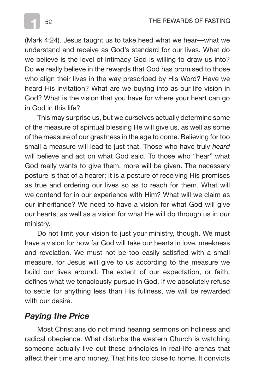

(Mark 4:24). Jesus taught us to take heed what we hear—what we understand and receive as God's standard for our lives. What do we believe is the level of intimacy God is willing to draw us into? Do we really believe in the rewards that God has promised to those who align their lives in the way prescribed by His Word? Have we heard His invitation? What are we buying into as our life vision in God? What is the vision that you have for where your heart can go in God in this life?

This may surprise us, but we ourselves actually determine some of the measure of spiritual blessing He will give us, as well as some of the measure of our greatness in the age to come. Believing for too small a measure will lead to just that. Those who have truly *heard* will believe and act on what God said. To those who "hear" what God really wants to give them, more will be given. The necessary posture is that of a hearer; it is a posture of receiving His promises as true and ordering our lives so as to reach for them. What will we contend for in our experience with Him? What will we claim as our inheritance? We need to have a vision for what God will give our hearts, as well as a vision for what He will do through us in our ministry.

Do not limit your vision to just your ministry, though. We must have a vision for how far God will take our hearts in love, meekness and revelation. We must not be too easily satisfied with a small measure, for Jesus will give to us according to the measure we build our lives around. The extent of our expectation, or faith, defines what we tenaciously pursue in God. If we absolutely refuse to settle for anything less than His fullness, we will be rewarded with our desire

#### *Paying the Price*

Most Christians do not mind hearing sermons on holiness and radical obedience. What disturbs the western Church is watching someone actually live out these principles in real-life arenas that affect their time and money. That hits too close to home. It convicts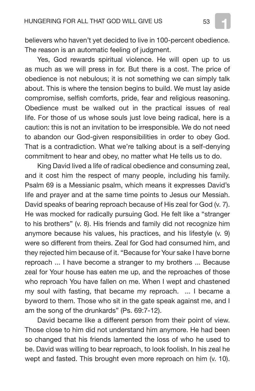believers who haven't yet decided to live in 100-percent obedience. The reason is an automatic feeling of judgment.

Yes, God rewards spiritual violence. He will open up to us as much as we will press in for. But there is a cost. The price of obedience is not nebulous; it is not something we can simply talk about. This is where the tension begins to build. We must lay aside compromise, selfish comforts, pride, fear and religious reasoning. Obedience must be walked out in the practical issues of real life. For those of us whose souls just love being radical, here is a caution: this is not an invitation to be irresponsible. We do not need to abandon our God-given responsibilities in order to obey God. That is a contradiction. What we're talking about is a self-denying commitment to hear and obey, no matter what He tells us to do.

King David lived a life of radical obedience and consuming zeal, and it cost him the respect of many people, including his family. Psalm 69 is a Messianic psalm, which means it expresses David's life and prayer and at the same time points to Jesus our Messiah. David speaks of bearing reproach because of His zeal for God (v. 7). He was mocked for radically pursuing God. He felt like a "stranger to his brothers" (v. 8). His friends and family did not recognize him anymore because his values, his practices, and his lifestyle (v. 9) were so different from theirs. Zeal for God had consumed him, and they rejected him because of it. "Because for Your sake I have borne reproach ... I have become a stranger to my brothers ... Because zeal for Your house has eaten me up, and the reproaches of those who reproach You have fallen on me. When I wept and chastened my soul with fasting, that became my reproach. ... I became a byword to them. Those who sit in the gate speak against me, and I am the song of the drunkards" (Ps. 69:7-12).

David became like a different person from their point of view. Those close to him did not understand him anymore. He had been so changed that his friends lamented the loss of who he used to be. David was willing to bear reproach, to look foolish. In his zeal he wept and fasted. This brought even more reproach on him (v. 10).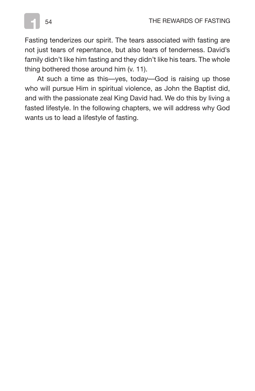

Fasting tenderizes our spirit. The tears associated with fasting are not just tears of repentance, but also tears of tenderness. David's family didn't like him fasting and they didn't like his tears. The whole thing bothered those around him (v. 11).

At such a time as this—yes, today—God is raising up those who will pursue Him in spiritual violence, as John the Baptist did, and with the passionate zeal King David had. We do this by living a fasted lifestyle. In the following chapters, we will address why God wants us to lead a lifestyle of fasting.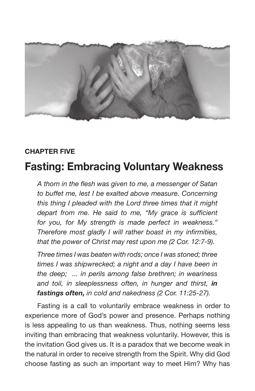

#### **Chapter Five**

## **Fasting: Embracing Voluntary Weakness**

*A thorn in the flesh was given to me, a messenger of Satan to buffet me, lest I be exalted above measure. Concerning this thing I pleaded with the Lord three times that it might depart from me. He said to me, "My grace is sufficient for you, for My strength is made perfect in weakness." Therefore most gladly I will rather boast in my infirmities, that the power of Christ may rest upon me (2 Cor. 12:7-9).*

*Three times I was beaten with rods; once I was stoned; three times I was shipwrecked; a night and a day I have been in the deep; ... in perils among false brethren; in weariness and toil, in sleeplessness often, in hunger and thirst, in fastings often, in cold and nakedness (2 Cor. 11:25-27).* 

Fasting is a call to voluntarily embrace weakness in order to experience more of God's power and presence. Perhaps nothing is less appealing to us than weakness. Thus, nothing seems less inviting than embracing that weakness voluntarily. However, this is the invitation God gives us. It is a paradox that we become weak in the natural in order to receive strength from the Spirit. Why did God choose fasting as such an important way to meet Him? Why has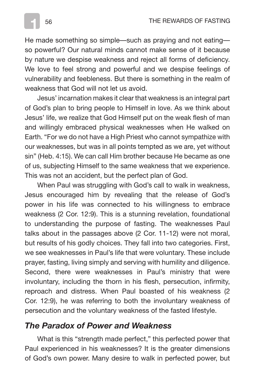He made something so simple—such as praying and not eating so powerful? Our natural minds cannot make sense of it because by nature we despise weakness and reject all forms of deficiency. We love to feel strong and powerful and we despise feelings of vulnerability and feebleness. But there is something in the realm of weakness that God will not let us avoid.

Jesus' incarnation makes it clear that weakness is an integral part of God's plan to bring people to Himself in love. As we think about Jesus' life, we realize that God Himself put on the weak flesh of man and willingly embraced physical weaknesses when He walked on Earth. "For we do not have a High Priest who cannot sympathize with our weaknesses, but was in all points tempted as we are, yet without sin" (Heb. 4:15). We can call Him brother because He became as one of us, subjecting Himself to the same weakness that we experience. This was not an accident, but the perfect plan of God.

When Paul was struggling with God's call to walk in weakness, Jesus encouraged him by revealing that the release of God's power in his life was connected to his willingness to embrace weakness (2 Cor. 12:9). This is a stunning revelation, foundational to understanding the purpose of fasting. The weaknesses Paul talks about in the passages above (2 Cor. 11-12) were not moral, but results of his godly choices. They fall into two categories. First, we see weaknesses in Paul's life that were voluntary. These include prayer, fasting, living simply and serving with humility and diligence. Second, there were weaknesses in Paul's ministry that were involuntary, including the thorn in his flesh, persecution, infirmity, reproach and distress. When Paul boasted of his weakness (2 Cor. 12:9), he was referring to both the involuntary weakness of persecution and the voluntary weakness of the fasted lifestyle.

#### *The Paradox of Power and Weakness*

What is this "strength made perfect," this perfected power that Paul experienced in his weaknesses? It is the greater dimensions of God's own power. Many desire to walk in perfected power, but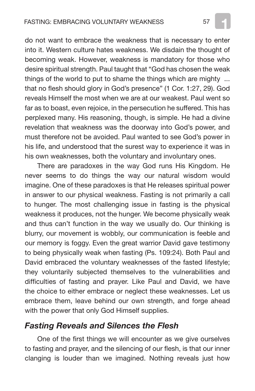do not want to embrace the weakness that is necessary to enter into it. Western culture hates weakness. We disdain the thought of becoming weak. However, weakness is mandatory for those who desire spiritual strength. Paul taught that "God has chosen the weak things of the world to put to shame the things which are mighty ... that no flesh should glory in God's presence" (1 Cor. 1:27, 29). God reveals Himself the most when we are at our weakest. Paul went so far as to boast, even rejoice, in the persecution he suffered. This has perplexed many. His reasoning, though, is simple. He had a divine revelation that weakness was the doorway into God's power, and must therefore not be avoided. Paul wanted to see God's power in his life, and understood that the surest way to experience it was in his own weaknesses, both the voluntary and involuntary ones.

There are paradoxes in the way God runs His Kingdom. He never seems to do things the way our natural wisdom would imagine. One of these paradoxes is that He releases spiritual power in answer to our physical weakness. Fasting is not primarily a call to hunger. The most challenging issue in fasting is the physical weakness it produces, not the hunger. We become physically weak and thus can't function in the way we usually do. Our thinking is blurry, our movement is wobbly, our communication is feeble and our memory is foggy. Even the great warrior David gave testimony to being physically weak when fasting (Ps. 109:24). Both Paul and David embraced the voluntary weaknesses of the fasted lifestyle; they voluntarily subjected themselves to the vulnerabilities and difficulties of fasting and prayer. Like Paul and David, we have the choice to either embrace or neglect these weaknesses. Let us embrace them, leave behind our own strength, and forge ahead with the power that only God Himself supplies.

#### *Fasting Reveals and Silences the Flesh*

One of the first things we will encounter as we give ourselves to fasting and prayer, and the silencing of our flesh, is that our inner clanging is louder than we imagined. Nothing reveals just how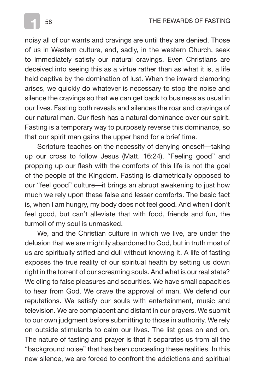noisy all of our wants and cravings are until they are denied. Those of us in Western culture, and, sadly, in the western Church, seek to immediately satisfy our natural cravings. Even Christians are deceived into seeing this as a virtue rather than as what it is, a life held captive by the domination of lust. When the inward clamoring arises, we quickly do whatever is necessary to stop the noise and silence the cravings so that we can get back to business as usual in our lives. Fasting both reveals and silences the roar and cravings of our natural man. Our flesh has a natural dominance over our spirit. Fasting is a temporary way to purposely reverse this dominance, so that our spirit man gains the upper hand for a brief time.

Scripture teaches on the necessity of denying oneself—taking up our cross to follow Jesus (Matt. 16:24). "Feeling good" and propping up our flesh with the comforts of this life is not the goal of the people of the Kingdom. Fasting is diametrically opposed to our "feel good" culture—it brings an abrupt awakening to just how much we rely upon these false and lesser comforts. The basic fact is, when I am hungry, my body does not feel good. And when I don't feel good, but can't alleviate that with food, friends and fun, the turmoil of my soul is unmasked.

We, and the Christian culture in which we live, are under the delusion that we are mightily abandoned to God, but in truth most of us are spiritually stifled and dull without knowing it. A life of fasting exposes the true reality of our spiritual health by setting us down right in the torrent of our screaming souls. And what is our real state? We cling to false pleasures and securities. We have small capacities to hear from God. We crave the approval of man. We defend our reputations. We satisfy our souls with entertainment, music and television. We are complacent and distant in our prayers. We submit to our own judgment before submitting to those in authority. We rely on outside stimulants to calm our lives. The list goes on and on. The nature of fasting and prayer is that it separates us from all the "background noise" that has been concealing these realities. In this new silence, we are forced to confront the addictions and spiritual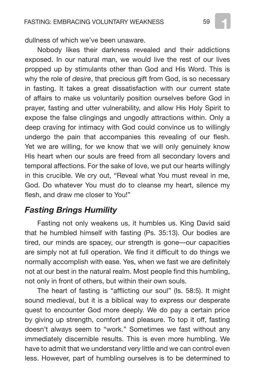dullness of which we've been unaware.

Nobody likes their darkness revealed and their addictions exposed. In our natural man, we would live the rest of our lives propped up by stimulants other than God and His Word. This is why the role of *desire*, that precious gift from God, is so necessary in fasting. It takes a great dissatisfaction with our current state of affairs to make us voluntarily position ourselves before God in prayer, fasting and utter vulnerability, and allow His Holy Spirit to expose the false clingings and ungodly attractions within. Only a deep craving for intimacy with God could convince us to willingly undergo the pain that accompanies this revealing of our flesh. Yet we are willing, for we know that we will only genuinely know His heart when our souls are freed from all secondary lovers and temporal affections. For the sake of love, we put our hearts willingly in this crucible. We cry out, "Reveal what You must reveal in me, God. Do whatever You must do to cleanse my heart, silence my flesh, and draw me closer to You!"

#### *Fasting Brings Humility*

Fasting not only weakens us, it humbles us. King David said that he humbled himself with fasting (Ps. 35:13). Our bodies are tired, our minds are spacey, our strength is gone—our capacities are simply not at full operation. We find it difficult to do things we normally accomplish with ease. Yes, when we fast we are definitely not at our best in the natural realm. Most people find this humbling, not only in front of others, but within their own souls.

The heart of fasting is "afflicting our soul" (Is. 58:5). It might sound medieval, but it is a biblical way to express our desperate quest to encounter God more deeply. We do pay a certain price by giving up strength, comfort and pleasure. To top it off, fasting doesn't always seem to "work." Sometimes we fast without any immediately discernible results. This is even more humbling. We have to admit that we understand very little and we can control even less. However, part of humbling ourselves is to be determined to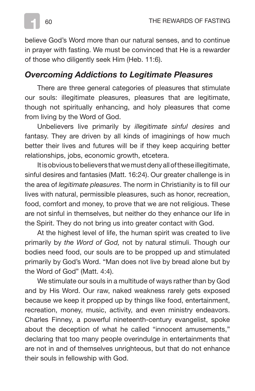

#### *Overcoming Addictions to Legitimate Pleasures*

There are three general categories of pleasures that stimulate our souls: illegitimate pleasures, pleasures that are legitimate, though not spiritually enhancing, and holy pleasures that come from living by the Word of God.

Unbelievers live primarily by *illegitimate sinful desires* and fantasy. They are driven by all kinds of imaginings of how much better their lives and futures will be if they keep acquiring better relationships, jobs, economic growth, etcetera.

It is obvious to believers that we must deny all of these illegitimate, sinful desires and fantasies (Matt. 16:24). Our greater challenge is in the area of *legitimate pleasures*. The norm in Christianity is to fill our lives with natural, permissible pleasures, such as honor, recreation, food, comfort and money, to prove that we are not religious. These are not sinful in themselves, but neither do they enhance our life in the Spirit. They do not bring us into greater contact with God.

At the highest level of life, the human spirit was created to live primarily by *the Word of God,* not by natural stimuli. Though our bodies need food, our souls are to be propped up and stimulated primarily by God's Word. "Man does not live by bread alone but by the Word of God" (Matt. 4:4).

We stimulate our souls in a multitude of ways rather than by God and by His Word. Our raw, naked weakness rarely gets exposed because we keep it propped up by things like food, entertainment, recreation, money, music, activity, and even ministry endeavors. Charles Finney, a powerful nineteenth-century evangelist, spoke about the deception of what he called "innocent amusements," declaring that too many people overindulge in entertainments that are not in and of themselves unrighteous, but that do not enhance their souls in fellowship with God.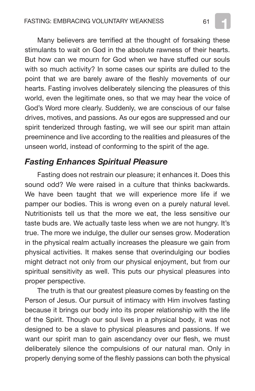Many believers are terrified at the thought of forsaking these stimulants to wait on God in the absolute rawness of their hearts. But how can we mourn for God when we have stuffed our souls with so much activity? In some cases our spirits are dulled to the point that we are barely aware of the fleshly movements of our hearts. Fasting involves deliberately silencing the pleasures of this world, even the legitimate ones, so that we may hear the voice of God's Word more clearly. Suddenly, we are conscious of our false drives, motives, and passions. As our egos are suppressed and our spirit tenderized through fasting, we will see our spirit man attain preeminence and live according to the realities and pleasures of the unseen world, instead of conforming to the spirit of the age.

#### *Fasting Enhances Spiritual Pleasure*

Fasting does not restrain our pleasure; it enhances it. Does this sound odd? We were raised in a culture that thinks backwards. We have been taught that we will experience more life if we pamper our bodies. This is wrong even on a purely natural level. Nutritionists tell us that the more we eat, the less sensitive our taste buds are. We actually taste less when we are not hungry. It's true. The more we indulge, the duller our senses grow. Moderation in the physical realm actually increases the pleasure we gain from physical activities. It makes sense that overindulging our bodies might detract not only from our physical enjoyment, but from our spiritual sensitivity as well. This puts our physical pleasures into proper perspective.

The truth is that our greatest pleasure comes by feasting on the Person of Jesus. Our pursuit of intimacy with Him involves fasting because it brings our body into its proper relationship with the life of the Spirit. Though our soul lives in a physical body, it was not designed to be a slave to physical pleasures and passions. If we want our spirit man to gain ascendancy over our flesh, we must deliberately silence the compulsions of our natural man. Only in properly denying some of the fleshly passions can both the physical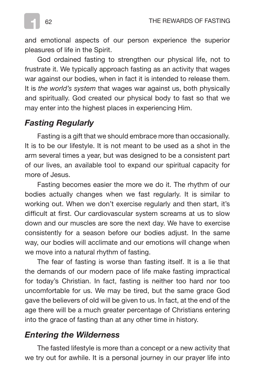

and emotional aspects of our person experience the superior pleasures of life in the Spirit.

God ordained fasting to strengthen our physical life, not to frustrate it. We typically approach fasting as an activity that wages war against our bodies, when in fact it is intended to release them. It is *the world's system* that wages war against us, both physically and spiritually. God created our physical body to fast so that we may enter into the highest places in experiencing Him.

#### *Fasting Regularly*

Fasting is a gift that we should embrace more than occasionally. It is to be our lifestyle. It is not meant to be used as a shot in the arm several times a year, but was designed to be a consistent part of our lives, an available tool to expand our spiritual capacity for more of Jesus.

Fasting becomes easier the more we do it. The rhythm of our bodies actually changes when we fast regularly. It is similar to working out. When we don't exercise regularly and then start, it's difficult at first. Our cardiovascular system screams at us to slow down and our muscles are sore the next day. We have to exercise consistently for a season before our bodies adjust. In the same way, our bodies will acclimate and our emotions will change when we move into a natural rhythm of fasting.

The fear of fasting is worse than fasting itself. It is a lie that the demands of our modern pace of life make fasting impractical for today's Christian. In fact, fasting is neither too hard nor too uncomfortable for us. We may be tired, but the same grace God gave the believers of old will be given to us. In fact, at the end of the age there will be a much greater percentage of Christians entering into the grace of fasting than at any other time in history.

#### *Entering the Wilderness*

The fasted lifestyle is more than a concept or a new activity that we try out for awhile. It is a personal journey in our prayer life into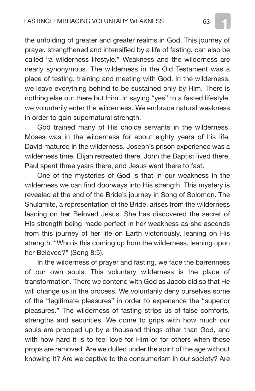63

the unfolding of greater and greater realms in God. This journey of prayer, strengthened and intensified by a life of fasting, can also be called "a wilderness lifestyle." Weakness and the wilderness are nearly synonymous. The wilderness in the Old Testament was a place of testing, training and meeting with God. In the wilderness, we leave everything behind to be sustained only by Him. There is nothing else out there but Him. In saying "yes" to a fasted lifestyle, we voluntarily enter the wilderness. We embrace natural weakness in order to gain supernatural strength.

God trained many of His choice servants in the wilderness. Moses was in the wilderness for about eighty years of his life. David matured in the wilderness. Joseph's prison experience was a wilderness time. Elijah retreated there, John the Baptist lived there, Paul spent three years there, and Jesus went there to fast.

One of the mysteries of God is that in our weakness in the wilderness we can find doorways into His strength. This mystery is revealed at the end of the Bride's journey in Song of Solomon. The Shulamite, a representation of the Bride, arises from the wilderness leaning on her Beloved Jesus. She has discovered the secret of His strength being made perfect in her weakness as she ascends from this journey of her life on Earth victoriously, leaning on His strength. "Who is this coming up from the wilderness, leaning upon her Beloved?" (Song 8:5).

In the wilderness of prayer and fasting, we face the barrenness of our own souls. This voluntary wilderness is the place of transformation. There we contend with God as Jacob did so that He will change us in the process. We voluntarily deny ourselves some of the "legitimate pleasures" in order to experience the "superior pleasures." The wilderness of fasting strips us of false comforts, strengths and securities. We come to grips with how much our souls are propped up by a thousand things other than God, and with how hard it is to feel love for Him or for others when those props are removed. Are we dulled under the spirit of the age without knowing it? Are we captive to the consumerism in our society? Are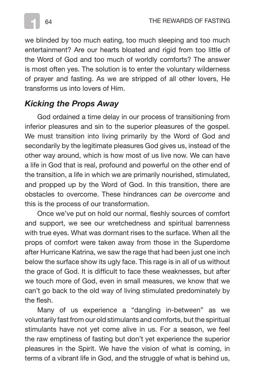we blinded by too much eating, too much sleeping and too much entertainment? Are our hearts bloated and rigid from too little of the Word of God and too much of worldly comforts? The answer is most often yes. The solution is to enter the voluntary wilderness of prayer and fasting. As we are stripped of all other lovers, He transforms us into lovers of Him.

### *Kicking the Props Away*

God ordained a time delay in our process of transitioning from inferior pleasures and sin to the superior pleasures of the gospel. We must transition into living primarily by the Word of God and secondarily by the legitimate pleasures God gives us, instead of the other way around, which is how most of us live now. We can have a life in God that is real, profound and powerful on the other end of the transition, a life in which we are primarily nourished, stimulated, and propped up by the Word of God. In this transition, there are obstacles to overcome. These hindrances *can be overcome* and this is the process of our transformation.

Once we've put on hold our normal, fleshly sources of comfort and support, we see our wretchedness and spiritual barrenness with true eyes. What was dormant rises to the surface. When all the props of comfort were taken away from those in the Superdome after Hurricane Katrina, we saw the rage that had been just one inch below the surface show its ugly face. This rage is in all of us without the grace of God. It is difficult to face these weaknesses, but after we touch more of God, even in small measures, we know that we can't go back to the old way of living stimulated predominately by the flesh.

Many of us experience a "dangling in-between" as we voluntarily fast from our old stimulants and comforts, but the spiritual stimulants have not yet come alive in us. For a season, we feel the raw emptiness of fasting but don't yet experience the superior pleasures in the Spirit. We have the vision of what is coming, in terms of a vibrant life in God, and the struggle of what is behind us,

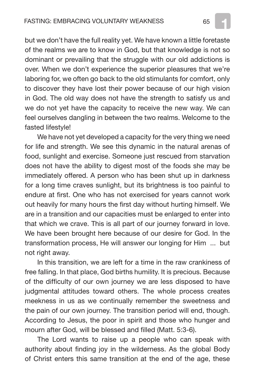but we don't have the full reality yet. We have known a little foretaste of the realms we are to know in God, but that knowledge is not so dominant or prevailing that the struggle with our old addictions is over. When we don't experience the superior pleasures that we're laboring for, we often go back to the old stimulants for comfort, only to discover they have lost their power because of our high vision in God. The old way does not have the strength to satisfy us and we do not yet have the capacity to receive the new way. We can feel ourselves dangling in between the two realms. Welcome to the fasted lifestyle!

We have not yet developed a capacity for the very thing we need for life and strength. We see this dynamic in the natural arenas of food, sunlight and exercise. Someone just rescued from starvation does not have the ability to digest most of the foods she may be immediately offered. A person who has been shut up in darkness for a long time craves sunlight, but its brightness is too painful to endure at first. One who has not exercised for years cannot work out heavily for many hours the first day without hurting himself. We are in a transition and our capacities must be enlarged to enter into that which we crave. This is all part of our journey forward in love. We have been brought here because of our desire for God. In the transformation process, He will answer our longing for Him ... but not right away.

In this transition, we are left for a time in the raw crankiness of free falling. In that place, God births humility. It is precious. Because of the difficulty of our own journey we are less disposed to have judgmental attitudes toward others. The whole process creates meekness in us as we continually remember the sweetness and the pain of our own journey. The transition period will end, though. According to Jesus, the poor in spirit and those who hunger and mourn after God, will be blessed and filled (Matt. 5:3-6).

The Lord wants to raise up a people who can speak with authority about finding joy in the wilderness. As the global Body of Christ enters this same transition at the end of the age, these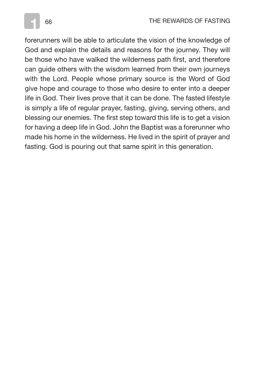forerunners will be able to articulate the vision of the knowledge of God and explain the details and reasons for the journey. They will be those who have walked the wilderness path first, and therefore can guide others with the wisdom learned from their own journeys with the Lord. People whose primary source is the Word of God give hope and courage to those who desire to enter into a deeper life in God. Their lives prove that it can be done. The fasted lifestyle is simply a life of regular prayer, fasting, giving, serving others, and blessing our enemies. The first step toward this life is to get a vision for having a deep life in God. John the Baptist was a forerunner who made his home in the wilderness. He lived in the spirit of prayer and fasting. God is pouring out that same spirit in this generation.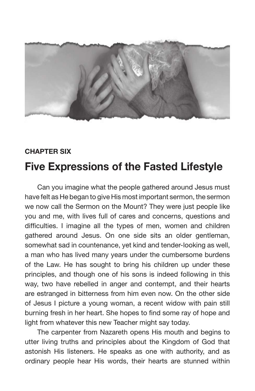

# **Chapter Six Five Expressions of the Fasted Lifestyle**

Can you imagine what the people gathered around Jesus must have felt as He began to give His most important sermon, the sermon we now call the Sermon on the Mount? They were just people like you and me, with lives full of cares and concerns, questions and difficulties. I imagine all the types of men, women and children gathered around Jesus. On one side sits an older gentleman, somewhat sad in countenance, yet kind and tender-looking as well, a man who has lived many years under the cumbersome burdens of the Law. He has sought to bring his children up under these principles, and though one of his sons is indeed following in this way, two have rebelled in anger and contempt, and their hearts are estranged in bitterness from him even now. On the other side of Jesus I picture a young woman, a recent widow with pain still burning fresh in her heart. She hopes to find some ray of hope and light from whatever this new Teacher might say today.

The carpenter from Nazareth opens His mouth and begins to utter living truths and principles about the Kingdom of God that astonish His listeners. He speaks as one with authority, and as ordinary people hear His words, their hearts are stunned within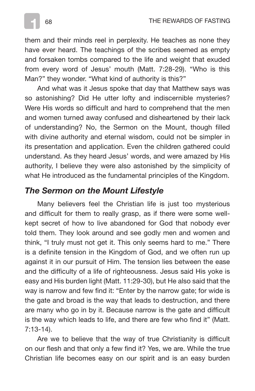

And what was it Jesus spoke that day that Matthew says was so astonishing? Did He utter lofty and indiscernible mysteries? Were His words so difficult and hard to comprehend that the men and women turned away confused and disheartened by their lack of understanding? No, the Sermon on the Mount, though filled with divine authority and eternal wisdom, could not be simpler in its presentation and application. Even the children gathered could understand. As they heard Jesus' words, and were amazed by His authority, I believe they were also astonished by the simplicity of what He introduced as the fundamental principles of the Kingdom.

#### *The Sermon on the Mount Lifestyle*

Many believers feel the Christian life is just too mysterious and difficult for them to really grasp, as if there were some wellkept secret of how to live abandoned for God that nobody ever told them. They look around and see godly men and women and think, "I truly must not get it. This only seems hard to me." There is a definite tension in the Kingdom of God, and we often run up against it in our pursuit of Him. The tension lies between the ease and the difficulty of a life of righteousness. Jesus said His yoke is easy and His burden light (Matt. 11:29-30), but He also said that the way is narrow and few find it: "Enter by the narrow gate; for wide is the gate and broad is the way that leads to destruction, and there are many who go in by it. Because narrow is the gate and difficult is the way which leads to life, and there are few who find it" (Matt. 7:13-14).

Are we to believe that the way of true Christianity is difficult on our flesh and that only a few find it? Yes, we are. While the true Christian life becomes easy on our spirit and is an easy burden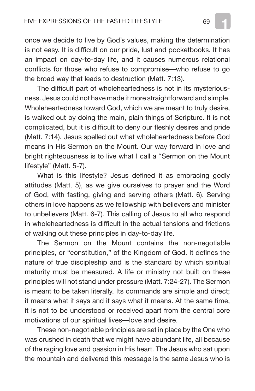once we decide to live by God's values, making the determination is not easy. It is difficult on our pride, lust and pocketbooks. It has an impact on day-to-day life, and it causes numerous relational conflicts for those who refuse to compromise—who refuse to go the broad way that leads to destruction (Matt. 7:13).

The difficult part of wholeheartedness is not in its mysteriousness. Jesus could not have made it more straightforward and simple. Wholeheartedness toward God, which we are meant to truly desire, is walked out by doing the main, plain things of Scripture. It is not complicated, but it is difficult to deny our fleshly desires and pride (Matt. 7:14). Jesus spelled out what wholeheartedness before God means in His Sermon on the Mount. Our way forward in love and bright righteousness is to live what I call a "Sermon on the Mount lifestyle" (Matt. 5-7).

What is this lifestyle? Jesus defined it as embracing godly attitudes (Matt. 5), as we give ourselves to prayer and the Word of God, with fasting, giving and serving others (Matt. 6). Serving others in love happens as we fellowship with believers and minister to unbelievers (Matt. 6-7). This calling of Jesus to all who respond in wholeheartedness is difficult in the actual tensions and frictions of walking out these principles in day-to-day life.

The Sermon on the Mount contains the non-negotiable principles, or "constitution," of the Kingdom of God. It defines the nature of true discipleship and is the standard by which spiritual maturity must be measured. A life or ministry not built on these principles will not stand under pressure (Matt. 7:24-27). The Sermon is meant to be taken literally. Its commands are simple and direct; it means what it says and it says what it means. At the same time, it is not to be understood or received apart from the central core motivations of our spiritual lives—love and desire.

These non-negotiable principles are set in place by the One who was crushed in death that we might have abundant life, all because of the raging love and passion in His heart. The Jesus who sat upon the mountain and delivered this message is the same Jesus who is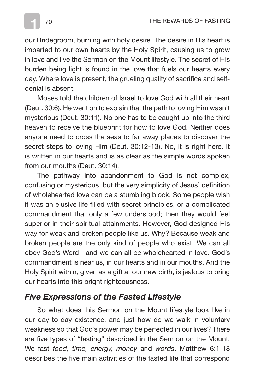

Moses told the children of Israel to love God with all their heart (Deut. 30:6). He went on to explain that the path to loving Him wasn't mysterious (Deut. 30:11). No one has to be caught up into the third heaven to receive the blueprint for how to love God. Neither does anyone need to cross the seas to far away places to discover the secret steps to loving Him (Deut. 30:12-13). No, it is right here. It is written in our hearts and is as clear as the simple words spoken from our mouths (Deut. 30:14).

The pathway into abandonment to God is not complex, confusing or mysterious, but the very simplicity of Jesus' definition of wholehearted love can be a stumbling block. Some people wish it was an elusive life filled with secret principles, or a complicated commandment that only a few understood; then they would feel superior in their spiritual attainments. However, God designed His way for weak and broken people like us. Why? Because weak and broken people are the only kind of people who exist. We can all obey God's Word—and we can all be wholehearted in love. God's commandment is near us, in our hearts and in our mouths. And the Holy Spirit within, given as a gift at our new birth, is jealous to bring our hearts into this bright righteousness.

## *Five Expressions of the Fasted Lifestyle*

So what does this Sermon on the Mount lifestyle look like in our day-to-day existence, and just how do we walk in voluntary weakness so that God's power may be perfected in our lives? There are five types of "fasting" described in the Sermon on the Mount. We fast *food, time, energy, money* and *words*. Matthew 6:1-18 describes the five main activities of the fasted life that correspond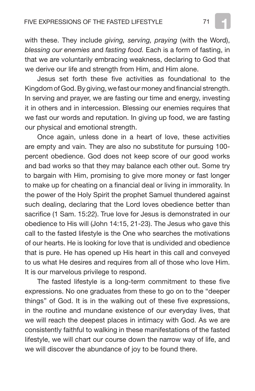with these. They include *giving, serving, praying* (with the Word), *blessing our enemies* and *fasting food.* Each is a form of fasting, in that we are voluntarily embracing weakness, declaring to God that we derive our life and strength from Him, and Him alone.

Jesus set forth these five activities as foundational to the Kingdom of God. By giving, we fast our money and financial strength. In serving and prayer, we are fasting our time and energy, investing it in others and in intercession. Blessing our enemies requires that we fast our words and reputation. In giving up food, we are fasting our physical and emotional strength.

Once again, unless done in a heart of love, these activities are empty and vain. They are also no substitute for pursuing 100 percent obedience. God does not keep score of our good works and bad works so that they may balance each other out. Some try to bargain with Him, promising to give more money or fast longer to make up for cheating on a financial deal or living in immorality. In the power of the Holy Spirit the prophet Samuel thundered against such dealing, declaring that the Lord loves obedience better than sacrifice (1 Sam. 15:22). True love for Jesus is demonstrated in our obedience to His will (John 14:15, 21-23). The Jesus who gave this call to the fasted lifestyle is the One who searches the motivations of our hearts. He is looking for love that is undivided and obedience that is pure. He has opened up His heart in this call and conveyed to us what He desires and requires from all of those who love Him. It is our marvelous privilege to respond.

The fasted lifestyle is a long-term commitment to these five expressions. No one graduates from these to go on to the "deeper things" of God. It is in the walking out of these five expressions, in the routine and mundane existence of our everyday lives, that we will reach the deepest places in intimacy with God. As we are consistently faithful to walking in these manifestations of the fasted lifestyle, we will chart our course down the narrow way of life, and we will discover the abundance of joy to be found there.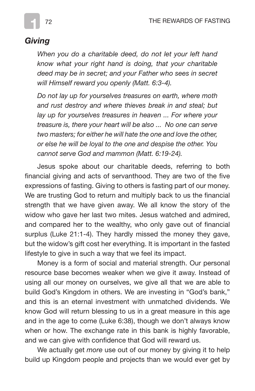

## *Giving*

*When you do a charitable deed, do not let your left hand know what your right hand is doing, that your charitable deed may be in secret; and your Father who sees in secret will Himself reward you openly (Matt. 6:3-4).*

*Do not lay up for yourselves treasures on earth, where moth and rust destroy and where thieves break in and steal; but lay up for yourselves treasures in heaven ... For where your treasure is, there your heart will be also ... No one can serve two masters; for either he will hate the one and love the other, or else he will be loyal to the one and despise the other. You cannot serve God and mammon (Matt. 6:19-24).*

Jesus spoke about our charitable deeds, referring to both financial giving and acts of servanthood. They are two of the five expressions of fasting. Giving to others is fasting part of our money. We are trusting God to return and multiply back to us the financial strength that we have given away. We all know the story of the widow who gave her last two mites. Jesus watched and admired, and compared her to the wealthy, who only gave out of financial surplus (Luke 21:1-4). They hardly missed the money they gave, but the widow's gift cost her everything. It is important in the fasted lifestyle to give in such a way that we feel its impact.

Money is a form of social and material strength. Our personal resource base becomes weaker when we give it away. Instead of using all our money on ourselves, we give all that we are able to build God's Kingdom in others. We are investing in "God's bank," and this is an eternal investment with unmatched dividends. We know God will return blessing to us in a great measure in this age and in the age to come (Luke 6:38), though we don't always know when or how. The exchange rate in this bank is highly favorable, and we can give with confidence that God will reward us.

We actually get *more* use out of our money by giving it to help build up Kingdom people and projects than we would ever get by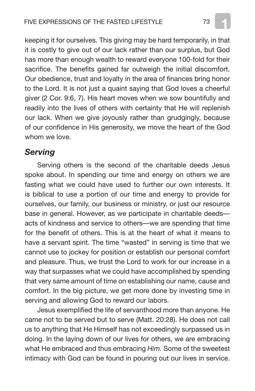keeping it for ourselves. This giving may be hard temporarily, in that it is costly to give out of our lack rather than our surplus, but God has more than enough wealth to reward everyone 100-fold for their sacrifice. The benefits gained far outweigh the initial discomfort. Our obedience, trust and loyalty in the area of finances bring honor to the Lord. It is not just a quaint saying that God loves a cheerful giver (2 Cor. 9:6, 7). His heart moves when we sow bountifully and readily into the lives of others with certainty that He will replenish our lack. When we give joyously rather than grudgingly, because of our confidence in His generosity, we move the heart of the God whom we love.

## *Serving*

Serving others is the second of the charitable deeds Jesus spoke about. In spending our time and energy on others we are fasting what we could have used to further our own interests. It is biblical to use a portion of our time and energy to provide for ourselves, our family, our business or ministry, or just our resource base in general. However, as we participate in charitable deeds acts of kindness and service to others—we are spending that time for the benefit of others. This is at the heart of what it means to have a servant spirit. The time "wasted" in serving is time that we cannot use to jockey for position or establish our personal comfort and pleasure. Thus, we trust the Lord to work for our increase in a way that surpasses what we could have accomplished by spending that very same amount of time on establishing our name, cause and comfort. In the big picture, we get more done by investing time in serving and allowing God to reward our labors.

Jesus exemplified the life of servanthood more than anyone. He came not to be served but to serve (Matt. 20:28). He does not call us to anything that He Himself has not exceedingly surpassed us in doing. In the laying down of our lives for others, we are embracing what He embraced and thus embracing *Him.* Some of the sweetest intimacy with God can be found in pouring out our lives in service.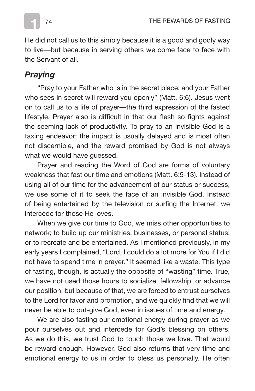He did not call us to this simply because it is a good and godly way to live—but because in serving others we come face to face with the Servant of all.

# *Praying*

"Pray to your Father who is in the secret place; and your Father who sees in secret will reward you openly" (Matt. 6:6). Jesus went on to call us to a life of prayer—the third expression of the fasted lifestyle. Prayer also is difficult in that our flesh so fights against the seeming lack of productivity. To pray to an invisible God is a taxing endeavor: the impact is usually delayed and is most often not discernible, and the reward promised by God is not always what we would have guessed.

Prayer and reading the Word of God are forms of voluntary weakness that fast our time and emotions (Matt. 6:5-13). Instead of using all of our time for the advancement of our status or success, we use some of it to seek the face of an invisible God. Instead of being entertained by the television or surfing the Internet, we intercede for those He loves.

When we give our time to God, we miss other opportunities to network; to build up our ministries, businesses, or personal status; or to recreate and be entertained. As I mentioned previously, in my early years I complained, "Lord, I could do a lot more for You if I did not have to spend time in prayer." It seemed like a waste. This type of fasting, though, is actually the opposite of "wasting" time. True, we have not used those hours to socialize, fellowship, or advance our position, but because of that, we are forced to entrust ourselves to the Lord for favor and promotion, and we quickly find that we will never be able to out-give God, even in issues of time and energy.

We are also fasting our emotional energy during prayer as we pour ourselves out and intercede for God's blessing on others. As we do this, we trust God to touch those we love. That would be reward enough. However, God also returns that very time and emotional energy to us in order to bless us personally. He often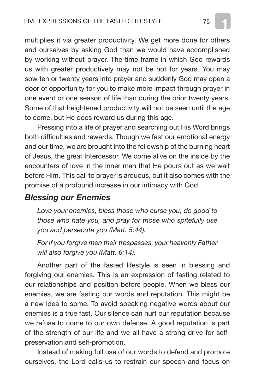```
75
```
multiplies it via greater productivity. We get more done for others and ourselves by asking God than we would have accomplished by working without prayer. The time frame in which God rewards us with greater productively may not be not for years. You may sow ten or twenty years into prayer and suddenly God may open a door of opportunity for you to make more impact through prayer in one event or one season of life than during the prior twenty years. Some of that heightened productivity will not be seen until the age to come, but He does reward us during this age.

Pressing into a life of prayer and searching out His Word brings both difficulties and rewards. Though we fast our emotional energy and our time, we are brought into the fellowship of the burning heart of Jesus, the great Intercessor. We come alive on the inside by the encounters of love in the inner man that He pours out as we wait before Him. This call to prayer is arduous, but it also comes with the promise of a profound increase in our intimacy with God.

## *Blessing our Enemies*

*Love your enemies, bless those who curse you, do good to those who hate you, and pray for those who spitefully use you and persecute you (Matt. 5:44).*

*For if you forgive men their trespasses, your heavenly Father will also forgive you (Matt. 6:14).* 

Another part of the fasted lifestyle is seen in blessing and forgiving our enemies. This is an expression of fasting related to our relationships and position before people. When we bless our enemies, we are fasting our words and reputation. This might be a new idea to some. To avoid speaking negative words about our enemies is a true fast. Our silence can hurt our reputation because we refuse to come to our own defense. A good reputation is part of the strength of our life and we all have a strong drive for selfpreservation and self-promotion.

Instead of making full use of our words to defend and promote ourselves, the Lord calls us to restrain our speech and focus on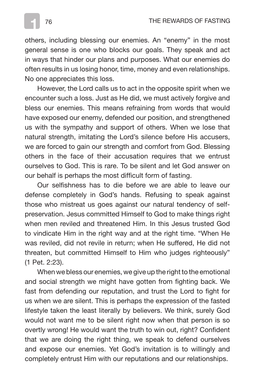others, including blessing our enemies. An "enemy" in the most general sense is one who blocks our goals. They speak and act in ways that hinder our plans and purposes. What our enemies do often results in us losing honor, time, money and even relationships. No one appreciates this loss.

However, the Lord calls us to act in the opposite spirit when we encounter such a loss. Just as He did, we must actively forgive and bless our enemies. This means refraining from words that would have exposed our enemy, defended our position, and strengthened us with the sympathy and support of others. When we lose that natural strength, imitating the Lord's silence before His accusers, we are forced to gain our strength and comfort from God. Blessing others in the face of their accusation requires that we entrust ourselves to God. This is rare. To be silent and let God answer on our behalf is perhaps the most difficult form of fasting.

Our selfishness has to die before we are able to leave our defense completely in God's hands. Refusing to speak against those who mistreat us goes against our natural tendency of selfpreservation. Jesus committed Himself to God to make things right when men reviled and threatened Him. In this Jesus trusted God to vindicate Him in the right way and at the right time. "When He was reviled, did not revile in return; when He suffered, He did not threaten, but committed Himself to Him who judges righteously" (1 Pet. 2:23).

When we bless our enemies, we give up the right to the emotional and social strength we might have gotten from fighting back. We fast from defending our reputation, and trust the Lord to fight for us when we are silent. This is perhaps the expression of the fasted lifestyle taken the least literally by believers. We think, surely God would not want me to be silent right now when that person is so overtly wrong! He would want the truth to win out, right? Confident that we are doing the right thing, we speak to defend ourselves and expose our enemies. Yet God's invitation is to willingly and completely entrust Him with our reputations and our relationships.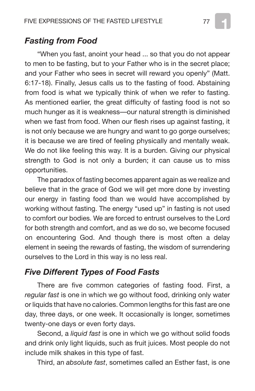# *Fasting from Food*

"When you fast, anoint your head ... so that you do not appear to men to be fasting, but to your Father who is in the secret place; and your Father who sees in secret will reward you openly" (Matt. 6:17-18). Finally, Jesus calls us to the fasting of food. Abstaining from food is what we typically think of when we refer to fasting. As mentioned earlier, the great difficulty of fasting food is not so much hunger as it is weakness—our natural strength is diminished when we fast from food. When our flesh rises up against fasting, it is not only because we are hungry and want to go gorge ourselves; it is because we are tired of feeling physically and mentally weak. We do not like feeling this way. It is a burden. Giving our physical strength to God is not only a burden; it can cause us to miss opportunities.

The paradox of fasting becomes apparent again as we realize and believe that in the grace of God we will get more done by investing our energy in fasting food than we would have accomplished by working without fasting. The energy "used up" in fasting is not used to comfort our bodies. We are forced to entrust ourselves to the Lord for both strength and comfort, and as we do so, we become focused on encountering God. And though there is most often a delay element in seeing the rewards of fasting, the wisdom of surrendering ourselves to the Lord in this way is no less real.

# *Five Different Types of Food Fasts*

There are five common categories of fasting food. First, a *regular fast* is one in which we go without food, drinking only water or liquids that have no calories. Common lengths for this fast are one day, three days, or one week. It occasionally is longer, sometimes twenty-one days or even forty days.

Second, a *liquid fast* is one in which we go without solid foods and drink only light liquids, such as fruit juices. Most people do not include milk shakes in this type of fast.

Third, an *absolute fast*, sometimes called an Esther fast, is one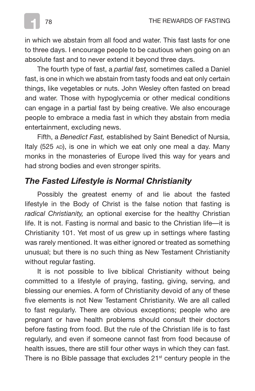

in which we abstain from all food and water. This fast lasts for one to three days. I encourage people to be cautious when going on an absolute fast and to never extend it beyond three days.

The fourth type of fast, a *partial fast,* sometimes called a Daniel fast, is one in which we abstain from tasty foods and eat only certain things, like vegetables or nuts. John Wesley often fasted on bread and water. Those with hypoglycemia or other medical conditions can engage in a partial fast by being creative. We also encourage people to embrace a media fast in which they abstain from media entertainment, excluding news.

Fifth, a *Benedict Fast,* established by Saint Benedict of Nursia, Italy (525 AD), is one in which we eat only one meal a day. Many monks in the monasteries of Europe lived this way for years and had strong bodies and even stronger spirits.

## *The Fasted Lifestyle is Normal Christianity*

Possibly the greatest enemy of and lie about the fasted lifestyle in the Body of Christ is the false notion that fasting is *radical Christianity,* an optional exercise for the healthy Christian life. It is not. Fasting is normal and basic to the Christian life—it is Christianity 101. Yet most of us grew up in settings where fasting was rarely mentioned. It was either ignored or treated as something unusual; but there is no such thing as New Testament Christianity without regular fasting.

It is not possible to live biblical Christianity without being committed to a lifestyle of praying, fasting, giving, serving, and blessing our enemies. A form of Christianity devoid of any of these five elements is not New Testament Christianity. We are all called to fast regularly. There are obvious exceptions; people who are pregnant or have health problems should consult their doctors before fasting from food. But the rule of the Christian life is to fast regularly, and even if someone cannot fast from food because of health issues, there are still four other ways in which they can fast. There is no Bible passage that excludes 21<sup>st</sup> century people in the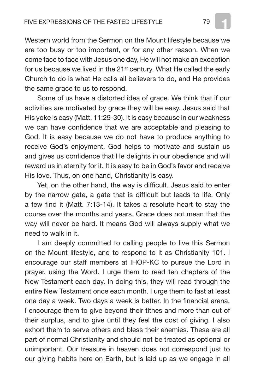Western world from the Sermon on the Mount lifestyle because we are too busy or too important, or for any other reason. When we come face to face with Jesus one day, He will not make an exception for us because we lived in the 21<sup>st</sup> century. What He called the early Church to do is what He calls all believers to do, and He provides the same grace to us to respond.

Some of us have a distorted idea of grace. We think that if our activities are motivated by grace they will be easy. Jesus said that His yoke is easy (Matt. 11:29-30). It is easy because in our weakness we can have confidence that we are acceptable and pleasing to God. It is easy because we do not have to produce anything to receive God's enjoyment. God helps to motivate and sustain us and gives us confidence that He delights in our obedience and will reward us in eternity for it. It is easy to be in God's favor and receive His love. Thus, on one hand, Christianity is easy.

Yet, on the other hand, the way is difficult. Jesus said to enter by the narrow gate, a gate that is difficult but leads to life. Only a few find it (Matt. 7:13-14). It takes a resolute heart to stay the course over the months and years. Grace does not mean that the way will never be hard. It means God will always supply what we need to walk in it.

I am deeply committed to calling people to live this Sermon on the Mount lifestyle, and to respond to it as Christianity 101. I encourage our staff members at IHOP-KC to pursue the Lord in prayer, using the Word. I urge them to read ten chapters of the New Testament each day. In doing this, they will read through the entire New Testament once each month. I urge them to fast at least one day a week. Two days a week is better. In the financial arena, I encourage them to give beyond their tithes and more than out of their surplus, and to give until they feel the cost of giving. I also exhort them to serve others and bless their enemies. These are all part of normal Christianity and should not be treated as optional or unimportant. Our treasure in heaven does not correspond just to our giving habits here on Earth, but is laid up as we engage in all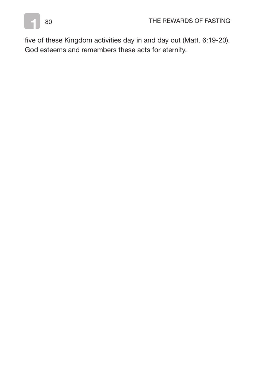

five of these Kingdom activities day in and day out (Matt. 6:19-20). God esteems and remembers these acts for eternity.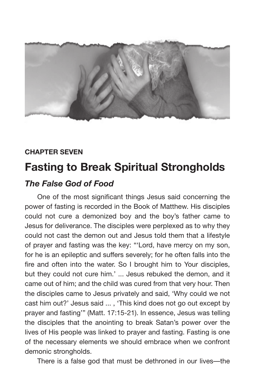

## **Chapter Seven**

# **Fasting to Break Spiritual Strongholds**

# *The False God of Food*

One of the most significant things Jesus said concerning the power of fasting is recorded in the Book of Matthew. His disciples could not cure a demonized boy and the boy's father came to Jesus for deliverance. The disciples were perplexed as to why they could not cast the demon out and Jesus told them that a lifestyle of prayer and fasting was the key: "'Lord, have mercy on my son, for he is an epileptic and suffers severely; for he often falls into the fire and often into the water. So I brought him to Your disciples, but they could not cure him.' ... Jesus rebuked the demon, and it came out of him; and the child was cured from that very hour. Then the disciples came to Jesus privately and said, 'Why could we not cast him out?' Jesus said ... , 'This kind does not go out except by prayer and fasting'" (Matt. 17:15-21). In essence, Jesus was telling the disciples that the anointing to break Satan's power over the lives of His people was linked to prayer and fasting. Fasting is one of the necessary elements we should embrace when we confront demonic strongholds.

There is a false god that must be dethroned in our lives—the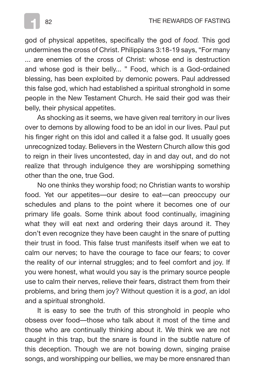

god of physical appetites, specifically the god of *food.* This god undermines the cross of Christ. Philippians 3:18-19 says, "For many ... are enemies of the cross of Christ: whose end is destruction and whose god is their belly... " Food, which is a God-ordained blessing, has been exploited by demonic powers. Paul addressed this false god, which had established a spiritual stronghold in some people in the New Testament Church. He said their god was their belly, their physical appetites.

As shocking as it seems, we have given real territory in our lives over to demons by allowing food to be an idol in our lives. Paul put his finger right on this idol and called it a false god. It usually goes unrecognized today. Believers in the Western Church allow this god to reign in their lives uncontested, day in and day out, and do not realize that through indulgence they are worshipping something other than the one, true God.

No one thinks they worship food; no Christian wants to worship food. Yet our appetites—our desire to eat—can preoccupy our schedules and plans to the point where it becomes one of our primary life goals. Some think about food continually, imagining what they will eat next and ordering their days around it. They don't even recognize they have been caught in the snare of putting their trust in food. This false trust manifests itself when we eat to calm our nerves; to have the courage to face our fears; to cover the reality of our internal struggles; and to feel comfort and joy. If you were honest, what would you say is the primary source people use to calm their nerves, relieve their fears, distract them from their problems, and bring them joy? Without question it is a *god*, an idol and a spiritual stronghold.

It is easy to see the truth of this stronghold in people who obsess over food—those who talk about it most of the time and those who are continually thinking about it. We think we are not caught in this trap, but the snare is found in the subtle nature of this deception. Though we are not bowing down, singing praise songs, and worshipping our bellies, we may be more ensnared than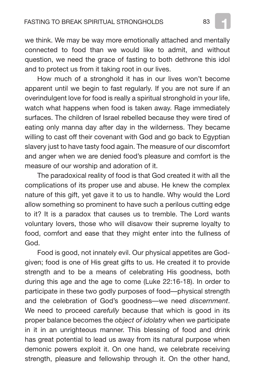we think. We may be way more emotionally attached and mentally connected to food than we would like to admit, and without question, we need the grace of fasting to both dethrone this idol and to protect us from it taking root in our lives.

How much of a stronghold it has in our lives won't become apparent until we begin to fast regularly. If you are not sure if an overindulgent love for food is really a spiritual stronghold in your life, watch what happens when food is taken away. Rage immediately surfaces. The children of Israel rebelled because they were tired of eating only manna day after day in the wilderness. They became willing to cast off their covenant with God and go back to Egyptian slavery just to have tasty food again. The measure of our discomfort and anger when we are denied food's pleasure and comfort is the measure of our worship and adoration of it.

The paradoxical reality of food is that God created it with all the complications of its proper use and abuse. He knew the complex nature of this gift, yet gave it to us to handle. Why would the Lord allow something so prominent to have such a perilous cutting edge to it? It is a paradox that causes us to tremble. The Lord wants voluntary lovers, those who will disavow their supreme loyalty to food, comfort and ease that they might enter into the fullness of God.

Food is good, not innately evil. Our physical appetites are Godgiven; food is one of His great gifts to us. He created it to provide strength and to be a means of celebrating His goodness, both during this age and the age to come (Luke 22:16-18). In order to participate in these two godly purposes of food—physical strength and the celebration of God's goodness—we need *discernment*. We need to proceed *carefully* because that which is good in its proper balance becomes the *object of idolatry* when we participate in it in an unrighteous manner. This blessing of food and drink has great potential to lead us away from its natural purpose when demonic powers exploit it. On one hand, we celebrate receiving strength, pleasure and fellowship through it. On the other hand,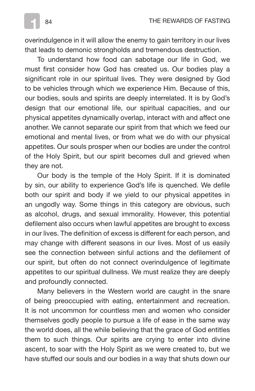

overindulgence in it will allow the enemy to gain territory in our lives that leads to demonic strongholds and tremendous destruction.

To understand how food can sabotage our life in God, we must first consider how God has created us. Our bodies play a significant role in our spiritual lives. They were designed by God to be vehicles through which we experience Him. Because of this, our bodies, souls and spirits are deeply interrelated. It is by God's design that our emotional life, our spiritual capacities, and our physical appetites dynamically overlap, interact with and affect one another. We cannot separate our spirit from that which we feed our emotional and mental lives, or from what we do with our physical appetites. Our souls prosper when our bodies are under the control of the Holy Spirit, but our spirit becomes dull and grieved when they are not.

Our body is the temple of the Holy Spirit. If it is dominated by sin, our ability to experience God's life is quenched. We defile both our spirit and body if we yield to our physical appetites in an ungodly way. Some things in this category are obvious, such as alcohol, drugs, and sexual immorality. However, this potential defilement also occurs when lawful appetites are brought to excess in our lives. The definition of excess is different for each person, and may change with different seasons in our lives. Most of us easily see the connection between sinful actions and the defilement of our spirit, but often do not connect overindulgence of legitimate appetites to our spiritual dullness. We must realize they are deeply and profoundly connected.

Many believers in the Western world are caught in the snare of being preoccupied with eating, entertainment and recreation. It is not uncommon for countless men and women who consider themselves godly people to pursue a life of ease in the same way the world does, all the while believing that the grace of God entitles them to such things. Our spirits are crying to enter into divine ascent, to soar with the Holy Spirit as we were created to, but we have stuffed our souls and our bodies in a way that shuts down our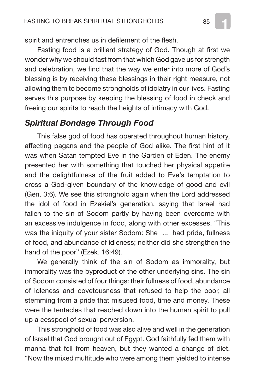```
85
```
spirit and entrenches us in defilement of the flesh.

Fasting food is a brilliant strategy of God. Though at first we wonder why we should fast from that which God gave us for strength and celebration, we find that the way we enter into more of God's blessing is by receiving these blessings in their right measure, not allowing them to become strongholds of idolatry in our lives. Fasting serves this purpose by keeping the blessing of food in check and freeing our spirits to reach the heights of intimacy with God.

# *Spiritual Bondage Through Food*

This false god of food has operated throughout human history, affecting pagans and the people of God alike. The first hint of it was when Satan tempted Eve in the Garden of Eden. The enemy presented her with something that touched her physical appetite and the delightfulness of the fruit added to Eve's temptation to cross a God-given boundary of the knowledge of good and evil (Gen. 3:6). We see this stronghold again when the Lord addressed the idol of food in Ezekiel's generation, saying that Israel had fallen to the sin of Sodom partly by having been overcome with an excessive indulgence in food, along with other excesses. "This was the iniquity of your sister Sodom: She ... had pride, fullness of food, and abundance of idleness; neither did she strengthen the hand of the poor" (Ezek. 16:49).

We generally think of the sin of Sodom as immorality, but immorality was the byproduct of the other underlying sins. The sin of Sodom consisted of four things: their fullness of food, abundance of idleness and covetousness that refused to help the poor, all stemming from a pride that misused food, time and money. These were the tentacles that reached down into the human spirit to pull up a cesspool of sexual perversion.

This stronghold of food was also alive and well in the generation of Israel that God brought out of Egypt. God faithfully fed them with manna that fell from heaven, but they wanted a change of diet. "Now the mixed multitude who were among them yielded to intense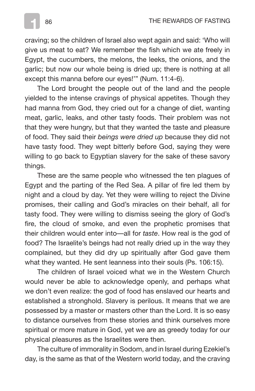craving; so the children of Israel also wept again and said: 'Who will give us meat to eat? We remember the fish which we ate freely in Egypt, the cucumbers, the melons, the leeks, the onions, and the garlic; but now our whole being is dried up; there is nothing at all except this manna before our eyes!'" (Num. 11:4-6).

The Lord brought the people out of the land and the people yielded to the intense cravings of physical appetites. Though they had manna from God, they cried out for a change of diet, wanting meat, garlic, leaks, and other tasty foods. Their problem was not that they were hungry, but that they wanted the taste and pleasure of food. They said their *beings were dried up* because they did not have tasty food. They wept bitterly before God, saying they were willing to go back to Egyptian slavery for the sake of these savory things.

These are the same people who witnessed the ten plagues of Egypt and the parting of the Red Sea. A pillar of fire led them by night and a cloud by day. Yet they were willing to reject the Divine promises, their calling and God's miracles on their behalf, all for tasty food. They were willing to dismiss seeing the glory of God's fire, the cloud of smoke, and even the prophetic promises that their children would enter into—all for *taste*. How real is the god of food? The Israelite's beings had not really dried up in the way they complained, but they did dry up spiritually after God gave them what they wanted. He sent leanness into their souls (Ps. 106:15).

The children of Israel voiced what we in the Western Church would never be able to acknowledge openly, and perhaps what we don't even realize: the god of food has enslaved our hearts and established a stronghold. Slavery is perilous. It means that we are possessed by a master or masters other than the Lord. It is so easy to distance ourselves from these stories and think ourselves more spiritual or more mature in God, yet we are as greedy today for our physical pleasures as the Israelites were then.

The culture of immorality in Sodom, and in Israel during Ezekiel's day, is the same as that of the Western world today, and the craving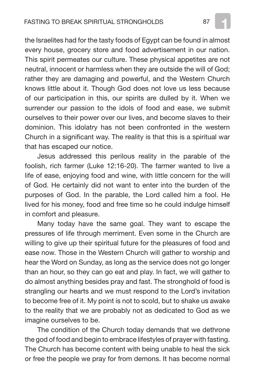the Israelites had for the tasty foods of Egypt can be found in almost every house, grocery store and food advertisement in our nation. This spirit permeates our culture. These physical appetites are not neutral, innocent or harmless when they are outside the will of God; rather they are damaging and powerful, and the Western Church knows little about it. Though God does not love us less because of our participation in this, our spirits are dulled by it. When we surrender our passion to the idols of food and ease, we submit ourselves to their power over our lives, and become slaves to their dominion. This idolatry has not been confronted in the western Church in a significant way. The reality is that this is a spiritual war that has escaped our notice.

Jesus addressed this perilous reality in the parable of the foolish, rich farmer (Luke 12:16-20). The farmer wanted to live a life of ease, enjoying food and wine, with little concern for the will of God. He certainly did not want to enter into the burden of the purposes of God. In the parable, the Lord called him a fool. He lived for his money, food and free time so he could indulge himself in comfort and pleasure.

Many today have the same goal. They want to escape the pressures of life through merriment. Even some in the Church are willing to give up their spiritual future for the pleasures of food and ease now. Those in the Western Church will gather to worship and hear the Word on Sunday, as long as the service does not go longer than an hour, so they can go eat and play. In fact, we will gather to do almost anything besides pray and fast. The stronghold of food is strangling our hearts and we must respond to the Lord's invitation to become free of it. My point is not to scold, but to shake us awake to the reality that we are probably not as dedicated to God as we imagine ourselves to be.

The condition of the Church today demands that we dethrone the god of food and begin to embrace lifestyles of prayer with fasting. The Church has become content with being unable to heal the sick or free the people we pray for from demons. It has become normal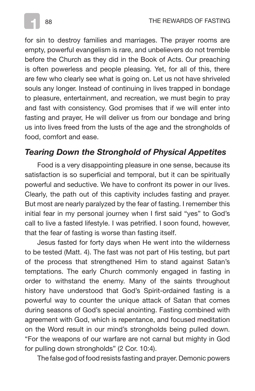for sin to destroy families and marriages. The prayer rooms are empty, powerful evangelism is rare, and unbelievers do not tremble before the Church as they did in the Book of Acts. Our preaching is often powerless and people pleasing. Yet, for all of this, there are few who clearly see what is going on. Let us not have shriveled souls any longer. Instead of continuing in lives trapped in bondage to pleasure, entertainment, and recreation, we must begin to pray and fast with consistency. God promises that if we will enter into fasting and prayer, He will deliver us from our bondage and bring us into lives freed from the lusts of the age and the strongholds of food, comfort and ease.

# *Tearing Down the Stronghold of Physical Appetites*

Food is a very disappointing pleasure in one sense, because its satisfaction is so superficial and temporal, but it can be spiritually powerful and seductive. We have to confront its power in our lives. Clearly, the path out of this captivity includes fasting and prayer. But most are nearly paralyzed by the fear of fasting. I remember this initial fear in my personal journey when I first said "yes" to God's call to live a fasted lifestyle. I was petrified. I soon found, however, that the fear of fasting is worse than fasting itself.

Jesus fasted for forty days when He went into the wilderness to be tested (Matt. 4). The fast was not part of His testing, but part of the process that strengthened Him to stand against Satan's temptations. The early Church commonly engaged in fasting in order to withstand the enemy. Many of the saints throughout history have understood that God's Spirit-ordained fasting is a powerful way to counter the unique attack of Satan that comes during seasons of God's special anointing. Fasting combined with agreement with God, which is repentance, and focused meditation on the Word result in our mind's strongholds being pulled down. "For the weapons of our warfare are not carnal but mighty in God for pulling down strongholds" (2 Cor. 10:4).

The false god of food resists fasting and prayer. Demonic powers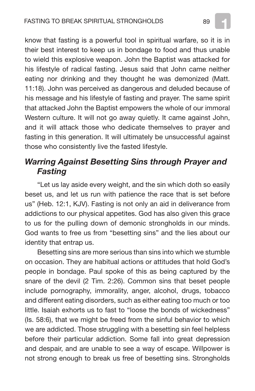know that fasting is a powerful tool in spiritual warfare, so it is in their best interest to keep us in bondage to food and thus unable to wield this explosive weapon. John the Baptist was attacked for his lifestyle of radical fasting. Jesus said that John came neither eating nor drinking and they thought he was demonized (Matt. 11:18). John was perceived as dangerous and deluded because of his message and his lifestyle of fasting and prayer. The same spirit that attacked John the Baptist empowers the whole of our immoral Western culture. It will not go away quietly. It came against John, and it will attack those who dedicate themselves to prayer and fasting in this generation. It will ultimately be unsuccessful against those who consistently live the fasted lifestyle.

# *Warring Against Besetting Sins through Prayer and Fasting*

"Let us lay aside every weight, and the sin which doth so easily beset us, and let us run with patience the race that is set before us" (Heb. 12:1, KJV). Fasting is not only an aid in deliverance from addictions to our physical appetites. God has also given this grace to us for the pulling down of demonic strongholds in our minds. God wants to free us from "besetting sins" and the lies about our identity that entrap us.

Besetting sins are more serious than sins into which we stumble on occasion. They are habitual actions or attitudes that hold God's people in bondage. Paul spoke of this as being captured by the snare of the devil (2 Tim. 2:26). Common sins that beset people include pornography, immorality, anger, alcohol, drugs, tobacco and different eating disorders, such as either eating too much or too little. Isaiah exhorts us to fast to "loose the bonds of wickedness" (Is. 58:6), that we might be freed from the sinful behavior to which we are addicted. Those struggling with a besetting sin feel helpless before their particular addiction. Some fall into great depression and despair, and are unable to see a way of escape. Willpower is not strong enough to break us free of besetting sins. Strongholds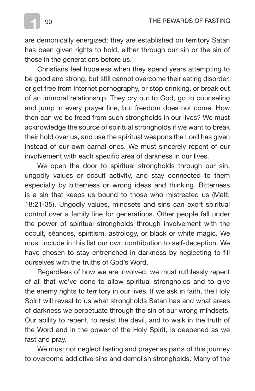

Christians feel hopeless when they spend years attempting to be good and strong, but still cannot overcome their eating disorder, or get free from Internet pornography, or stop drinking, or break out of an immoral relationship. They cry out to God, go to counseling and jump in every prayer line, but freedom does not come. How then can we be freed from such strongholds in our lives? We must acknowledge the source of spiritual strongholds if we want to break their hold over us, and use the spiritual weapons the Lord has given instead of our own carnal ones. We must sincerely repent of our involvement with each specific area of darkness in our lives.

We open the door to spiritual strongholds through our sin, ungodly values or occult activity, and stay connected to them especially by bitterness or wrong ideas and thinking. Bitterness is a sin that keeps us bound to those who mistreated us (Matt. 18:21-35). Ungodly values, mindsets and sins can exert spiritual control over a family line for generations. Other people fall under the power of spiritual strongholds through involvement with the occult, séances, spiritism, astrology, or black or white magic. We must include in this list our own contribution to self-deception. We have chosen to stay entrenched in darkness by neglecting to fill ourselves with the truths of God's Word.

Regardless of how we are involved, we must ruthlessly repent of all that we've done to allow spiritual strongholds and to give the enemy rights to territory in our lives. If we ask in faith, the Holy Spirit will reveal to us what strongholds Satan has and what areas of darkness we perpetuate through the sin of our wrong mindsets. Our ability to repent, to resist the devil, and to walk in the truth of the Word and in the power of the Holy Spirit, is deepened as we fast and pray.

We must not neglect fasting and prayer as parts of this journey to overcome addictive sins and demolish strongholds. Many of the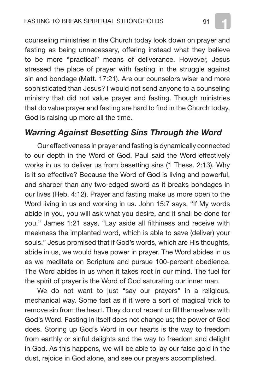counseling ministries in the Church today look down on prayer and fasting as being unnecessary, offering instead what they believe to be more "practical" means of deliverance. However, Jesus stressed the place of prayer with fasting in the struggle against sin and bondage (Matt. 17:21). Are our counselors wiser and more sophisticated than Jesus? I would not send anyone to a counseling ministry that did not value prayer and fasting. Though ministries that do value prayer and fasting are hard to find in the Church today, God is raising up more all the time.

## *Warring Against Besetting Sins Through the Word*

Our effectiveness in prayer and fasting is dynamically connected to our depth in the Word of God. Paul said the Word effectively works in us to deliver us from besetting sins (1 Thess. 2:13). Why is it so effective? Because the Word of God is living and powerful, and sharper than any two-edged sword as it breaks bondages in our lives (Heb. 4:12). Prayer and fasting make us more open to the Word living in us and working in us. John 15:7 says, "If My words abide in you, you will ask what you desire, and it shall be done for you." James 1:21 says, "Lay aside all filthiness and receive with meekness the implanted word, which is able to save (deliver) your souls." Jesus promised that if God's words, which are His thoughts, abide in us, we would have power in prayer. The Word abides in us as we meditate on Scripture and pursue 100-percent obedience. The Word abides in us when it takes root in our mind. The fuel for the spirit of prayer is the Word of God saturating our inner man.

We do not want to just "say our prayers" in a religious, mechanical way. Some fast as if it were a sort of magical trick to remove sin from the heart. They do not repent or fill themselves with God's Word. Fasting in itself does not change us; the power of God does. Storing up God's Word in our hearts is the way to freedom from earthly or sinful delights and the way to freedom and delight in God. As this happens, we will be able to lay our false gold in the dust, rejoice in God alone, and see our prayers accomplished.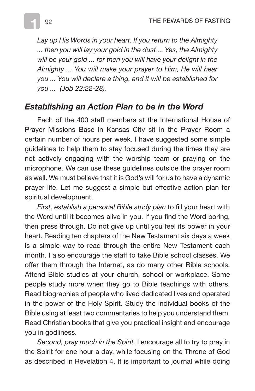*Lay up His Words in your heart. If you return to the Almighty ... then you will lay your gold in the dust ... Yes, the Almighty will be your gold ... for then you will have your delight in the Almighty ... You will make your prayer to Him, He will hear you ... You will declare a thing, and it will be established for you ... (Job 22:22-28).*

## *Establishing an Action Plan to be in the Word*

Each of the 400 staff members at the International House of Prayer Missions Base in Kansas City sit in the Prayer Room a certain number of hours per week. I have suggested some simple guidelines to help them to stay focused during the times they are not actively engaging with the worship team or praying on the microphone. We can use these guidelines outside the prayer room as well. We must believe that it is God's will for us to have a dynamic prayer life. Let me suggest a simple but effective action plan for spiritual development.

*First, establish a personal Bible study plan* to fill your heart with the Word until it becomes alive in you. If you find the Word boring, then press through. Do not give up until you feel its power in your heart. Reading ten chapters of the New Testament six days a week is a simple way to read through the entire New Testament each month. I also encourage the staff to take Bible school classes. We offer them through the Internet, as do many other Bible schools. Attend Bible studies at your church, school or workplace. Some people study more when they go to Bible teachings with others. Read biographies of people who lived dedicated lives and operated in the power of the Holy Spirit. Study the individual books of the Bible using at least two commentaries to help you understand them. Read Christian books that give you practical insight and encourage you in godliness.

*Second, pray much in the Spirit.* I encourage all to try to pray in the Spirit for one hour a day, while focusing on the Throne of God as described in Revelation 4. It is important to journal while doing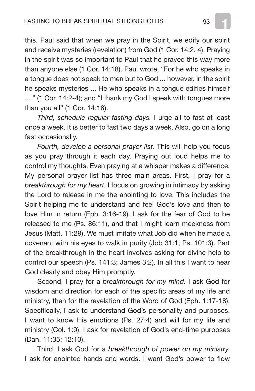this. Paul said that when we pray in the Spirit, we edify our spirit and receive mysteries (revelation) from God (1 Cor. 14:2, 4). Praying in the spirit was so important to Paul that he prayed this way more than anyone else (1 Cor. 14:18). Paul wrote, "For he who speaks in a tongue does not speak to men but to God ... however, in the spirit he speaks mysteries ... He who speaks in a tongue edifies himself ... " (1 Cor. 14:2-4); and "I thank my God I speak with tongues more than you all" (1 Cor. 14:18).

*Third, schedule regular fasting days.* I urge all to fast at least once a week. It is better to fast two days a week. Also, go on a long fast occasionally.

*Fourth, develop a personal prayer list.* This will help you focus as you pray through it each day. Praying out loud helps me to control my thoughts. Even praying at a whisper makes a difference. My personal prayer list has three main areas. First, I pray for a *breakthrough for my heart.* I focus on growing in intimacy by asking the Lord to release in me the anointing to love. This includes the Spirit helping me to understand and feel God's love and then to love Him in return (Eph. 3:16-19). I ask for the fear of God to be released to me (Ps. 86:11), and that I might learn meekness from Jesus (Matt. 11:29). We must imitate what Job did when he made a covenant with his eyes to walk in purity (Job 31:1; Ps. 101:3). Part of the breakthrough in the heart involves asking for divine help to control our speech (Ps. 141:3; James 3:2). In all this I want to hear God clearly and obey Him promptly.

Second, I pray for a *breakthrough for my mind.* I ask God for wisdom and direction for each of the specific areas of my life and ministry, then for the revelation of the Word of God (Eph. 1:17-18). Specifically, I ask to understand God's personality and purposes. I want to know His emotions (Ps. 27:4) and will for my life and ministry (Col. 1:9). I ask for revelation of God's end-time purposes (Dan. 11:35; 12:10).

Third, I ask God for a *breakthrough of power on my ministry.*  I ask for anointed hands and words. I want God's power to flow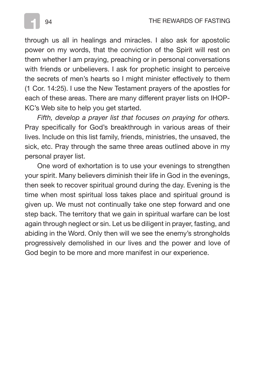

*Fifth, develop a prayer list that focuses on praying for others.*  Pray specifically for God's breakthrough in various areas of their lives. Include on this list family, friends, ministries, the unsaved, the sick, etc. Pray through the same three areas outlined above in my personal prayer list.

One word of exhortation is to use your evenings to strengthen your spirit. Many believers diminish their life in God in the evenings, then seek to recover spiritual ground during the day. Evening is the time when most spiritual loss takes place and spiritual ground is given up. We must not continually take one step forward and one step back. The territory that we gain in spiritual warfare can be lost again through neglect or sin. Let us be diligent in prayer, fasting, and abiding in the Word. Only then will we see the enemy's strongholds progressively demolished in our lives and the power and love of God begin to be more and more manifest in our experience.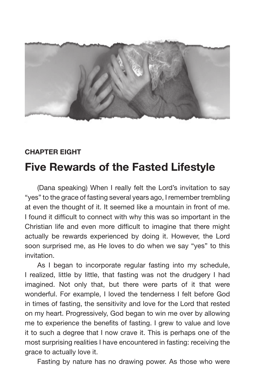

# **Chapter Eight Five Rewards of the Fasted Lifestyle**

(Dana speaking) When I really felt the Lord's invitation to say "yes" to the grace of fasting several years ago, I remember trembling at even the thought of it. It seemed like a mountain in front of me. I found it difficult to connect with why this was so important in the Christian life and even more difficult to imagine that there might actually be rewards experienced by doing it. However, the Lord soon surprised me, as He loves to do when we say "yes" to this invitation.

As I began to incorporate regular fasting into my schedule, I realized, little by little, that fasting was not the drudgery I had imagined. Not only that, but there were parts of it that were wonderful. For example, I loved the tenderness I felt before God in times of fasting, the sensitivity and love for the Lord that rested on my heart. Progressively, God began to win me over by allowing me to experience the benefits of fasting. I grew to value and love it to such a degree that I now crave it. This is perhaps one of the most surprising realities I have encountered in fasting: receiving the grace to actually love it.

Fasting by nature has no drawing power. As those who were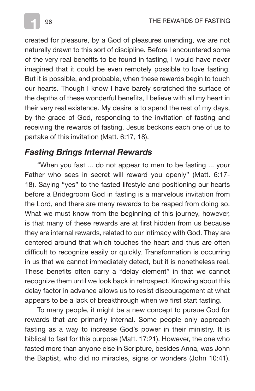created for pleasure, by a God of pleasures unending, we are not naturally drawn to this sort of discipline. Before I encountered some of the very real benefits to be found in fasting, I would have never imagined that it could be even remotely possible to love fasting. But it is possible, and probable, when these rewards begin to touch our hearts. Though I know I have barely scratched the surface of the depths of these wonderful benefits, I believe with all my heart in their very real existence. My desire is to spend the rest of my days, by the grace of God, responding to the invitation of fasting and receiving the rewards of fasting. Jesus beckons each one of us to partake of this invitation (Matt. 6:17, 18).

# *Fasting Brings Internal Rewards*

"When you fast ... do not appear to men to be fasting ... your Father who sees in secret will reward you openly" (Matt. 6:17- 18). Saying "yes" to the fasted lifestyle and positioning our hearts before a Bridegroom God in fasting is a marvelous invitation from the Lord, and there are many rewards to be reaped from doing so. What we must know from the beginning of this journey, however, is that many of these rewards are at first hidden from us because they are internal rewards, related to our intimacy with God. They are centered around that which touches the heart and thus are often difficult to recognize easily or quickly. Transformation is occurring in us that we cannot immediately detect, but it is nonetheless real. These benefits often carry a "delay element" in that we cannot recognize them until we look back in retrospect. Knowing about this delay factor in advance allows us to resist discouragement at what appears to be a lack of breakthrough when we first start fasting.

To many people, it might be a new concept to pursue God for rewards that are primarily internal. Some people only approach fasting as a way to increase God's power in their ministry. It is biblical to fast for this purpose (Matt. 17:21). However, the one who fasted more than anyone else in Scripture, besides Anna, was John the Baptist, who did no miracles, signs or wonders (John 10:41).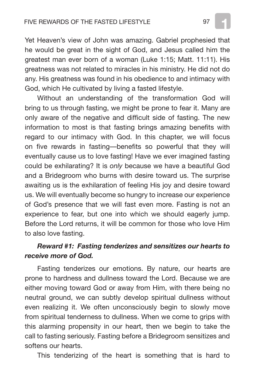Yet Heaven's view of John was amazing. Gabriel prophesied that he would be great in the sight of God, and Jesus called him the greatest man ever born of a woman (Luke 1:15; Matt. 11:11). His greatness was not related to miracles in his ministry. He did not do any. His greatness was found in his obedience to and intimacy with God, which He cultivated by living a fasted lifestyle.

Without an understanding of the transformation God will bring to us through fasting, we might be prone to fear it. Many are only aware of the negative and difficult side of fasting. The new information to most is that fasting brings amazing benefits with regard to our intimacy with God. In this chapter, we will focus on five rewards in fasting—benefits so powerful that they will eventually cause us to love fasting! Have we ever imagined fasting could be exhilarating? It is *only* because we have a beautiful God and a Bridegroom who burns with desire toward us. The surprise awaiting us is the exhilaration of feeling His joy and desire toward us. We will eventually become so hungry to increase our experience of God's presence that we will fast even more. Fasting is not an experience to fear, but one into which we should eagerly jump. Before the Lord returns, it will be common for those who love Him to also love fasting.

#### *Reward #1: Fasting tenderizes and sensitizes our hearts to receive more of God.*

Fasting tenderizes our emotions. By nature, our hearts are prone to hardness and dullness toward the Lord. Because we are either moving toward God or away from Him, with there being no neutral ground, we can subtly develop spiritual dullness without even realizing it. We often unconsciously begin to slowly move from spiritual tenderness to dullness. When we come to grips with this alarming propensity in our heart, then we begin to take the call to fasting seriously. Fasting before a Bridegroom sensitizes and softens our hearts.

This tenderizing of the heart is something that is hard to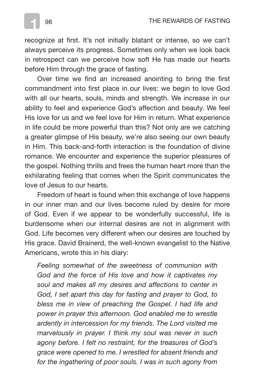recognize at first. It's not initially blatant or intense, so we can't always perceive its progress. Sometimes only when we look back in retrospect can we perceive how soft He has made our hearts before Him through the grace of fasting.

Over time we find an increased anointing to bring the first commandment into first place in our lives: we begin to love God with all our hearts, souls, minds and strength. We increase in our ability to feel and experience God's affection and beauty. We feel His love for us and we feel love for Him in return. What experience in life could be more powerful than this? Not only are we catching a greater glimpse of His beauty, we're also seeing our own beauty in Him. This back-and-forth interaction is the foundation of divine romance. We encounter and experience the superior pleasures of the gospel. Nothing thrills and frees the human heart more than the exhilarating feeling that comes when the Spirit communicates the love of Jesus to our hearts.

Freedom of heart is found when this exchange of love happens in our inner man and our lives become ruled by desire for more of God. Even if we appear to be wonderfully successful, life is burdensome when our internal desires are not in alignment with God. Life becomes very different when our desires are touched by His grace. David Brainerd, the well-known evangelist to the Native Americans, wrote this in his diary:

*Feeling somewhat of the sweetness of communion with God and the force of His love and how it captivates my soul and makes all my desires and affections to center in God, I set apart this day for fasting and prayer to God, to bless me in view of preaching the Gospel. I had life and power in prayer this afternoon. God enabled me to wrestle ardently in intercession for my friends. The Lord visited me marvelously in prayer. I think my soul was never in such agony before. I felt no restraint, for the treasures of God's grace were opened to me. I wrestled for absent friends and for the ingathering of poor souls. I was in such agony from*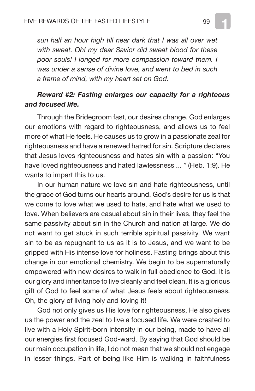*sun half an hour high till near dark that I was all over wet with sweat. Oh! my dear Savior did sweat blood for these poor souls! I longed for more compassion toward them. I was under a sense of divine love, and went to bed in such a frame of mind, with my heart set on God.*

### *Reward #2: Fasting enlarges our capacity for a righteous and focused life.*

Through the Bridegroom fast, our desires change. God enlarges our emotions with regard to righteousness, and allows us to feel more of what He feels. He causes us to grow in a passionate zeal for righteousness and have a renewed hatred for sin. Scripture declares that Jesus loves righteousness and hates sin with a passion: "You have loved righteousness and hated lawlessness ... " (Heb. 1:9). He wants to impart this to us.

In our human nature we love sin and hate righteousness, until the grace of God turns our hearts around. God's desire for us is that we come to love what we used to hate, and hate what we used to love. When believers are casual about sin in their lives, they feel the same passivity about sin in the Church and nation at large. We do not want to get stuck in such terrible spiritual passivity. We want sin to be as repugnant to us as it is to Jesus, and we want to be gripped with His intense love for holiness. Fasting brings about this change in our emotional chemistry. We begin to be supernaturally empowered with new desires to walk in full obedience to God. It is our glory and inheritance to live cleanly and feel clean. It is a glorious gift of God to feel some of what Jesus feels about righteousness. Oh, the glory of living holy and loving it!

God not only gives us His love for righteousness, He also gives us the power and the zeal to live a focused life. We were created to live with a Holy Spirit-born intensity in our being, made to have all our energies first focused God-ward. By saying that God should be our main occupation in life, I do not mean that we should not engage in lesser things. Part of being like Him is walking in faithfulness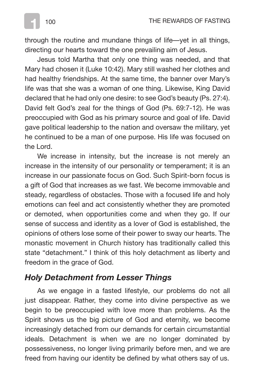

through the routine and mundane things of life—yet in all things, directing our hearts toward the one prevailing aim of Jesus.

Jesus told Martha that only one thing was needed, and that Mary had chosen it (Luke 10:42). Mary still washed her clothes and had healthy friendships. At the same time, the banner over Mary's life was that she was a woman of one thing. Likewise, King David declared that he had only one desire: to see God's beauty (Ps. 27:4). David felt God's zeal for the things of God (Ps. 69:7-12). He was preoccupied with God as his primary source and goal of life. David gave political leadership to the nation and oversaw the military, yet he continued to be a man of one purpose. His life was focused on the Lord.

We increase in intensity, but the increase is not merely an increase in the intensity of our personality or temperament; it is an increase in our passionate focus on God. Such Spirit-born focus is a gift of God that increases as we fast. We become immovable and steady, regardless of obstacles. Those with a focused life and holy emotions can feel and act consistently whether they are promoted or demoted, when opportunities come and when they go. If our sense of success and identity as a lover of God is established, the opinions of others lose some of their power to sway our hearts. The monastic movement in Church history has traditionally called this state "detachment." I think of this holy detachment as liberty and freedom in the grace of God.

#### *Holy Detachment from Lesser Things*

As we engage in a fasted lifestyle, our problems do not all just disappear. Rather, they come into divine perspective as we begin to be preoccupied with love more than problems. As the Spirit shows us the big picture of God and eternity, we become increasingly detached from our demands for certain circumstantial ideals. Detachment is when we are no longer dominated by possessiveness, no longer living primarily before men, and we are freed from having our identity be defined by what others say of us.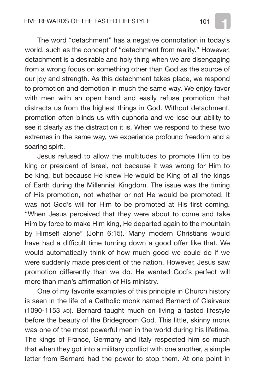The word "detachment" has a negative connotation in today's world, such as the concept of "detachment from reality." However, detachment is a desirable and holy thing when we are disengaging from a wrong focus on something other than God as the source of our joy and strength. As this detachment takes place, we respond to promotion and demotion in much the same way. We enjoy favor with men with an open hand and easily refuse promotion that distracts us from the highest things in God. Without detachment, promotion often blinds us with euphoria and we lose our ability to see it clearly as the distraction it is. When we respond to these two extremes in the same way, we experience profound freedom and a soaring spirit.

Jesus refused to allow the multitudes to promote Him to be king or president of Israel, not because it was wrong for Him to be king, but because He knew He would be King of all the kings of Earth during the Millennial Kingdom. The issue was the timing of His promotion, not whether or not He would be promoted. It was not God's will for Him to be promoted at His first coming. "When Jesus perceived that they were about to come and take Him by force to make Him king, He departed again to the mountain by Himself alone" (John 6:15). Many modern Christians would have had a difficult time turning down a good offer like that. We would automatically think of how much good we could do if we were suddenly made president of the nation. However, Jesus saw promotion differently than we do. He wanted God's perfect will more than man's affirmation of His ministry.

One of my favorite examples of this principle in Church history is seen in the life of a Catholic monk named Bernard of Clairvaux (1090-1153 ad). Bernard taught much on living a fasted lifestyle before the beauty of the Bridegroom God. This little, skinny monk was one of the most powerful men in the world during his lifetime. The kings of France, Germany and Italy respected him so much that when they got into a military conflict with one another, a simple letter from Bernard had the power to stop them. At one point in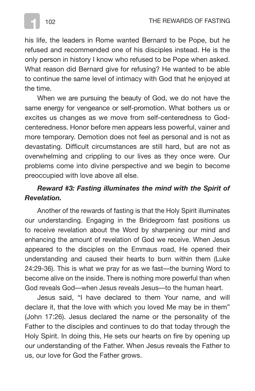

his life, the leaders in Rome wanted Bernard to be Pope, but he refused and recommended one of his disciples instead. He is the only person in history I know who refused to be Pope when asked. What reason did Bernard give for refusing? He wanted to be able to continue the same level of intimacy with God that he enjoyed at the time.

When we are pursuing the beauty of God, we do not have the same energy for vengeance or self-promotion. What bothers us or excites us changes as we move from self-centeredness to Godcenteredness. Honor before men appears less powerful, vainer and more temporary. Demotion does not feel as personal and is not as devastating. Difficult circumstances are still hard, but are not as overwhelming and crippling to our lives as they once were. Our problems come into divine perspective and we begin to become preoccupied with love above all else.

#### *Reward #3: Fasting illuminates the mind with the Spirit of Revelation.*

Another of the rewards of fasting is that the Holy Spirit illuminates our understanding. Engaging in the Bridegroom fast positions us to receive revelation about the Word by sharpening our mind and enhancing the amount of revelation of God we receive. When Jesus appeared to the disciples on the Emmaus road, He opened their understanding and caused their hearts to burn within them (Luke 24:29-36). This is what we pray for as we fast—the burning Word to become alive on the inside. There is nothing more powerful than when God reveals God—when Jesus reveals Jesus—to the human heart.

Jesus said, "I have declared to them Your name, and will declare it, that the love with which you loved Me may be in them" (John 17:26). Jesus declared the name or the personality of the Father to the disciples and continues to do that today through the Holy Spirit. In doing this, He sets our hearts on fire by opening up our understanding of the Father. When Jesus reveals the Father to us, our love for God the Father grows.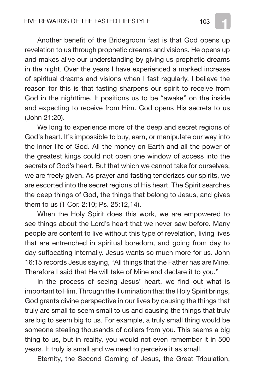Another benefit of the Bridegroom fast is that God opens up revelation to us through prophetic dreams and visions. He opens up and makes alive our understanding by giving us prophetic dreams in the night. Over the years I have experienced a marked increase of spiritual dreams and visions when I fast regularly. I believe the reason for this is that fasting sharpens our spirit to receive from God in the nighttime. It positions us to be "awake" on the inside and expecting to receive from Him. God opens His secrets to us (John 21:20).

We long to experience more of the deep and secret regions of God's heart. It's impossible to buy, earn, or manipulate our way into the inner life of God. All the money on Earth and all the power of the greatest kings could not open one window of access into the secrets of God's heart. But that which we cannot take for ourselves, we are freely given. As prayer and fasting tenderizes our spirits, we are escorted into the secret regions of His heart. The Spirit searches the deep things of God, the things that belong to Jesus, and gives them to us (1 Cor. 2:10; Ps. 25:12,14).

When the Holy Spirit does this work, we are empowered to see things about the Lord's heart that we never saw before. Many people are content to live without this type of revelation, living lives that are entrenched in spiritual boredom, and going from day to day suffocating internally. Jesus wants so much more for us. John 16:15 records Jesus saying, "All things that the Father has are Mine. Therefore I said that He will take of Mine and declare it to you."

In the process of seeing Jesus' heart, we find out what is important to Him. Through the illumination that the Holy Spirit brings, God grants divine perspective in our lives by causing the things that truly are small to seem small to us and causing the things that truly are big to seem big to us. For example, a truly small thing would be someone stealing thousands of dollars from you. This seems a big thing to us, but in reality, you would not even remember it in 500 years. It truly is small and we need to perceive it as small.

Eternity, the Second Coming of Jesus, the Great Tribulation,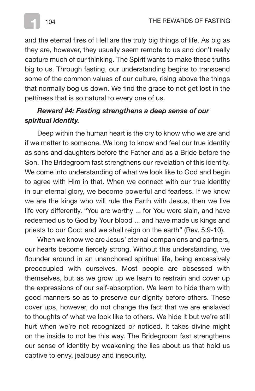

### *Reward #4: Fasting strengthens a deep sense of our spiritual identity.*

Deep within the human heart is the cry to know who we are and if we matter to someone. We long to know and feel our true identity as sons and daughters before the Father and as a Bride before the Son. The Bridegroom fast strengthens our revelation of this identity. We come into understanding of what we look like to God and begin to agree with Him in that. When we connect with our true identity in our eternal glory, we become powerful and fearless. If we know we are the kings who will rule the Earth with Jesus, then we live life very differently. "You are worthy ... for You were slain, and have redeemed us to God by Your blood ... and have made us kings and priests to our God; and we shall reign on the earth" (Rev. 5:9-10).

When we know we are Jesus' eternal companions and partners, our hearts become fiercely strong. Without this understanding, we flounder around in an unanchored spiritual life, being excessively preoccupied with ourselves. Most people are obsessed with themselves, but as we grow up we learn to restrain and cover up the expressions of our self-absorption. We learn to hide them with good manners so as to preserve our dignity before others. These cover ups, however, do not change the fact that we are enslaved to thoughts of what we look like to others. We hide it but we're still hurt when we're not recognized or noticed. It takes divine might on the inside to not be this way. The Bridegroom fast strengthens our sense of identity by weakening the lies about us that hold us captive to envy, jealousy and insecurity.

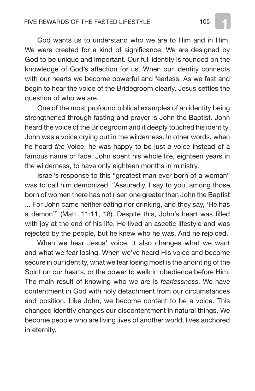God wants us to understand who we are to Him and in Him. We were created for a kind of significance. We are designed by God to be unique and important. Our full identity is founded on the knowledge of God's affection for us. When our identity connects with our hearts we become powerful and fearless. As we fast and begin to hear the voice of the Bridegroom clearly, Jesus settles the question of who we are.

One of the most profound biblical examples of an identity being strengthened through fasting and prayer is John the Baptist. John heard the voice of the Bridegroom and it deeply touched his identity. John was a voice crying out in the wilderness. In other words, when he heard *the* Voice, he was happy to be just *a* voice instead of a famous name or face. John spent his whole life, eighteen years in the wilderness, to have only eighteen months in ministry.

Israel's response to this "greatest man ever born of a woman" was to call him demonized. "Assuredly, I say to you, among those born of women there has not risen one greater than John the Baptist ... For John came neither eating nor drinking, and they say, 'He has a demon'" (Matt. 11:11, 18). Despite this, John's heart was filled with joy at the end of his life. He lived an ascetic lifestyle and was rejected by the people, but he knew who he was. And he rejoiced.

When we hear Jesus' voice, it also changes what we want and what we fear losing. When we've heard His voice and become secure in our identity, what we fear losing most is the anointing of the Spirit on our hearts, or the power to walk in obedience before Him. The main result of knowing who we are is *fearlessness*. We have contentment in God with holy detachment from our circumstances and position. Like John, we become content to be a voice. This changed identity changes our discontentment in natural things. We become people who are living lives of another world, lives anchored in eternity.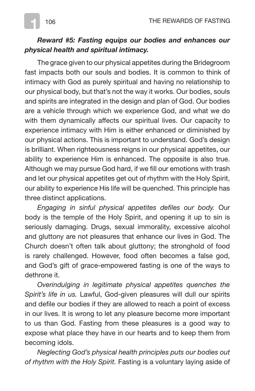# *Reward #5: Fasting equips our bodies and enhances our physical health and spiritual intimacy.*

The grace given to our physical appetites during the Bridegroom fast impacts both our souls and bodies. It is common to think of intimacy with God as purely spiritual and having no relationship to our physical body, but that's not the way it works. Our bodies, souls and spirits are integrated in the design and plan of God. Our bodies are a vehicle through which we experience God, and what we do with them dynamically affects our spiritual lives. Our capacity to experience intimacy with Him is either enhanced or diminished by our physical actions. This is important to understand. God's design is brilliant. When righteousness reigns in our physical appetites, our ability to experience Him is enhanced. The opposite is also true. Although we may pursue God hard, if we fill our emotions with trash and let our physical appetites get out of rhythm with the Holy Spirit, our ability to experience His life will be quenched. This principle has three distinct applications.

*Engaging in sinful physical appetites defiles our body.* Our body is the temple of the Holy Spirit, and opening it up to sin is seriously damaging. Drugs, sexual immorality, excessive alcohol and gluttony are not pleasures that enhance our lives in God. The Church doesn't often talk about gluttony; the stronghold of food is rarely challenged. However, food often becomes a false god, and God's gift of grace-empowered fasting is one of the ways to dethrone it.

*Overindulging in legitimate physical appetites quenches the Spirit's life in us.* Lawful, God-given pleasures will dull our spirits and defile our bodies if they are allowed to reach a point of excess in our lives. It is wrong to let any pleasure become more important to us than God. Fasting from these pleasures is a good way to expose what place they have in our hearts and to keep them from becoming idols.

*Neglecting God's physical health principles puts our bodies out of rhythm with the Holy Spirit.* Fasting is a voluntary laying aside of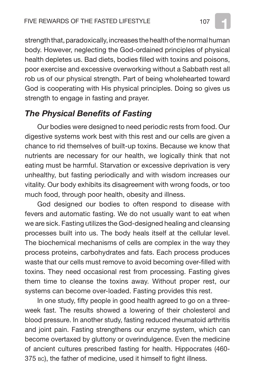strength that, paradoxically, increases the health of the normal human body. However, neglecting the God-ordained principles of physical health depletes us. Bad diets, bodies filled with toxins and poisons, poor exercise and excessive overworking without a Sabbath rest all rob us of our physical strength. Part of being wholehearted toward God is cooperating with His physical principles. Doing so gives us strength to engage in fasting and prayer.

# *The Physical Benefits of Fasting*

Our bodies were designed to need periodic rests from food. Our digestive systems work best with this rest and our cells are given a chance to rid themselves of built-up toxins. Because we know that nutrients are necessary for our health, we logically think that not eating must be harmful. Starvation or excessive deprivation is very unhealthy, but fasting periodically and with wisdom increases our vitality. Our body exhibits its disagreement with wrong foods, or too much food, through poor health, obesity and illness.

God designed our bodies to often respond to disease with fevers and automatic fasting. We do not usually want to eat when we are sick. Fasting utilizes the God-designed healing and cleansing processes built into us. The body heals itself at the cellular level. The biochemical mechanisms of cells are complex in the way they process proteins, carbohydrates and fats. Each process produces waste that our cells must remove to avoid becoming over-filled with toxins. They need occasional rest from processing. Fasting gives them time to cleanse the toxins away. Without proper rest, our systems can become over-loaded. Fasting provides this rest.

In one study, fifty people in good health agreed to go on a threeweek fast. The results showed a lowering of their cholesterol and blood pressure. In another study, fasting reduced rheumatoid arthritis and joint pain. Fasting strengthens our enzyme system, which can become overtaxed by gluttony or overindulgence. Even the medicine of ancient cultures prescribed fasting for health. Hippocrates (460- 375 bc), the father of medicine, used it himself to fight illness.

107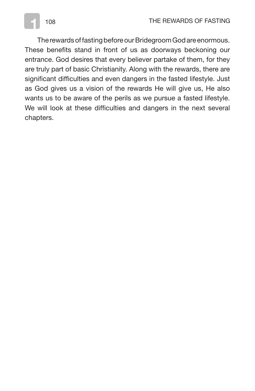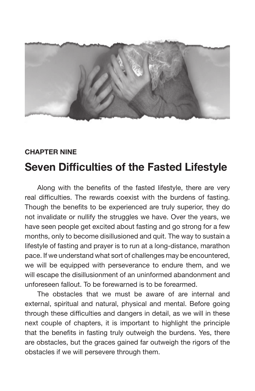

# **Chapter Nine Seven Difficulties of the Fasted Lifestyle**

Along with the benefits of the fasted lifestyle, there are very real difficulties. The rewards coexist with the burdens of fasting. Though the benefits to be experienced are truly superior, they do not invalidate or nullify the struggles we have. Over the years, we have seen people get excited about fasting and go strong for a few months, only to become disillusioned and quit. The way to sustain a lifestyle of fasting and prayer is to run at a long-distance, marathon pace. If we understand what sort of challenges may be encountered, we will be equipped with perseverance to endure them, and we will escape the disillusionment of an uninformed abandonment and unforeseen fallout. To be forewarned is to be forearmed.

The obstacles that we must be aware of are internal and external, spiritual and natural, physical and mental. Before going through these difficulties and dangers in detail, as we will in these next couple of chapters, it is important to highlight the principle that the benefits in fasting truly outweigh the burdens. Yes, there are obstacles, but the graces gained far outweigh the rigors of the obstacles if we will persevere through them.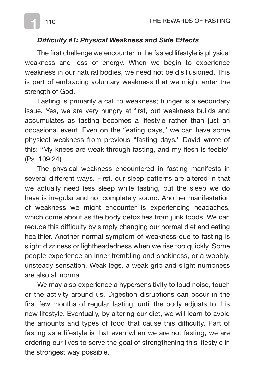

### *Difficulty #1: Physical Weakness and Side Effects*

The first challenge we encounter in the fasted lifestyle is physical weakness and loss of energy. When we begin to experience weakness in our natural bodies, we need not be disillusioned. This is part of embracing voluntary weakness that we might enter the strength of God.

Fasting is primarily a call to weakness; hunger is a secondary issue. Yes, we are very hungry at first, but weakness builds and accumulates as fasting becomes a lifestyle rather than just an occasional event. Even on the "eating days," we can have some physical weakness from previous "fasting days." David wrote of this: "My knees are weak through fasting, and my flesh is feeble" (Ps. 109:24).

The physical weakness encountered in fasting manifests in several different ways. First, our sleep patterns are altered in that we actually need less sleep while fasting, but the sleep we do have is irregular and not completely sound. Another manifestation of weakness we might encounter is experiencing headaches, which come about as the body detoxifies from junk foods. We can reduce this difficulty by simply changing our normal diet and eating healthier. Another normal symptom of weakness due to fasting is slight dizziness or lightheadedness when we rise too quickly. Some people experience an inner trembling and shakiness, or a wobbly, unsteady sensation. Weak legs, a weak grip and slight numbness are also all normal.

We may also experience a hypersensitivity to loud noise, touch or the activity around us. Digestion disruptions can occur in the first few months of regular fasting, until the body adjusts to this new lifestyle. Eventually, by altering our diet, we will learn to avoid the amounts and types of food that cause this difficulty. Part of fasting as a lifestyle is that even when we are not fasting, we are ordering our lives to serve the goal of strengthening this lifestyle in the strongest way possible.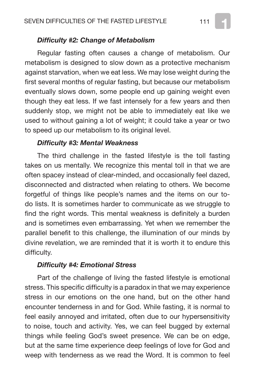# *Difficulty #2: Change of Metabolism*

Regular fasting often causes a change of metabolism. Our metabolism is designed to slow down as a protective mechanism against starvation, when we eat less. We may lose weight during the first several months of regular fasting, but because our metabolism eventually slows down, some people end up gaining weight even though they eat less. If we fast intensely for a few years and then suddenly stop, we might not be able to immediately eat like we used to without gaining a lot of weight; it could take a year or two to speed up our metabolism to its original level.

# *Difficulty #3: Mental Weakness*

The third challenge in the fasted lifestyle is the toll fasting takes on us mentally. We recognize this mental toll in that we are often spacey instead of clear-minded, and occasionally feel dazed, disconnected and distracted when relating to others. We become forgetful of things like people's names and the items on our todo lists. It is sometimes harder to communicate as we struggle to find the right words. This mental weakness is definitely a burden and is sometimes even embarrassing. Yet when we remember the parallel benefit to this challenge, the illumination of our minds by divine revelation, we are reminded that it is worth it to endure this difficulty.

# *Difficulty #4: Emotional Stress*

Part of the challenge of living the fasted lifestyle is emotional stress. This specific difficulty is a paradox in that we may experience stress in our emotions on the one hand, but on the other hand encounter tenderness in and for God. While fasting, it is normal to feel easily annoyed and irritated, often due to our hypersensitivity to noise, touch and activity. Yes, we can feel bugged by external things while feeling God's sweet presence. We can be on edge, but at the same time experience deep feelings of love for God and weep with tenderness as we read the Word. It is common to feel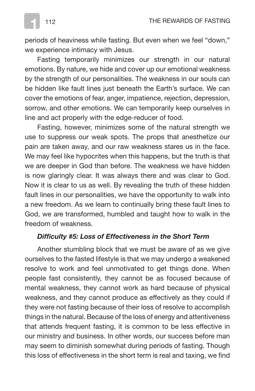periods of heaviness while fasting. But even when we feel "down," we experience intimacy with Jesus.

Fasting temporarily minimizes our strength in our natural emotions. By nature, we hide and cover up our emotional weakness by the strength of our personalities. The weakness in our souls can be hidden like fault lines just beneath the Earth's surface. We can cover the emotions of fear, anger, impatience, rejection, depression, sorrow, and other emotions. We can temporarily keep ourselves in line and act properly with the edge-reducer of food.

Fasting, however, minimizes some of the natural strength we use to suppress our weak spots. The props that anesthetize our pain are taken away, and our raw weakness stares us in the face. We may feel like hypocrites when this happens, but the truth is that we are deeper in God than before. The weakness we have hidden is now glaringly clear. It was always there and was clear to God. Now it is clear to us as well. By revealing the truth of these hidden fault lines in our personalities, we have the opportunity to walk into a new freedom. As we learn to continually bring these fault lines to God, we are transformed, humbled and taught how to walk in the freedom of weakness.

### *Difficulty #5: Loss of Effectiveness in the Short Term*

Another stumbling block that we must be aware of as we give ourselves to the fasted lifestyle is that we may undergo a weakened resolve to work and feel unmotivated to get things done. When people fast consistently, they cannot be as focused because of mental weakness, they cannot work as hard because of physical weakness, and they cannot produce as effectively as they could if they were not fasting because of their loss of resolve to accomplish things in the natural. Because of the loss of energy and attentiveness that attends frequent fasting, it is common to be less effective in our ministry and business. In other words, our success before man may seem to diminish somewhat during periods of fasting. Though this loss of effectiveness in the short term is real and taxing, we find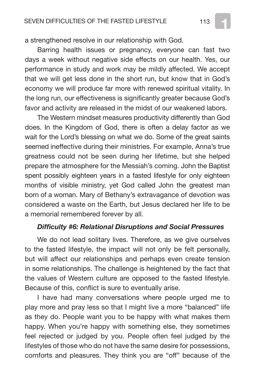a strengthened resolve in our relationship with God.

Barring health issues or pregnancy, everyone can fast two days a week without negative side effects on our health. Yes, our performance in study and work may be mildly affected. We accept that we will get less done in the short run, but know that in God's economy we will produce far more with renewed spiritual vitality. In the long run, our effectiveness is significantly greater because God's favor and activity are released in the midst of our weakened labors.

The Western mindset measures productivity differently than God does. In the Kingdom of God, there is often a delay factor as we wait for the Lord's blessing on what we do. Some of the great saints seemed ineffective during their ministries. For example, Anna's true greatness could not be seen during her lifetime, but she helped prepare the atmosphere for the Messiah's coming. John the Baptist spent possibly eighteen years in a fasted lifestyle for only eighteen months of visible ministry, yet God called John the greatest man born of a woman. Mary of Bethany's extravagance of devotion was considered a waste on the Earth, but Jesus declared her life to be a memorial remembered forever by all.

### *Difficulty #6: Relational Disruptions and Social Pressures*

We do not lead solitary lives. Therefore, as we give ourselves to the fasted lifestyle, the impact will not only be felt personally, but will affect our relationships and perhaps even create tension in some relationships. The challenge is heightened by the fact that the values of Western culture are opposed to the fasted lifestyle. Because of this, conflict is sure to eventually arise.

I have had many conversations where people urged me to play more and pray less so that I might live a more "balanced" life as they do. People want you to be happy with what makes them happy. When you're happy with something else, they sometimes feel rejected or judged by you. People often feel judged by the lifestyles of those who do not have the same desire for possessions, comforts and pleasures. They think you are "off" because of the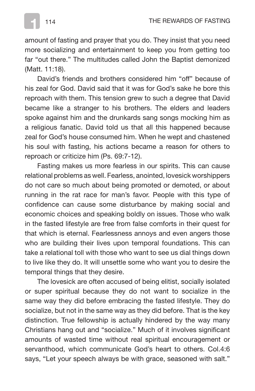

David's friends and brothers considered him "off" because of his zeal for God. David said that it was for God's sake he bore this reproach with them. This tension grew to such a degree that David became like a stranger to his brothers. The elders and leaders spoke against him and the drunkards sang songs mocking him as a religious fanatic. David told us that all this happened because zeal for God's house consumed him. When he wept and chastened his soul with fasting, his actions became a reason for others to reproach or criticize him (Ps. 69:7-12).

Fasting makes us more fearless in our spirits. This can cause relational problems as well. Fearless, anointed, lovesick worshippers do not care so much about being promoted or demoted, or about running in the rat race for man's favor. People with this type of confidence can cause some disturbance by making social and economic choices and speaking boldly on issues. Those who walk in the fasted lifestyle are free from false comforts in their quest for that which is eternal. Fearlessness annoys and even angers those who are building their lives upon temporal foundations. This can take a relational toll with those who want to see us dial things down to live like they do. It will unsettle some who want you to desire the temporal things that they desire.

The lovesick are often accused of being elitist, socially isolated or super spiritual because they do not want to socialize in the same way they did before embracing the fasted lifestyle. They do socialize, but not in the same way as they did before. That is the key distinction. True fellowship is actually hindered by the way many Christians hang out and "socialize." Much of it involves significant amounts of wasted time without real spiritual encouragement or servanthood, which communicate God's heart to others. Col.4:6 says, "Let your speech always be with grace, seasoned with salt."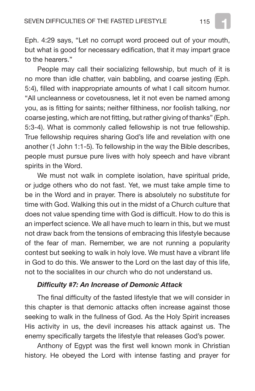Eph. 4:29 says, "Let no corrupt word proceed out of your mouth, but what is good for necessary edification, that it may impart grace to the hearers."

People may call their socializing fellowship, but much of it is no more than idle chatter, vain babbling, and coarse jesting (Eph. 5:4), filled with inappropriate amounts of what I call sitcom humor. "All uncleanness or covetousness, let it not even be named among you, as is fitting for saints; neither filthiness, nor foolish talking, nor coarse jesting, which are not fitting, but rather giving of thanks" (Eph. 5:3-4). What is commonly called fellowship is not true fellowship. True fellowship requires sharing God's life and revelation with one another (1 John 1:1-5). To fellowship in the way the Bible describes, people must pursue pure lives with holy speech and have vibrant spirits in the Word.

We must not walk in complete isolation, have spiritual pride, or judge others who do not fast. Yet, we must take ample time to be in the Word and in prayer. There is absolutely no substitute for time with God. Walking this out in the midst of a Church culture that does not value spending time with God is difficult. How to do this is an imperfect science. We all have much to learn in this, but we must not draw back from the tensions of embracing this lifestyle because of the fear of man. Remember, we are not running a popularity contest but seeking to walk in holy love. We must have a vibrant life in God to do this. We answer to the Lord on the last day of this life, not to the socialites in our church who do not understand us.

### *Difficulty #7: An Increase of Demonic Attack*

The final difficulty of the fasted lifestyle that we will consider in this chapter is that demonic attacks often increase against those seeking to walk in the fullness of God. As the Holy Spirit increases His activity in us, the devil increases his attack against us. The enemy specifically targets the lifestyle that releases God's power.

Anthony of Egypt was the first well known monk in Christian history. He obeyed the Lord with intense fasting and prayer for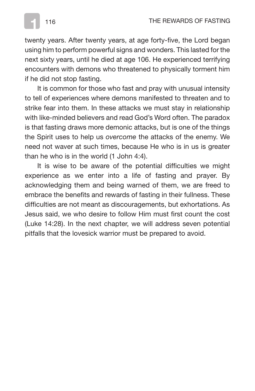

It is common for those who fast and pray with unusual intensity to tell of experiences where demons manifested to threaten and to strike fear into them. In these attacks we must stay in relationship with like-minded believers and read God's Word often. The paradox is that fasting draws more demonic attacks, but is one of the things the Spirit uses to help us *overcome* the attacks of the enemy. We need not waver at such times, because He who is in us is greater than he who is in the world (1 John 4:4).

It is wise to be aware of the potential difficulties we might experience as we enter into a life of fasting and prayer. By acknowledging them and being warned of them, we are freed to embrace the benefits and rewards of fasting in their fullness. These difficulties are not meant as discouragements, but exhortations. As Jesus said, we who desire to follow Him must first count the cost (Luke 14:28). In the next chapter, we will address seven potential pitfalls that the lovesick warrior must be prepared to avoid.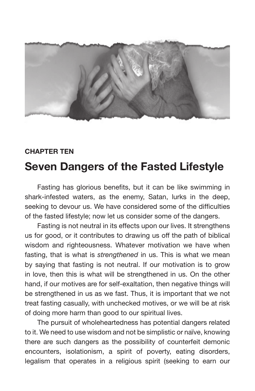

# **Chapter Ten Seven Dangers of the Fasted Lifestyle**

Fasting has glorious benefits, but it can be like swimming in shark-infested waters, as the enemy, Satan, lurks in the deep, seeking to devour us. We have considered some of the difficulties of the fasted lifestyle; now let us consider some of the dangers.

Fasting is not neutral in its effects upon our lives. It strengthens us for good, or it contributes to drawing us off the path of biblical wisdom and righteousness. Whatever motivation we have when fasting, that is what is *strengthened* in us. This is what we mean by saying that fasting is not neutral. If our motivation is to grow in love, then this is what will be strengthened in us. On the other hand, if our motives are for self-exaltation, then negative things will be strengthened in us as we fast. Thus, it is important that we not treat fasting casually, with unchecked motives, or we will be at risk of doing more harm than good to our spiritual lives.

The pursuit of wholeheartedness has potential dangers related to it. We need to use wisdom and not be simplistic or naïve, knowing there are such dangers as the possibility of counterfeit demonic encounters, isolationism, a spirit of poverty, eating disorders, legalism that operates in a religious spirit (seeking to earn our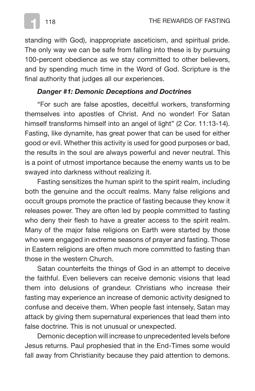standing with God), inappropriate asceticism, and spiritual pride. The only way we can be safe from falling into these is by pursuing 100-percent obedience as we stay committed to other believers, and by spending much time in the Word of God. Scripture is the final authority that judges all our experiences.

### *Danger #1: Demonic Deceptions and Doctrines*

"For such are false apostles, deceitful workers, transforming themselves into apostles of Christ. And no wonder! For Satan himself transforms himself into an angel of light" (2 Cor. 11:13-14). Fasting, like dynamite, has great power that can be used for either good or evil. Whether this activity is used for good purposes or bad, the results in the soul are always powerful and never neutral. This is a point of utmost importance because the enemy wants us to be swayed into darkness without realizing it.

Fasting sensitizes the human spirit to the spirit realm, including both the genuine and the occult realms. Many false religions and occult groups promote the practice of fasting because they know it releases power. They are often led by people committed to fasting who deny their flesh to have a greater access to the spirit realm. Many of the major false religions on Earth were started by those who were engaged in extreme seasons of prayer and fasting. Those in Eastern religions are often much more committed to fasting than those in the western Church.

Satan counterfeits the things of God in an attempt to deceive the faithful. Even believers can receive demonic visions that lead them into delusions of grandeur. Christians who increase their fasting may experience an increase of demonic activity designed to confuse and deceive them. When people fast intensely, Satan may attack by giving them supernatural experiences that lead them into false doctrine. This is not unusual or unexpected.

Demonic deception will increase to unprecedented levels before Jesus returns. Paul prophesied that in the End-Times some would fall away from Christianity because they paid attention to demons.

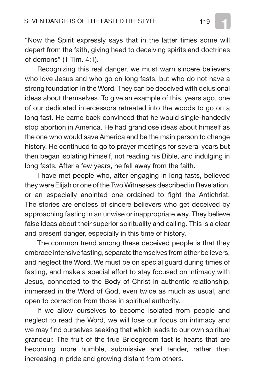"Now the Spirit expressly says that in the latter times some will depart from the faith, giving heed to deceiving spirits and doctrines of demons" (1 Tim. 4:1).

Recognizing this real danger, we must warn sincere believers who love Jesus and who go on long fasts, but who do not have a strong foundation in the Word. They can be deceived with delusional ideas about themselves. To give an example of this, years ago, one of our dedicated intercessors retreated into the woods to go on a long fast. He came back convinced that he would single-handedly stop abortion in America. He had grandiose ideas about himself as the one who would save America and be the main person to change history. He continued to go to prayer meetings for several years but then began isolating himself, not reading his Bible, and indulging in long fasts. After a few years, he fell away from the faith.

I have met people who, after engaging in long fasts, believed they were Elijah or one of the Two Witnesses described in Revelation, or an especially anointed one ordained to fight the Antichrist. The stories are endless of sincere believers who get deceived by approaching fasting in an unwise or inappropriate way. They believe false ideas about their superior spirituality and calling. This is a clear and present danger, especially in this time of history.

The common trend among these deceived people is that they embrace intensive fasting, separate themselves from other believers, and neglect the Word. We must be on special guard during times of fasting, and make a special effort to stay focused on intimacy with Jesus, connected to the Body of Christ in authentic relationship, immersed in the Word of God, even twice as much as usual, and open to correction from those in spiritual authority.

If we allow ourselves to become isolated from people and neglect to read the Word, we will lose our focus on intimacy and we may find ourselves seeking that which leads to our own spiritual grandeur. The fruit of the true Bridegroom fast is hearts that are becoming more humble, submissive and tender, rather than increasing in pride and growing distant from others.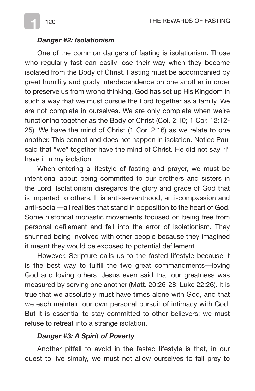### *Danger #2: Isolationism*

One of the common dangers of fasting is isolationism. Those who regularly fast can easily lose their way when they become isolated from the Body of Christ. Fasting must be accompanied by great humility and godly interdependence on one another in order to preserve us from wrong thinking. God has set up His Kingdom in such a way that we must pursue the Lord together as a family. We are not complete in ourselves. We are only complete when we're functioning together as the Body of Christ (Col. 2:10; 1 Cor. 12:12- 25). We have the mind of Christ (1 Cor. 2:16) as we relate to one another. This cannot and does not happen in isolation. Notice Paul said that "we" together have the mind of Christ. He did not say "I" have it in my isolation.

When entering a lifestyle of fasting and prayer, we must be intentional about being committed to our brothers and sisters in the Lord. Isolationism disregards the glory and grace of God that is imparted to others. It is anti-servanthood, anti-compassion and anti-social—all realities that stand in opposition to the heart of God. Some historical monastic movements focused on being free from personal defilement and fell into the error of isolationism. They shunned being involved with other people because they imagined it meant they would be exposed to potential defilement.

However, Scripture calls us to the fasted lifestyle because it is the best way to fulfill the two great commandments—loving God and loving others. Jesus even said that our greatness was measured by serving one another (Matt. 20:26-28; Luke 22:26). It is true that we absolutely must have times alone with God, and that we each maintain our own personal pursuit of intimacy with God. But it is essential to stay committed to other believers; we must refuse to retreat into a strange isolation.

### *Danger #3: A Spirit of Poverty*

Another pitfall to avoid in the fasted lifestyle is that, in our quest to live simply, we must not allow ourselves to fall prey to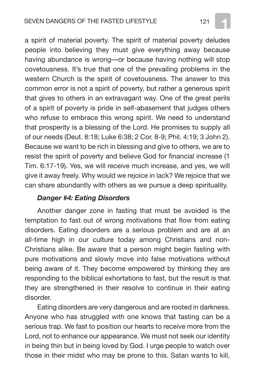121

a spirit of material poverty. The spirit of material poverty deludes people into believing they must give everything away because having abundance is wrong—or because having nothing will stop covetousness. It's true that one of the prevailing problems in the western Church is the spirit of covetousness. The answer to this common error is not a spirit of poverty, but rather a generous spirit that gives to others in an extravagant way. One of the great perils of a spirit of poverty is pride in self-abasement that judges others who refuse to embrace this wrong spirit. We need to understand that prosperity is a blessing of the Lord. He promises to supply all of our needs (Deut. 8:18; Luke 6:38; 2 Cor. 8-9; Phil. 4:19; 3 John 2). Because we want to be rich in blessing and give to others, we are to resist the spirit of poverty and believe God for financial increase (1 Tim. 6:17-19). Yes, we will receive much increase, and yes, we will give it away freely. Why would we rejoice in lack? We rejoice that we can share abundantly with others as we pursue a deep spirituality.

### *Danger #4: Eating Disorders*

Another danger zone in fasting that must be avoided is the temptation to fast out of wrong motivations that flow from eating disorders. Eating disorders are a serious problem and are at an all-time high in our culture today among Christians and non-Christians alike. Be aware that a person might begin fasting with pure motivations and slowly move into false motivations without being aware of it. They become empowered by thinking they are responding to the biblical exhortations to fast, but the result is that they are strengthened in their resolve to continue in their eating disorder.

Eating disorders are very dangerous and are rooted in darkness. Anyone who has struggled with one knows that fasting can be a serious trap. We fast to position our hearts to receive more from the Lord, not to enhance our appearance. We must not seek our identity in being thin but in being loved by God. I urge people to watch over those in their midst who may be prone to this. Satan wants to kill,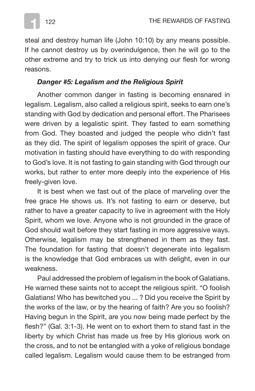steal and destroy human life (John 10:10) by any means possible. If he cannot destroy us by overindulgence, then he will go to the other extreme and try to trick us into denying our flesh for wrong reasons.

### *Danger #5: Legalism and the Religious Spirit*

Another common danger in fasting is becoming ensnared in legalism. Legalism, also called a religious spirit, seeks to earn one's standing with God by dedication and personal effort. The Pharisees were driven by a legalistic spirit. They fasted to earn something from God. They boasted and judged the people who didn't fast as they did. The spirit of legalism opposes the spirit of grace. Our motivation in fasting should have everything to do with responding to God's love. It is not fasting to gain standing with God through our works, but rather to enter more deeply into the experience of His freely-given love.

It is best when we fast out of the place of marveling over the free grace He shows us. It's not fasting to earn or deserve, but rather to have a greater capacity to live in agreement with the Holy Spirit, whom we love. Anyone who is not grounded in the grace of God should wait before they start fasting in more aggressive ways. Otherwise, legalism may be strengthened in them as they fast. The foundation for fasting that doesn't degenerate into legalism is the knowledge that God embraces us with delight, even in our weakness.

Paul addressed the problem of legalism in the book of Galatians. He warned these saints not to accept the religious spirit. "O foolish Galatians! Who has bewitched you ... ? Did you receive the Spirit by the works of the law, or by the hearing of faith? Are you so foolish? Having begun in the Spirit, are you now being made perfect by the flesh?" (Gal. 3:1-3). He went on to exhort them to stand fast in the liberty by which Christ has made us free by His glorious work on the cross, and to not be entangled with a yoke of religious bondage called legalism. Legalism would cause them to be estranged from

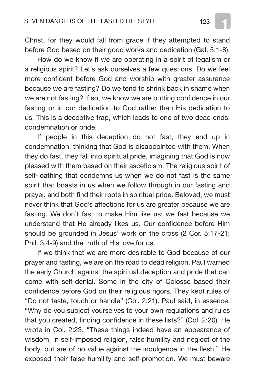Christ, for they would fall from grace if they attempted to stand before God based on their good works and dedication (Gal. 5:1-8).

How do we know if we are operating in a spirit of legalism or a religious spirit? Let's ask ourselves a few questions. Do we feel more confident before God and worship with greater assurance because we are fasting? Do we tend to shrink back in shame when we are not fasting? If so, we know we are putting confidence in our fasting or in our dedication to God rather than His dedication to us. This is a deceptive trap, which leads to one of two dead ends: condemnation or pride.

If people in this deception do not fast, they end up in condemnation, thinking that God is disappointed with them. When they do fast, they fall into spiritual pride, imagining that God is now pleased with them based on their asceticism. The religious spirit of self-loathing that condemns us when we do not fast is the same spirit that boasts in us when we follow through in our fasting and prayer, and both find their roots in spiritual pride. Beloved, we must never think that God's affections for us are greater because we are fasting. We don't fast to make Him like us; we fast because we understand that He already likes us. Our confidence before Him should be grounded in Jesus' work on the cross (2 Cor. 5:17-21; Phil. 3:4-9) and the truth of His love for us.

If we think that we are more desirable to God because of our prayer and fasting, we are on the road to dead religion. Paul warned the early Church against the spiritual deception and pride that can come with self-denial. Some in the city of Colosse based their confidence before God on their religious rigors. They kept rules of "Do not taste, touch or handle" (Col. 2:21). Paul said, in essence, "Why do you subject yourselves to your own regulations and rules that you created, finding confidence in these lists?" (Col. 2:20). He wrote in Col. 2:23, "These things indeed have an appearance of wisdom, in self-imposed religion, false humility and neglect of the body, but are of no value against the indulgence in the flesh." He exposed their false humility and self-promotion. We must beware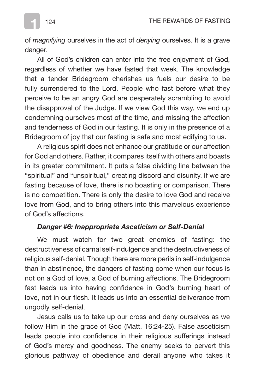of *magnifying* ourselves in the act of *denying* ourselves. It is a grave danger.

All of God's children can enter into the free enjoyment of God, regardless of whether we have fasted that week. The knowledge that a tender Bridegroom cherishes us fuels our desire to be fully surrendered to the Lord. People who fast before what they perceive to be an angry God are desperately scrambling to avoid the disapproval of the Judge. If we view God this way, we end up condemning ourselves most of the time, and missing the affection and tenderness of God in our fasting. It is only in the presence of a Bridegroom of joy that our fasting is safe and most edifying to us.

A religious spirit does not enhance our gratitude or our affection for God and others. Rather, it compares itself with others and boasts in its greater commitment. It puts a false dividing line between the "spiritual" and "unspiritual," creating discord and disunity. If we are fasting because of love, there is no boasting or comparison. There is no competition. There is only the desire to love God and receive love from God, and to bring others into this marvelous experience of God's affections.

### *Danger #6: Inappropriate Asceticism or Self-Denial*

We must watch for two great enemies of fasting: the destructiveness of carnal self-indulgence and the destructiveness of religious self-denial. Though there are more perils in self-indulgence than in abstinence, the dangers of fasting come when our focus is not on a God of love, a God of burning affections. The Bridegroom fast leads us into having confidence in God's burning heart of love, not in our flesh. It leads us into an essential deliverance from ungodly self-denial.

Jesus calls us to take up our cross and deny ourselves as we follow Him in the grace of God (Matt. 16:24-25). False asceticism leads people into confidence in their religious sufferings instead of God's mercy and goodness. The enemy seeks to pervert this glorious pathway of obedience and derail anyone who takes it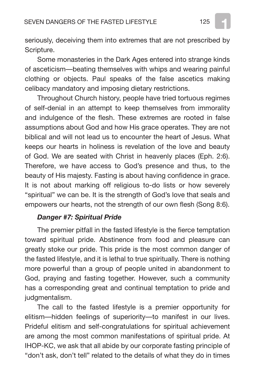seriously, deceiving them into extremes that are not prescribed by Scripture.

Some monasteries in the Dark Ages entered into strange kinds of asceticism—beating themselves with whips and wearing painful clothing or objects. Paul speaks of the false ascetics making celibacy mandatory and imposing dietary restrictions.

Throughout Church history, people have tried tortuous regimes of self-denial in an attempt to keep themselves from immorality and indulgence of the flesh. These extremes are rooted in false assumptions about God and how His grace operates. They are not biblical and will not lead us to encounter the heart of Jesus. What keeps our hearts in holiness is revelation of the love and beauty of God. We are seated with Christ in heavenly places (Eph. 2:6). Therefore, we have access to God's presence and thus, to the beauty of His majesty. Fasting is about having confidence in grace. It is not about marking off religious to-do lists or how severely "spiritual" we can be. It is the strength of God's love that seals and empowers our hearts, not the strength of our own flesh (Song 8:6).

### *Danger #7: Spiritual Pride*

The premier pitfall in the fasted lifestyle is the fierce temptation toward spiritual pride. Abstinence from food and pleasure can greatly stoke our pride. This pride is the most common danger of the fasted lifestyle, and it is lethal to true spiritually. There is nothing more powerful than a group of people united in abandonment to God, praying and fasting together. However, such a community has a corresponding great and continual temptation to pride and judgmentalism.

The call to the fasted lifestyle is a premier opportunity for elitism—hidden feelings of superiority—to manifest in our lives. Prideful elitism and self-congratulations for spiritual achievement are among the most common manifestations of spiritual pride. At IHOP-KC, we ask that all abide by our corporate fasting principle of "don't ask, don't tell" related to the details of what they do in times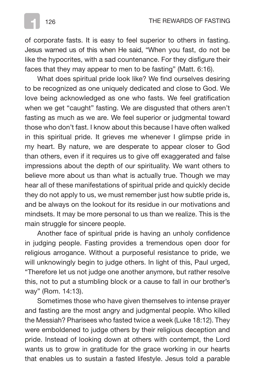of corporate fasts. It is easy to feel superior to others in fasting. Jesus warned us of this when He said, "When you fast, do not be like the hypocrites, with a sad countenance. For they disfigure their faces that they may appear to men to be fasting" (Matt. 6:16).

What does spiritual pride look like? We find ourselves desiring to be recognized as one uniquely dedicated and close to God. We love being acknowledged as one who fasts. We feel gratification when we get "caught" fasting. We are disgusted that others aren't fasting as much as we are. We feel superior or judgmental toward those who don't fast. I know about this because I have often walked in this spiritual pride. It grieves me whenever I glimpse pride in my heart. By nature, we are desperate to appear closer to God than others, even if it requires us to give off exaggerated and false impressions about the depth of our spirituality. We want others to believe more about us than what is actually true. Though we may hear all of these manifestations of spiritual pride and quickly decide they do not apply to us, we must remember just how subtle pride is, and be always on the lookout for its residue in our motivations and mindsets. It may be more personal to us than we realize. This is the main struggle for sincere people.

Another face of spiritual pride is having an unholy confidence in judging people. Fasting provides a tremendous open door for religious arrogance. Without a purposeful resistance to pride, we will unknowingly begin to judge others. In light of this, Paul urged, "Therefore let us not judge one another anymore, but rather resolve this, not to put a stumbling block or a cause to fall in our brother's way" (Rom. 14:13).

Sometimes those who have given themselves to intense prayer and fasting are the most angry and judgmental people. Who killed the Messiah? Pharisees who fasted twice a week (Luke 18:12). They were emboldened to judge others by their religious deception and pride. Instead of looking down at others with contempt, the Lord wants us to grow in gratitude for the grace working in our hearts that enables us to sustain a fasted lifestyle. Jesus told a parable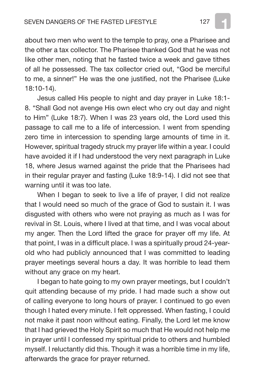about two men who went to the temple to pray, one a Pharisee and the other a tax collector. The Pharisee thanked God that he was not like other men, noting that he fasted twice a week and gave tithes of all he possessed. The tax collector cried out, "God be merciful to me, a sinner!" He was the one justified, not the Pharisee (Luke 18:10-14).

Jesus called His people to night and day prayer in Luke 18:1- 8. "Shall God not avenge His own elect who cry out day and night to Him" (Luke 18:7). When I was 23 years old, the Lord used this passage to call me to a life of intercession. I went from spending zero time in intercession to spending large amounts of time in it. However, spiritual tragedy struck my prayer life within a year. I could have avoided it if I had understood the very next paragraph in Luke 18, where Jesus warned against the pride that the Pharisees had in their regular prayer and fasting (Luke 18:9-14). I did not see that warning until it was too late.

When I began to seek to live a life of prayer, I did not realize that I would need so much of the grace of God to sustain it. I was disgusted with others who were not praying as much as I was for revival in St. Louis, where I lived at that time, and I was vocal about my anger. Then the Lord lifted the grace for prayer off my life. At that point, I was in a difficult place. I was a spiritually proud 24-yearold who had publicly announced that I was committed to leading prayer meetings several hours a day. It was horrible to lead them without any grace on my heart.

I began to hate going to my own prayer meetings, but I couldn't quit attending because of my pride. I had made such a show out of calling everyone to long hours of prayer. I continued to go even though I hated every minute. I felt oppressed. When fasting, I could not make it past noon without eating. Finally, the Lord let me know that I had grieved the Holy Spirit so much that He would not help me in prayer until I confessed my spiritual pride to others and humbled myself. I reluctantly did this. Though it was a horrible time in my life, afterwards the grace for prayer returned.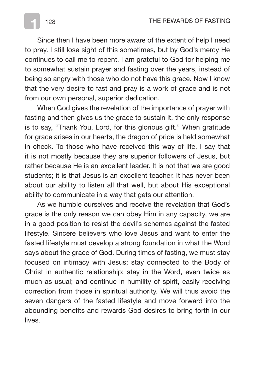Since then I have been more aware of the extent of help I need to pray. I still lose sight of this sometimes, but by God's mercy He continues to call me to repent. I am grateful to God for helping me to somewhat sustain prayer and fasting over the years, instead of being so angry with those who do not have this grace. Now I know that the very desire to fast and pray is a work of grace and is not from our own personal, superior dedication.

When God gives the revelation of the importance of prayer with fasting and then gives us the grace to sustain it, the only response is to say, "Thank You, Lord, for this glorious gift." When gratitude for grace arises in our hearts, the dragon of pride is held somewhat in check. To those who have received this way of life, I say that it is not mostly because they are superior followers of Jesus, but rather because He is an excellent leader. It is not that we are good students; it is that Jesus is an excellent teacher. It has never been about our ability to listen all that well, but about His exceptional ability to communicate in a way that gets our attention.

As we humble ourselves and receive the revelation that God's grace is the only reason we can obey Him in any capacity, we are in a good position to resist the devil's schemes against the fasted lifestyle. Sincere believers who love Jesus and want to enter the fasted lifestyle must develop a strong foundation in what the Word says about the grace of God. During times of fasting, we must stay focused on intimacy with Jesus; stay connected to the Body of Christ in authentic relationship; stay in the Word, even twice as much as usual; and continue in humility of spirit, easily receiving correction from those in spiritual authority. We will thus avoid the seven dangers of the fasted lifestyle and move forward into the abounding benefits and rewards God desires to bring forth in our lives.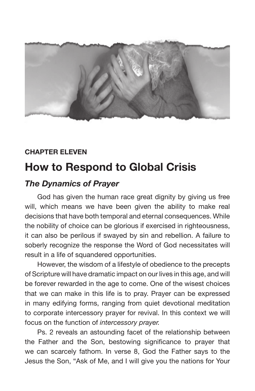

# **Chapter eLEVEN How to Respond to Global Crisis**

# *The Dynamics of Prayer*

God has given the human race great dignity by giving us free will, which means we have been given the ability to make real decisions that have both temporal and eternal consequences. While the nobility of choice can be glorious if exercised in righteousness, it can also be perilous if swayed by sin and rebellion. A failure to soberly recognize the response the Word of God necessitates will result in a life of squandered opportunities.

However, the wisdom of a lifestyle of obedience to the precepts of Scripture will have dramatic impact on our lives in this age, and will be forever rewarded in the age to come. One of the wisest choices that we can make in this life is to pray. Prayer can be expressed in many edifying forms, ranging from quiet devotional meditation to corporate intercessory prayer for revival. In this context we will focus on the function of *intercessory prayer.*

Ps. 2 reveals an astounding facet of the relationship between the Father and the Son, bestowing significance to prayer that we can scarcely fathom. In verse 8, God the Father says to the Jesus the Son, "Ask of Me, and I will give you the nations for Your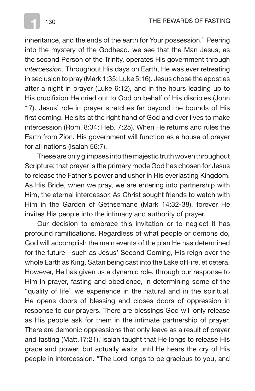

These are only glimpses into the majestic truth woven throughout Scripture: that prayer is the primary mode God has chosen for Jesus to release the Father's power and usher in His everlasting Kingdom. As His Bride, when we pray, we are entering into partnership with Him, the eternal intercessor. As Christ sought friends to watch with Him in the Garden of Gethsemane (Mark 14:32-38), forever He invites His people into the intimacy and authority of prayer.

Our decision to embrace this invitation or to neglect it has profound ramifications. Regardless of what people or demons do, God will accomplish the main events of the plan He has determined for the future—such as Jesus' Second Coming, His reign over the whole Earth as King, Satan being cast into the Lake of Fire, et cetera. However, He has given us a dynamic role, through our response to Him in prayer, fasting and obedience, in determining some of the "quality of life" we experience in the natural and in the spiritual. He opens doors of blessing and closes doors of oppression in response to our prayers. There are blessings God will only release as His people ask for them in the intimate partnership of prayer. There are demonic oppressions that only leave as a result of prayer and fasting (Matt.17:21). Isaiah taught that He longs to release His grace and power, but actually waits until He hears the cry of His people in intercession. "The Lord longs to be gracious to you, and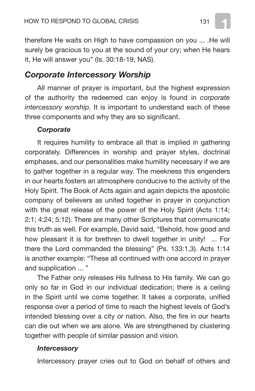

therefore He waits on High to have compassion on you ... .He will surely be gracious to you at the sound of your cry; when He hears it, He will answer you" (Is. 30:18-19, NAS).

# *Corporate Intercessory Worship*

All manner of prayer is important, but the highest expression of the authority the redeemed can enjoy is found in *corporate intercessory worship.* It is important to understand each of these three components and why they are so significant.

### *Corporate*

It requires humility to embrace all that is implied in gathering corporately. Differences in worship and prayer styles, doctrinal emphases, and our personalities make humility necessary if we are to gather together in a regular way. The meekness this engenders in our hearts fosters an atmosphere conducive to the activity of the Holy Spirit. The Book of Acts again and again depicts the apostolic company of believers as united together in prayer in conjunction with the great release of the power of the Holy Spirit (Acts 1:14; 2:1; 4:24; 5:12). There are many other Scriptures that communicate this truth as well. For example, David said, "Behold, how good and how pleasant it is for brethren to dwell together in unity! ... For there the Lord commanded the blessing" (Ps. 133:1,3). Acts 1:14 is another example: "These all continued with one accord in prayer and supplication ... "

The Father only releases His fullness to His family. We can go only so far in God in our individual dedication; there is a ceiling in the Spirit until we come together. It takes a corporate, unified response over a period of time to reach the highest levels of God's intended blessing over a city or nation. Also, the fire in our hearts can die out when we are alone. We are strengthened by clustering together with people of similar passion and vision.

### *Intercessory*

Intercessory prayer cries out to God on behalf of others and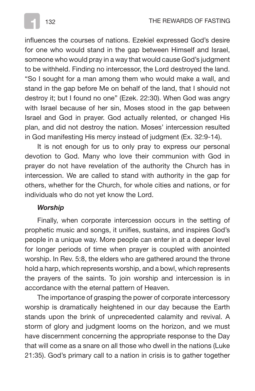influences the courses of nations. Ezekiel expressed God's desire for one who would stand in the gap between Himself and Israel, someone who would pray in a way that would cause God's judgment to be withheld. Finding no intercessor, the Lord destroyed the land. "So I sought for a man among them who would make a wall, and stand in the gap before Me on behalf of the land, that I should not destroy it; but I found no one" (Ezek. 22:30). When God was angry with Israel because of her sin, Moses stood in the gap between Israel and God in prayer. God actually relented, or changed His plan, and did not destroy the nation. Moses' intercession resulted in God manifesting His mercy instead of judgment (Ex. 32:9-14).

It is not enough for us to only pray to express our personal devotion to God. Many who love their communion with God in prayer do not have revelation of the authority the Church has in intercession. We are called to stand with authority in the gap for others, whether for the Church, for whole cities and nations, or for individuals who do not yet know the Lord.

### *Worship*

Finally, when corporate intercession occurs in the setting of prophetic music and songs, it unifies, sustains, and inspires God's people in a unique way. More people can enter in at a deeper level for longer periods of time when prayer is coupled with anointed worship. In Rev. 5:8, the elders who are gathered around the throne hold a harp, which represents worship, and a bowl, which represents the prayers of the saints. To join worship and intercession is in accordance with the eternal pattern of Heaven.

The importance of grasping the power of corporate intercessory worship is dramatically heightened in our day because the Earth stands upon the brink of unprecedented calamity and revival. A storm of glory and judgment looms on the horizon, and we must have discernment concerning the appropriate response to the Day that will come as a snare on all those who dwell in the nations (Luke 21:35). God's primary call to a nation in crisis is to gather together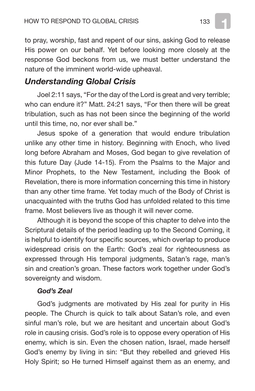to pray, worship, fast and repent of our sins, asking God to release His power on our behalf. Yet before looking more closely at the response God beckons from us, we must better understand the nature of the imminent world-wide upheaval.

# *Understanding Global Crisis*

Joel 2:11 says, "For the day of the Lord is great and very terrible; who can endure it?" Matt. 24:21 says, "For then there will be great tribulation, such as has not been since the beginning of the world until this time, no, nor ever shall be."

Jesus spoke of a generation that would endure tribulation unlike any other time in history. Beginning with Enoch, who lived long before Abraham and Moses, God began to give revelation of this future Day (Jude 14-15). From the Psalms to the Major and Minor Prophets, to the New Testament, including the Book of Revelation, there is more information concerning this time in history than any other time frame. Yet today much of the Body of Christ is unacquainted with the truths God has unfolded related to this time frame. Most believers live as though it will never come.

Although it is beyond the scope of this chapter to delve into the Scriptural details of the period leading up to the Second Coming, it is helpful to identify four specific sources, which overlap to produce widespread crisis on the Earth: God's zeal for righteousness as expressed through His temporal judgments, Satan's rage, man's sin and creation's groan. These factors work together under God's sovereignty and wisdom.

### *God's Zeal*

God's judgments are motivated by His zeal for purity in His people. The Church is quick to talk about Satan's role, and even sinful man's role, but we are hesitant and uncertain about God's role in causing crisis. God's role is to oppose every operation of His enemy, which is sin. Even the chosen nation, Israel, made herself God's enemy by living in sin: "But they rebelled and grieved His Holy Spirit; so He turned Himself against them as an enemy, and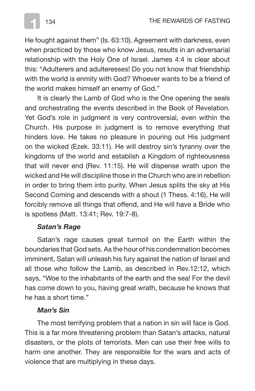

It is clearly the Lamb of God who is the One opening the seals and orchestrating the events described in the Book of Revelation. Yet God's role in judgment is very controversial, even within the Church. His purpose in judgment is to remove everything that hinders love. He takes no pleasure in pouring out His judgment on the wicked (Ezek. 33:11). He will destroy sin's tyranny over the kingdoms of the world and establish a Kingdom of righteousness that will never end (Rev. 11:15). He will dispense wrath upon the wicked and He will discipline those in the Church who are in rebellion in order to bring them into purity. When Jesus splits the sky at His Second Coming and descends with a shout (1 Thess. 4:16), He will forcibly remove all things that offend, and He will have a Bride who is spotless (Matt. 13:41; Rev. 19:7-8).

### *Satan's Rage*

Satan's rage causes great turmoil on the Earth within the boundaries that God sets. As the hour of his condemnation becomes imminent, Satan will unleash his fury against the nation of Israel and all those who follow the Lamb, as described in Rev.12:12, which says, "Woe to the inhabitants of the earth and the sea! For the devil has come down to you, having great wrath, because he knows that he has a short time."

### *Man's Sin*

The most terrifying problem that a nation in sin will face is God. This is a far more threatening problem than Satan's attacks, natural disasters, or the plots of terrorists. Men can use their free wills to harm one another. They are responsible for the wars and acts of violence that are multiplying in these days.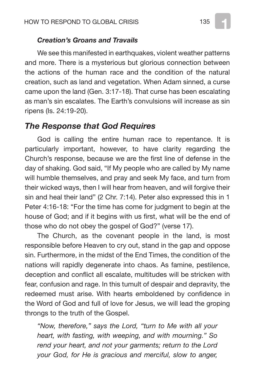### *Creation's Groans and Travails*

We see this manifested in earthquakes, violent weather patterns and more. There is a mysterious but glorious connection between the actions of the human race and the condition of the natural creation, such as land and vegetation. When Adam sinned, a curse came upon the land (Gen. 3:17-18). That curse has been escalating as man's sin escalates. The Earth's convulsions will increase as sin ripens (Is. 24:19-20).

### *The Response that God Requires*

God is calling the entire human race to repentance. It is particularly important, however, to have clarity regarding the Church's response, because we are the first line of defense in the day of shaking. God said, "If My people who are called by My name will humble themselves, and pray and seek My face, and turn from their wicked ways, then I will hear from heaven, and will forgive their sin and heal their land" (2 Chr. 7:14). Peter also expressed this in 1 Peter 4:16-18: "For the time has come for judgment to begin at the house of God; and if it begins with us first, what will be the end of those who do not obey the gospel of God?" (verse 17).

The Church, as the covenant people in the land, is most responsible before Heaven to cry out, stand in the gap and oppose sin. Furthermore, in the midst of the End Times, the condition of the nations will rapidly degenerate into chaos. As famine, pestilence, deception and conflict all escalate, multitudes will be stricken with fear, confusion and rage. In this tumult of despair and depravity, the redeemed must arise. With hearts emboldened by confidence in the Word of God and full of love for Jesus, we will lead the groping throngs to the truth of the Gospel.

*"Now, therefore," says the Lord, "turn to Me with all your heart, with fasting, with weeping, and with mourning." So rend your heart, and not your garments; return to the Lord your God, for He is gracious and merciful, slow to anger,*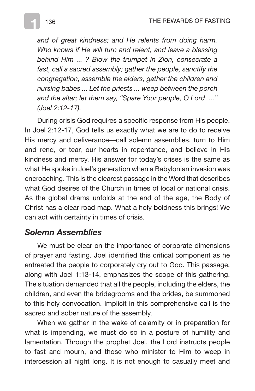*and of great kindness; and He relents from doing harm. Who knows if He will turn and relent, and leave a blessing behind Him ... ? Blow the trumpet in Zion, consecrate a fast, call a sacred assembly; gather the people, sanctify the congregation, assemble the elders, gather the children and nursing babes ... Let the priests ... weep between the porch and the altar; let them say, "Spare Your people, O Lord ..." (Joel 2:12-17).*

During crisis God requires a specific response from His people. In Joel 2:12-17, God tells us exactly what we are to do to receive His mercy and deliverance—call solemn assemblies, turn to Him and rend, or tear, our hearts in repentance, and believe in His kindness and mercy. His answer for today's crises is the same as what He spoke in Joel's generation when a Babylonian invasion was encroaching. This is the clearest passage in the Word that describes what God desires of the Church in times of local or national crisis. As the global drama unfolds at the end of the age, the Body of Christ has a clear road map. What a holy boldness this brings! We can act with certainty in times of crisis.

# *Solemn Assemblies*

We must be clear on the importance of corporate dimensions of prayer and fasting. Joel identified this critical component as he entreated the people to corporately cry out to God. This passage, along with Joel 1:13-14, emphasizes the scope of this gathering. The situation demanded that all the people, including the elders, the children, and even the bridegrooms and the brides, be summoned to this holy convocation. Implicit in this comprehensive call is the sacred and sober nature of the assembly.

When we gather in the wake of calamity or in preparation for what is impending, we must do so in a posture of humility and lamentation. Through the prophet Joel, the Lord instructs people to fast and mourn, and those who minister to Him to weep in intercession all night long. It is not enough to casually meet and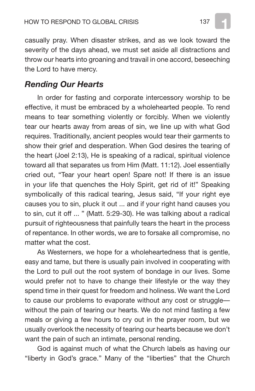casually pray. When disaster strikes, and as we look toward the severity of the days ahead, we must set aside all distractions and throw our hearts into groaning and travail in one accord, beseeching the Lord to have mercy.

## *Rending Our Hearts*

In order for fasting and corporate intercessory worship to be effective, it must be embraced by a wholehearted people. To rend means to tear something violently or forcibly. When we violently tear our hearts away from areas of sin, we line up with what God requires. Traditionally, ancient peoples would tear their garments to show their grief and desperation. When God desires the tearing of the heart (Joel 2:13), He is speaking of a radical, spiritual violence toward all that separates us from Him (Matt. 11:12). Joel essentially cried out, "Tear your heart open! Spare not! If there is an issue in your life that quenches the Holy Spirit, get rid of it!" Speaking symbolically of this radical tearing, Jesus said, "If your right eye causes you to sin, pluck it out ... and if your right hand causes you to sin, cut it off ... " (Matt. 5:29-30). He was talking about a radical pursuit of righteousness that painfully tears the heart in the process of repentance. In other words, we are to forsake all compromise, no matter what the cost.

As Westerners, we hope for a wholeheartedness that is gentle, easy and tame, but there is usually pain involved in cooperating with the Lord to pull out the root system of bondage in our lives. Some would prefer not to have to change their lifestyle or the way they spend time in their quest for freedom and holiness. We want the Lord to cause our problems to evaporate without any cost or struggle without the pain of tearing our hearts. We do not mind fasting a few meals or giving a few hours to cry out in the prayer room, but we usually overlook the necessity of tearing our hearts because we don't want the pain of such an intimate, personal rending.

God is against much of what the Church labels as having our "liberty in God's grace." Many of the "liberties" that the Church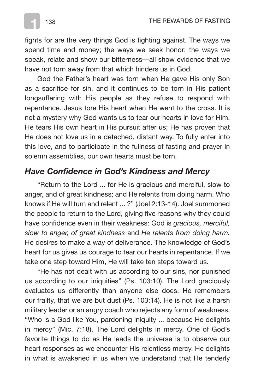

fights for are the very things God is fighting against. The ways we spend time and money; the ways we seek honor; the ways we speak, relate and show our bitterness—all show evidence that we have not torn away from that which hinders us in God.

God the Father's heart was torn when He gave His only Son as a sacrifice for sin, and it continues to be torn in His patient longsuffering with His people as they refuse to respond with repentance. Jesus tore His heart when He went to the cross. It is not a mystery why God wants us to tear our hearts in love for Him. He tears His own heart in His pursuit after us; He has proven that He does not love us in a detached, distant way. To fully enter into this love, and to participate in the fullness of fasting and prayer in solemn assemblies, our own hearts must be torn.

# *Have Confidence in God's Kindness and Mercy*

"Return to the Lord ... for He is gracious and merciful, slow to anger, and of great kindness; and He relents from doing harm. Who knows if He will turn and relent ... ?" (Joel 2:13-14). Joel summoned the people to return to the Lord, giving five reasons why they could have confidence even in their weakness: God is *gracious, merciful, slow to anger, of great kindness* and *He relents from doing harm.*  He desires to make a way of deliverance. The knowledge of God's heart for us gives us courage to tear our hearts in repentance. If we take one step toward Him, He will take ten steps toward us.

"He has not dealt with us according to our sins, nor punished us according to our iniquities" (Ps. 103:10). The Lord graciously evaluates us differently than anyone else does. He remembers our frailty, that we are but dust (Ps. 103:14). He is not like a harsh military leader or an angry coach who rejects any form of weakness. "Who is a God like You, pardoning iniquity ... because He delights in mercy" (Mic. 7:18). The Lord delights in mercy. One of God's favorite things to do as He leads the universe is to observe our heart responses as we encounter His relentless mercy. He delights in what is awakened in us when we understand that He tenderly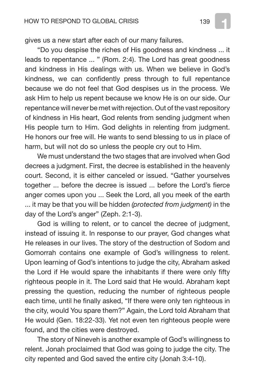139

gives us a new start after each of our many failures.

"Do you despise the riches of His goodness and kindness ... it leads to repentance ... " (Rom. 2:4). The Lord has great goodness and kindness in His dealings with us. When we believe in God's kindness, we can confidently press through to full repentance because we do not feel that God despises us in the process. We ask Him to help us repent because we know He is on our side. Our repentance will never be met with rejection. Out of the vast repository of kindness in His heart, God relents from sending judgment when His people turn to Him. God delights in relenting from judgment. He honors our free will. He wants to send blessing to us in place of harm, but will not do so unless the people cry out to Him.

We must understand the two stages that are involved when God decrees a judgment. First, the decree is established in the heavenly court. Second, it is either canceled or issued. "Gather yourselves together ... before the decree is issued ... before the Lord's fierce anger comes upon you ... Seek the Lord, all you meek of the earth ... it may be that you will be hidden *(protected from judgment)* in the day of the Lord's anger" (Zeph. 2:1-3).

God is willing to relent, or to cancel the decree of judgment, instead of issuing it. In response to our prayer, God changes what He releases in our lives. The story of the destruction of Sodom and Gomorrah contains one example of God's willingness to relent. Upon learning of God's intentions to judge the city, Abraham asked the Lord if He would spare the inhabitants if there were only fifty righteous people in it. The Lord said that He would. Abraham kept pressing the question, reducing the number of righteous people each time, until he finally asked, "If there were only ten righteous in the city, would You spare them?" Again, the Lord told Abraham that He would (Gen. 18:22-33). Yet not even ten righteous people were found, and the cities were destroyed.

The story of Nineveh is another example of God's willingness to relent. Jonah proclaimed that God was going to judge the city. The city repented and God saved the entire city (Jonah 3:4-10).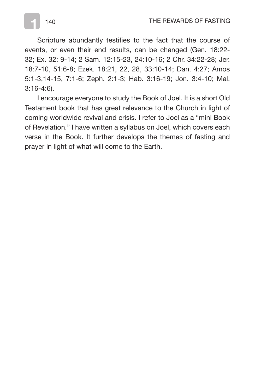Scripture abundantly testifies to the fact that the course of events, or even their end results, can be changed (Gen. 18:22- 32; Ex. 32: 9-14; 2 Sam. 12:15-23, 24:10-16; 2 Chr. 34:22-28; Jer. 18:7-10, 51:6-8; Ezek. 18:21, 22, 28, 33:10-14; Dan. 4:27; Amos 5:1-3,14-15, 7:1-6; Zeph. 2:1-3; Hab. 3:16-19; Jon. 3:4-10; Mal. 3:16-4:6).

I encourage everyone to study the Book of Joel. It is a short Old Testament book that has great relevance to the Church in light of coming worldwide revival and crisis. I refer to Joel as a "mini Book of Revelation." I have written a syllabus on Joel, which covers each verse in the Book. It further develops the themes of fasting and prayer in light of what will come to the Earth.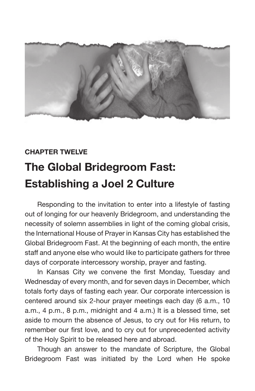

# **Chapter Twelve The Global Bridegroom Fast: Establishing a Joel 2 Culture**

Responding to the invitation to enter into a lifestyle of fasting out of longing for our heavenly Bridegroom, and understanding the necessity of solemn assemblies in light of the coming global crisis, the International House of Prayer in Kansas City has established the Global Bridegroom Fast. At the beginning of each month, the entire staff and anyone else who would like to participate gathers for three days of corporate intercessory worship, prayer and fasting.

In Kansas City we convene the first Monday, Tuesday and Wednesday of every month, and for seven days in December, which totals forty days of fasting each year. Our corporate intercession is centered around six 2-hour prayer meetings each day (6 a.m., 10 a.m., 4 p.m., 8 p.m., midnight and 4 a.m.) It is a blessed time, set aside to mourn the absence of Jesus, to cry out for His return, to remember our first love, and to cry out for unprecedented activity of the Holy Spirit to be released here and abroad.

Though an answer to the mandate of Scripture, the Global Bridegroom Fast was initiated by the Lord when He spoke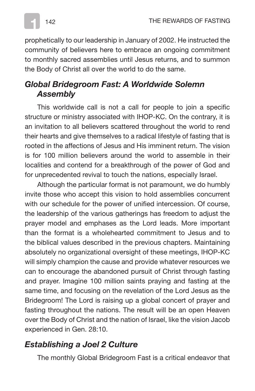prophetically to our leadership in January of 2002. He instructed the community of believers here to embrace an ongoing commitment to monthly sacred assemblies until Jesus returns, and to summon the Body of Christ all over the world to do the same.

## *Global Bridegroom Fast: A Worldwide Solemn Assembly*

This worldwide call is not a call for people to join a specific structure or ministry associated with IHOP-KC. On the contrary, it is an invitation to all believers scattered throughout the world to rend their hearts and give themselves to a radical lifestyle of fasting that is rooted in the affections of Jesus and His imminent return. The vision is for 100 million believers around the world to assemble in their localities and contend for a breakthrough of the power of God and for unprecedented revival to touch the nations, especially Israel.

Although the particular format is not paramount, we do humbly invite those who accept this vision to hold assemblies concurrent with our schedule for the power of unified intercession. Of course, the leadership of the various gatherings has freedom to adjust the prayer model and emphases as the Lord leads. More important than the format is a wholehearted commitment to Jesus and to the biblical values described in the previous chapters. Maintaining absolutely no organizational oversight of these meetings, IHOP-KC will simply champion the cause and provide whatever resources we can to encourage the abandoned pursuit of Christ through fasting and prayer. Imagine 100 million saints praying and fasting at the same time, and focusing on the revelation of the Lord Jesus as the Bridegroom! The Lord is raising up a global concert of prayer and fasting throughout the nations. The result will be an open Heaven over the Body of Christ and the nation of Israel, like the vision Jacob experienced in Gen. 28:10.

# *Establishing a Joel 2 Culture*

The monthly Global Bridegroom Fast is a critical endeavor that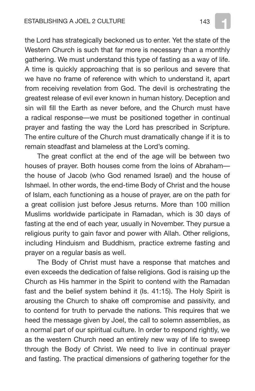the Lord has strategically beckoned us to enter. Yet the state of the Western Church is such that far more is necessary than a monthly gathering. We must understand this type of fasting as a way of life. A time is quickly approaching that is so perilous and severe that we have no frame of reference with which to understand it, apart from receiving revelation from God. The devil is orchestrating the greatest release of evil ever known in human history. Deception and sin will fill the Earth as never before, and the Church must have a radical response—we must be positioned together in continual prayer and fasting the way the Lord has prescribed in Scripture. The entire culture of the Church must dramatically change if it is to remain steadfast and blameless at the Lord's coming.

The great conflict at the end of the age will be between two houses of prayer. Both houses come from the loins of Abraham the house of Jacob (who God renamed Israel) and the house of Ishmael. In other words, the end-time Body of Christ and the house of Islam, each functioning as a house of prayer, are on the path for a great collision just before Jesus returns. More than 100 million Muslims worldwide participate in Ramadan, which is 30 days of fasting at the end of each year, usually in November. They pursue a religious purity to gain favor and power with Allah. Other religions, including Hinduism and Buddhism, practice extreme fasting and prayer on a regular basis as well.

The Body of Christ must have a response that matches and even exceeds the dedication of false religions. God is raising up the Church as His hammer in the Spirit to contend with the Ramadan fast and the belief system behind it (Is. 41:15). The Holy Spirit is arousing the Church to shake off compromise and passivity, and to contend for truth to pervade the nations. This requires that we heed the message given by Joel, the call to solemn assemblies, as a normal part of our spiritual culture. In order to respond rightly, we as the western Church need an entirely new way of life to sweep through the Body of Christ. We need to live in continual prayer and fasting. The practical dimensions of gathering together for the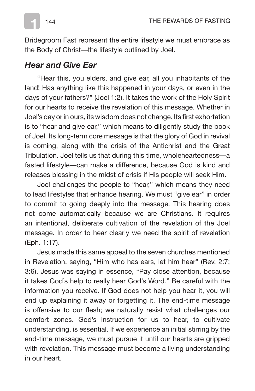

#### *Hear and Give Ear*

"Hear this, you elders, and give ear, all you inhabitants of the land! Has anything like this happened in your days, or even in the days of your fathers?" (Joel 1:2). It takes the work of the Holy Spirit for our hearts to receive the revelation of this message. Whether in Joel's day or in ours, its wisdom does not change. Its first exhortation is to "hear and give ear," which means to diligently study the book of Joel. Its long-term core message is that the glory of God in revival is coming, along with the crisis of the Antichrist and the Great Tribulation. Joel tells us that during this time, wholeheartedness—a fasted lifestyle—can make a difference, because God is kind and releases blessing in the midst of crisis if His people will seek Him.

Joel challenges the people to "hear," which means they need to lead lifestyles that enhance hearing. We must "give ear" in order to commit to going deeply into the message. This hearing does not come automatically because we are Christians. It requires an intentional, deliberate cultivation of the revelation of the Joel message. In order to hear clearly we need the spirit of revelation (Eph. 1:17).

Jesus made this same appeal to the seven churches mentioned in Revelation, saying, "Him who has ears, let him hear" (Rev. 2:7; 3:6). Jesus was saying in essence, "Pay close attention, because it takes God's help to really hear God's Word." Be careful with the information you receive. If God does not help you hear it, you will end up explaining it away or forgetting it. The end-time message is offensive to our flesh; we naturally resist what challenges our comfort zones. God's instruction for us to hear, to cultivate understanding, is essential. If we experience an initial stirring by the end-time message, we must pursue it until our hearts are gripped with revelation. This message must become a living understanding in our heart.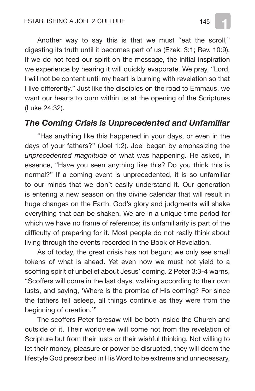Another way to say this is that we must "eat the scroll," digesting its truth until it becomes part of us (Ezek. 3:1; Rev. 10:9). If we do not feed our spirit on the message, the initial inspiration we experience by hearing it will quickly evaporate. We pray, "Lord, I will not be content until my heart is burning with revelation so that I live differently." Just like the disciples on the road to Emmaus, we want our hearts to burn within us at the opening of the Scriptures (Luke 24:32).

#### *The Coming Crisis is Unprecedented and Unfamiliar*

"Has anything like this happened in your days, or even in the days of your fathers?" (Joel 1:2). Joel began by emphasizing the *unprecedented magnitude* of what was happening. He asked, in essence, "Have you seen anything like this? Do you think this is normal?" If a coming event is unprecedented, it is so unfamiliar to our minds that we don't easily understand it. Our generation is entering a new season on the divine calendar that will result in huge changes on the Earth. God's glory and judgments will shake everything that can be shaken. We are in a unique time period for which we have no frame of reference; its unfamiliarity is part of the difficulty of preparing for it. Most people do not really think about living through the events recorded in the Book of Revelation.

As of today, the great crisis has not begun; we only see small tokens of what is ahead. Yet even now we must not yield to a scoffing spirit of unbelief about Jesus' coming. 2 Peter 3:3-4 warns, "Scoffers will come in the last days, walking according to their own lusts, and saying, 'Where is the promise of His coming? For since the fathers fell asleep, all things continue as they were from the beginning of creation.'"

The scoffers Peter foresaw will be both inside the Church and outside of it. Their worldview will come not from the revelation of Scripture but from their lusts or their wishful thinking. Not willing to let their money, pleasure or power be disrupted, they will deem the lifestyle God prescribed in His Word to be extreme and unnecessary,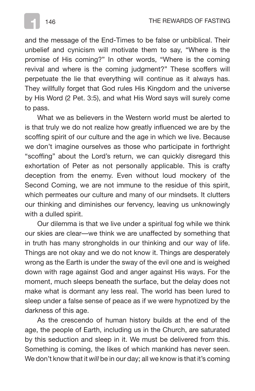

What we as believers in the Western world must be alerted to is that truly we do not realize how greatly influenced we are by the scoffing spirit of our culture and the age in which we live. Because we don't imagine ourselves as those who participate in forthright "scoffing" about the Lord's return, we can quickly disregard this exhortation of Peter as not personally applicable. This is crafty deception from the enemy. Even without loud mockery of the Second Coming, we are not immune to the residue of this spirit, which permeates our culture and many of our mindsets. It clutters our thinking and diminishes our fervency, leaving us unknowingly with a dulled spirit.

Our dilemma is that we live under a spiritual fog while we think our skies are clear—we think we are unaffected by something that in truth has many strongholds in our thinking and our way of life. Things are not okay and we do not know it. Things are desperately wrong as the Earth is under the sway of the evil one and is weighed down with rage against God and anger against His ways. For the moment, much sleeps beneath the surface, but the delay does not make what is dormant any less real. The world has been lured to sleep under a false sense of peace as if we were hypnotized by the darkness of this age.

As the crescendo of human history builds at the end of the age, the people of Earth, including us in the Church, are saturated by this seduction and sleep in it. We must be delivered from this. Something is coming, the likes of which mankind has never seen. We don't know that it *will* be in our day; all we know is that it's coming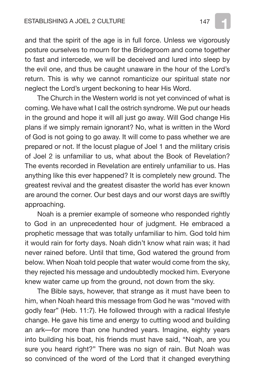and that the spirit of the age is in full force. Unless we vigorously posture ourselves to mourn for the Bridegroom and come together to fast and intercede, we will be deceived and lured into sleep by the evil one, and thus be caught unaware in the hour of the Lord's return. This is why we cannot romanticize our spiritual state nor neglect the Lord's urgent beckoning to hear His Word.

The Church in the Western world is not yet convinced of what is coming. We have what I call the ostrich syndrome. We put our heads in the ground and hope it will all just go away. Will God change His plans if we simply remain ignorant? No, what is written in the Word of God is not going to go away. It will come to pass whether we are prepared or not. If the locust plague of Joel 1 and the military crisis of Joel 2 is unfamiliar to us, what about the Book of Revelation? The events recorded in Revelation are entirely unfamiliar to us. Has anything like this ever happened? It is completely new ground. The greatest revival and the greatest disaster the world has ever known are around the corner. Our best days and our worst days are swiftly approaching.

Noah is a premier example of someone who responded rightly to God in an unprecedented hour of judgment. He embraced a prophetic message that was totally unfamiliar to him. God told him it would rain for forty days. Noah didn't know what rain was; it had never rained before. Until that time, God watered the ground from below. When Noah told people that water would come from the sky, they rejected his message and undoubtedly mocked him. Everyone knew water came up from the ground, not down from the sky.

The Bible says, however, that strange as it must have been to him, when Noah heard this message from God he was "moved with godly fear" (Heb. 11:7). He followed through with a radical lifestyle change. He gave his time and energy to cutting wood and building an ark—for more than one hundred years. Imagine, eighty years into building his boat, his friends must have said, "Noah, are you sure you heard right?" There was no sign of rain. But Noah was so convinced of the word of the Lord that it changed everything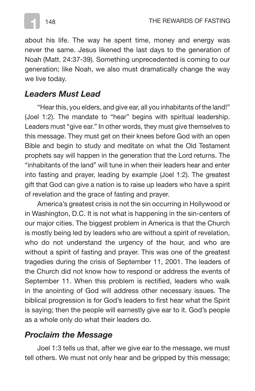about his life. The way he spent time, money and energy was never the same. Jesus likened the last days to the generation of Noah (Matt. 24:37-39). Something unprecedented is coming to our generation; like Noah, we also must dramatically change the way we live today.

#### *Leaders Must Lead*

"Hear this, you elders, and give ear, all you inhabitants of the land!" (Joel 1:2). The mandate to "hear" begins with spiritual leadership. Leaders must "give ear." In other words, they must give themselves to this message. They must get on their knees before God with an open Bible and begin to study and meditate on what the Old Testament prophets say will happen in the generation that the Lord returns. The "inhabitants of the land" will tune in when their leaders hear and enter into fasting and prayer, leading by example (Joel 1:2). The greatest gift that God can give a nation is to raise up leaders who have a spirit of revelation and the grace of fasting and prayer.

America's greatest crisis is not the sin occurring in Hollywood or in Washington, D.C. It is not what is happening in the sin-centers of our major cities. The biggest problem in America is that the Church is mostly being led by leaders who are without a spirit of revelation, who do not understand the urgency of the hour, and who are without a spirit of fasting and prayer. This was one of the greatest tragedies during the crisis of September 11, 2001. The leaders of the Church did not know how to respond or address the events of September 11. When this problem is rectified, leaders who walk in the anointing of God will address other necessary issues. The biblical progression is for God's leaders to first hear what the Spirit is saying; then the people will earnestly give ear to it. God's people as a whole only do what their leaders do.

#### *Proclaim the Message*

Joel 1:3 tells us that, after we give ear to the message, we must tell others. We must not only hear and be gripped by this message;

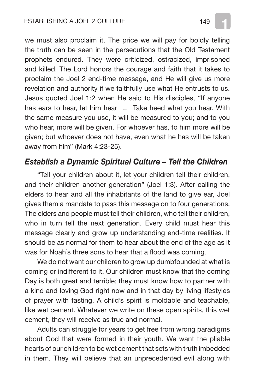we must also proclaim it. The price we will pay for boldly telling the truth can be seen in the persecutions that the Old Testament prophets endured. They were criticized, ostracized, imprisoned and killed. The Lord honors the courage and faith that it takes to proclaim the Joel 2 end-time message, and He will give us more revelation and authority if we faithfully use what He entrusts to us. Jesus quoted Joel 1:2 when He said to His disciples, "If anyone has ears to hear, let him hear ... Take heed what you hear. With the same measure you use, it will be measured to you; and to you who hear, more will be given. For whoever has, to him more will be given; but whoever does not have, even what he has will be taken away from him" (Mark 4:23-25).

#### *Establish a Dynamic Spiritual Culture – Tell the Children*

"Tell your children about it, let your children tell their children, and their children another generation" (Joel 1:3). After calling the elders to hear and all the inhabitants of the land to give ear, Joel gives them a mandate to pass this message on to four generations. The elders and people must tell their children, who tell their children, who in turn tell the next generation. Every child must hear this message clearly and grow up understanding end-time realities. It should be as normal for them to hear about the end of the age as it was for Noah's three sons to hear that a flood was coming.

We do not want our children to grow up dumbfounded at what is coming or indifferent to it. Our children must know that the coming Day is both great and terrible; they must know how to partner with a kind and loving God right now and in that day by living lifestyles of prayer with fasting. A child's spirit is moldable and teachable, like wet cement. Whatever we write on these open spirits, this wet cement, they will receive as true and normal.

Adults can struggle for years to get free from wrong paradigms about God that were formed in their youth. We want the pliable hearts of our children to be wet cement that sets with truth imbedded in them. They will believe that an unprecedented evil along with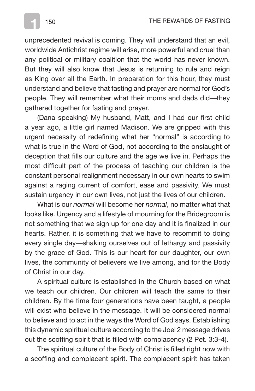unprecedented revival is coming. They will understand that an evil, worldwide Antichrist regime will arise, more powerful and cruel than any political or military coalition that the world has never known. But they will also know that Jesus is returning to rule and reign as King over all the Earth. In preparation for this hour, they must understand and believe that fasting and prayer are normal for God's people. They will remember what their moms and dads did—they gathered together for fasting and prayer.

(Dana speaking) My husband, Matt, and I had our first child a year ago, a little girl named Madison. We are gripped with this urgent necessity of redefining what her "normal" is according to what is true in the Word of God, not according to the onslaught of deception that fills our culture and the age we live in. Perhaps the most difficult part of the process of teaching our children is the constant personal realignment necessary in our own hearts to swim against a raging current of comfort, ease and passivity. We must sustain urgency in our own lives, not just the lives of our children.

What is our *normal* will become her *normal*, no matter what that looks like. Urgency and a lifestyle of mourning for the Bridegroom is not something that we sign up for one day and it is finalized in our hearts. Rather, it is something that we have to recommit to doing every single day—shaking ourselves out of lethargy and passivity by the grace of God. This is our heart for our daughter, our own lives, the community of believers we live among, and for the Body of Christ in our day.

A spiritual culture is established in the Church based on what we teach our children. Our children will teach the same to their children. By the time four generations have been taught, a people will exist who believe in the message. It will be considered normal to believe and to act in the ways the Word of God says. Establishing this dynamic spiritual culture according to the Joel 2 message drives out the scoffing spirit that is filled with complacency (2 Pet. 3:3-4).

The spiritual culture of the Body of Christ is filled right now with a scoffing and complacent spirit. The complacent spirit has taken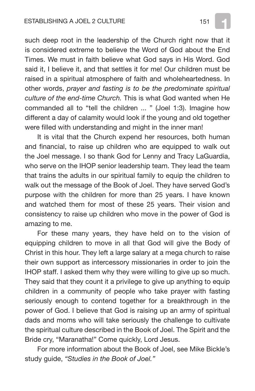such deep root in the leadership of the Church right now that it is considered extreme to believe the Word of God about the End Times. We must in faith believe what God says in His Word. God said it, I believe it, and that settles it for me! Our children must be raised in a spiritual atmosphere of faith and wholeheartedness. In other words, *prayer and fasting is to be the predominate spiritual culture of the end-time Church.* This is what God wanted when He commanded all to "tell the children ... " (Joel 1:3). Imagine how different a day of calamity would look if the young and old together were filled with understanding and might in the inner man!

It is vital that the Church expend her resources, both human and financial, to raise up children who are equipped to walk out the Joel message. I so thank God for Lenny and Tracy LaGuardia, who serve on the IHOP senior leadership team. They lead the team that trains the adults in our spiritual family to equip the children to walk out the message of the Book of Joel. They have served God's purpose with the children for more than 25 years. I have known and watched them for most of these 25 years. Their vision and consistency to raise up children who move in the power of God is amazing to me.

For these many years, they have held on to the vision of equipping children to move in all that God will give the Body of Christ in this hour. They left a large salary at a mega church to raise their own support as intercessory missionaries in order to join the IHOP staff. I asked them why they were willing to give up so much. They said that they count it a privilege to give up anything to equip children in a community of people who take prayer with fasting seriously enough to contend together for a breakthrough in the power of God. I believe that God is raising up an army of spiritual dads and moms who will take seriously the challenge to cultivate the spiritual culture described in the Book of Joel. The Spirit and the Bride cry, "Maranatha!" Come quickly, Lord Jesus.

For more information about the Book of Joel, see Mike Bickle's study guide, *"Studies in the Book of Joel."*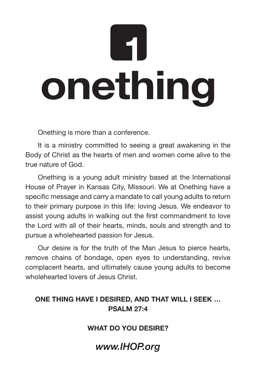# $\vert$  1 onething

Onething is more than a conference.

It is a ministry committed to seeing a great awakening in the Body of Christ as the hearts of men and women come alive to the true nature of God.

Onething is a young adult ministry based at the International House of Prayer in Kansas City, Missouri. We at Onething have a specific message and carry a mandate to call young adults to return to their primary purpose in this life: loving Jesus. We endeavor to assist young adults in walking out the first commandment to love the Lord with all of their hearts, minds, souls and strength and to pursue a wholehearted passion for Jesus.

Our desire is for the truth of the Man Jesus to pierce hearts, remove chains of bondage, open eyes to understanding, revive complacent hearts, and ultimately cause young adults to become wholehearted lovers of Jesus Christ.

#### **ONE THING HAVE I DESIRED, AND THAT WILL I SEEK … PSALM 27:4**

#### **WHAT DO YOU DESIRE?**

*www.IHOP.org*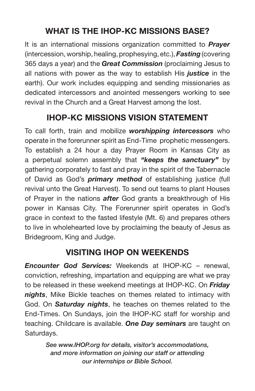# **What Is The Ihop-kc Missions Base?**

It is an international missions organization committed to *Prayer* (intercession, worship, healing, prophesying, etc.), *Fasting* (covering 365 days a year) and the *Great Commission* (proclaiming Jesus to all nations with power as the way to establish His *justice* in the earth). Our work includes equipping and sending missionaries as dedicated intercessors and anointed messengers working to see revival in the Church and a Great Harvest among the lost.

# **IHOP-KC Missions vision Statement**

To call forth, train and mobilize *worshipping intercessors* who operate in the forerunner spirit as End-Time prophetic messengers. To establish a 24 hour a day Prayer Room in Kansas City as a perpetual solemn assembly that *"keeps the sanctuary"* by gathering corporately to fast and pray in the spirit of the Tabernacle of David as God's *primary method* of establishing justice (full revival unto the Great Harvest). To send out teams to plant Houses of Prayer in the nations *after* God grants a breakthrough of His power in Kansas City. The Forerunner spirit operates in God's grace in context to the fasted lifestyle (Mt. 6) and prepares others to live in wholehearted love by proclaiming the beauty of Jesus as Bridegroom, King and Judge.

# **visiting IHOP on weekends**

*Encounter God Services:* Weekends at IHOP-KC – renewal, conviction, refreshing, impartation and equipping are what we pray to be released in these weekend meetings at IHOP-KC. On *Friday nights*, Mike Bickle teaches on themes related to intimacy with God. On *Saturday nights*, he teaches on themes related to the End-Times. On Sundays, join the IHOP-KC staff for worship and teaching. Childcare is available. *One Day seminars* are taught on Saturdays.

> *See www.IHOP.org for details, visitor's accommodations, and more information on joining our staff or attending our internships or Bible School.*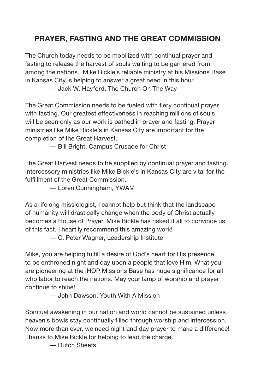# **Prayer, Fasting and the Great Commission**

The Church today needs to be mobilized with continual prayer and fasting to release the harvest of souls waiting to be garnered from among the nations. Mike Bickle's reliable ministry at his Missions Base in Kansas City is helping to answer a great need in this hour. — Jack W. Hayford, The Church On The Way

The Great Commission needs to be fueled with fiery continual prayer with fasting. Our greatest effectiveness in reaching millions of souls will be seen only as our work is bathed in prayer and fasting. Prayer ministries like Mike Bickle's in Kansas City are important for the completion of the Great Harvest.

— Bill Bright, Campus Crusade for Christ

The Great Harvest needs to be supplied by continual prayer and fasting. Intercessory ministries like Mike Bickle's in Kansas City are vital for the fulfillment of the Great Commission.

— Loren Cunningham, YWAM

As a lifelong missiologist, I cannot help but think that the landscape of humanity will drastically change when the body of Christ actually becomes a House of Prayer. Mike Bickle has risked it all to convince us of this fact. I heartily recommend this amazing work!

— C. Peter Wagner, Leadership Institute

Mike, you are helping fulfill a desire of God's heart for His presence to be enthroned night and day upon a people that love Him. What you are pioneering at the IHOP Missions Base has huge significance for all who labor to reach the nations. May your lamp of worship and prayer continue to shine!

— John Dawson, Youth With A Mission

Spiritual awakening in our nation and world cannot be sustained unless heaven's bowls stay continually filled through worship and intercession. Now more than ever, we need night and day prayer to make a difference! Thanks to Mike Bickle for helping to lead the charge.

— Dutch Sheets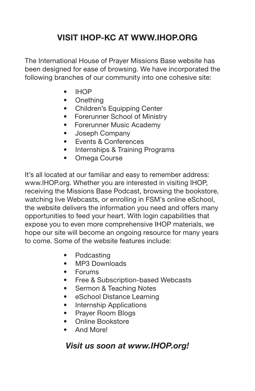# **Visit IHOP-KC at www.IHOP.org**

The International House of Prayer Missions Base website has been designed for ease of browsing. We have incorporated the following branches of our community into one cohesive site:

- IHOP
- Onething
- Children's Equipping Center
- Forerunner School of Ministry
- Forerunner Music Academy
- Joseph Company
- Events & Conferences
- Internships & Training Programs
- Omega Course

It's all located at our familiar and easy to remember address: www.IHOP.org. Whether you are interested in visiting IHOP, receiving the Missions Base Podcast, browsing the bookstore, watching live Webcasts, or enrolling in FSM's online eSchool, the website delivers the information you need and offers many opportunities to feed your heart. With login capabilities that expose you to even more comprehensive IHOP materials, we hope our site will become an ongoing resource for many years to come. Some of the website features include:

- Podcasting
- MP3 Downloads
- Forums
- Free & Subscription-based Webcasts
- Sermon & Teaching Notes
- eSchool Distance Learning
- Internship Applications
- Prayer Room Blogs
- Online Bookstore
- And More!

# *Visit us soon at www.IHOP.org!*